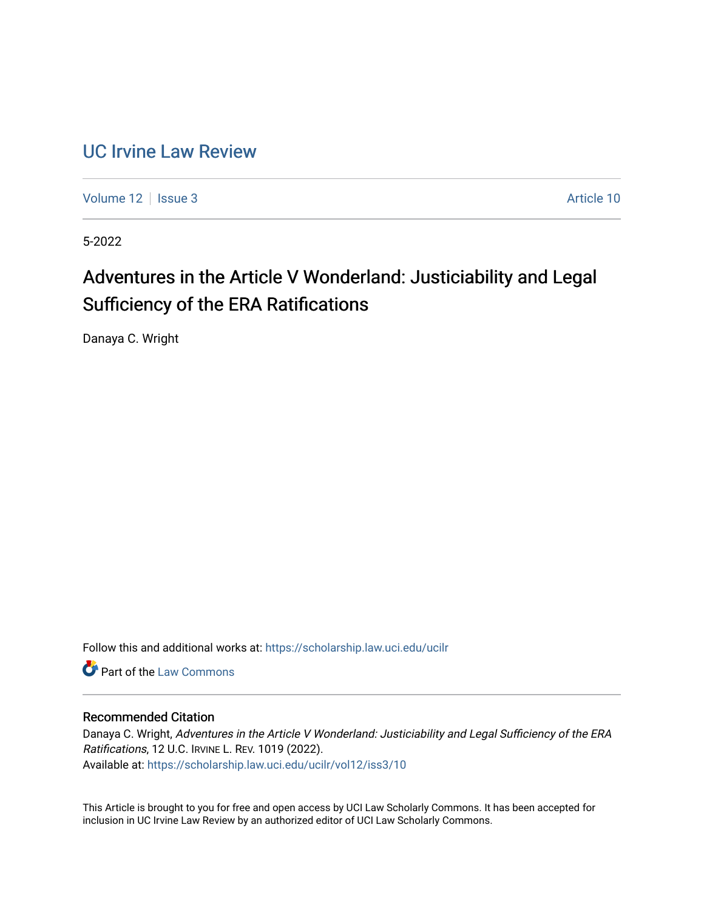### [UC Irvine Law Review](https://scholarship.law.uci.edu/ucilr)

[Volume 12](https://scholarship.law.uci.edu/ucilr/vol12) | [Issue 3](https://scholarship.law.uci.edu/ucilr/vol12/iss3) Article 10

5-2022

# Adventures in the Article V Wonderland: Justiciability and Legal Sufficiency of the ERA Ratifications

Danaya C. Wright

Follow this and additional works at: [https://scholarship.law.uci.edu/ucilr](https://scholarship.law.uci.edu/ucilr?utm_source=scholarship.law.uci.edu%2Fucilr%2Fvol12%2Fiss3%2F10&utm_medium=PDF&utm_campaign=PDFCoverPages)

**C** Part of the [Law Commons](https://network.bepress.com/hgg/discipline/578?utm_source=scholarship.law.uci.edu%2Fucilr%2Fvol12%2Fiss3%2F10&utm_medium=PDF&utm_campaign=PDFCoverPages)

### Recommended Citation

Danaya C. Wright, Adventures in the Article V Wonderland: Justiciability and Legal Sufficiency of the ERA Ratifications, 12 U.C. IRVINE L. REV. 1019 (2022). Available at: [https://scholarship.law.uci.edu/ucilr/vol12/iss3/10](https://scholarship.law.uci.edu/ucilr/vol12/iss3/10?utm_source=scholarship.law.uci.edu%2Fucilr%2Fvol12%2Fiss3%2F10&utm_medium=PDF&utm_campaign=PDFCoverPages) 

This Article is brought to you for free and open access by UCI Law Scholarly Commons. It has been accepted for inclusion in UC Irvine Law Review by an authorized editor of UCI Law Scholarly Commons.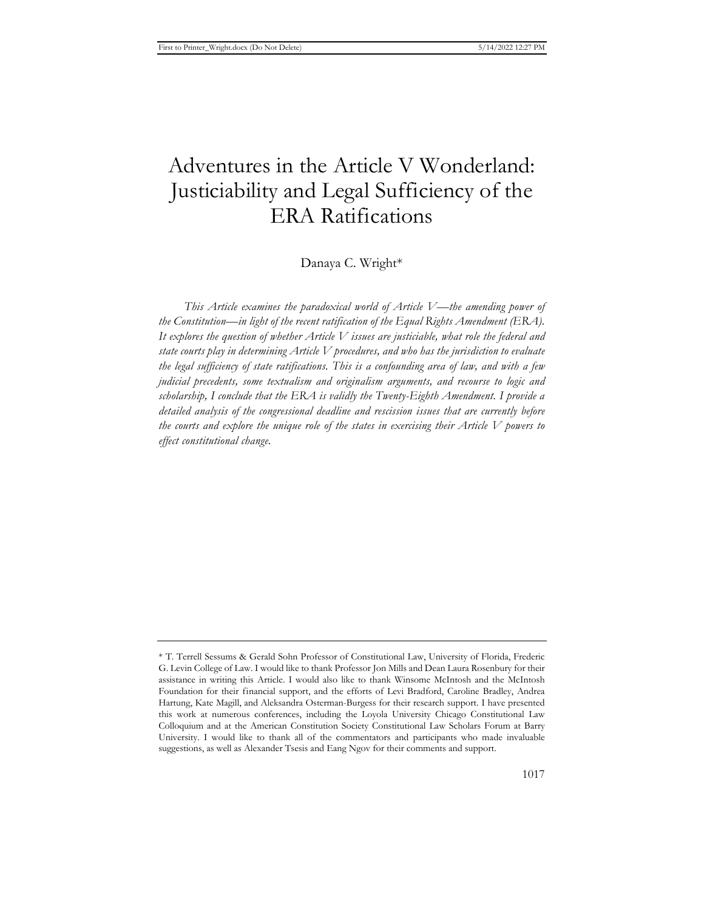## Adventures in the Article V Wonderland: Justiciability and Legal Sufficiency of the ERA Ratifications

#### Danaya C. Wright\*

*This Article examines the paradoxical world of Article V—the amending power of the Constitution—in light of the recent ratification of the Equal Rights Amendment (ERA). It explores the question of whether Article V issues are justiciable, what role the federal and state courts play in determining Article V procedures, and who has the jurisdiction to evaluate the legal sufficiency of state ratifications. This is a confounding area of law, and with a few judicial precedents, some textualism and originalism arguments, and recourse to logic and scholarship, I conclude that the ERA is validly the Twenty-Eighth Amendment. I provide a detailed analysis of the congressional deadline and rescission issues that are currently before the courts and explore the unique role of the states in exercising their Article V powers to effect constitutional change.*

<sup>\*</sup> T. Terrell Sessums & Gerald Sohn Professor of Constitutional Law, University of Florida, Frederic G. Levin College of Law. I would like to thank Professor Jon Mills and Dean Laura Rosenbury for their assistance in writing this Article. I would also like to thank Winsome McIntosh and the McIntosh Foundation for their financial support, and the efforts of Levi Bradford, Caroline Bradley, Andrea Hartung, Kate Magill, and Aleksandra Osterman-Burgess for their research support. I have presented this work at numerous conferences, including the Loyola University Chicago Constitutional Law Colloquium and at the American Constitution Society Constitutional Law Scholars Forum at Barry University. I would like to thank all of the commentators and participants who made invaluable suggestions, as well as Alexander Tsesis and Eang Ngov for their comments and support.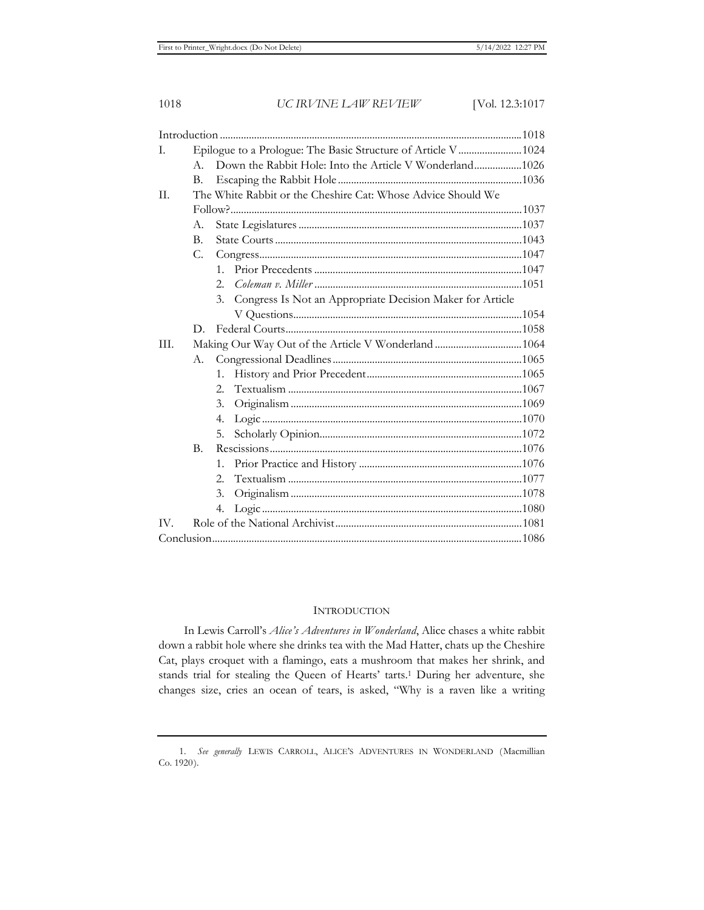| L.           | Epilogue to a Prologue: The Basic Structure of Article V 1024 |                                                                 |  |
|--------------|---------------------------------------------------------------|-----------------------------------------------------------------|--|
|              | $A_{\cdot}$                                                   | Down the Rabbit Hole: Into the Article V Wonderland1026         |  |
|              | $\mathbf{B}$ .                                                |                                                                 |  |
| II.          |                                                               | The White Rabbit or the Cheshire Cat: Whose Advice Should We    |  |
|              |                                                               |                                                                 |  |
|              | A.                                                            |                                                                 |  |
|              | $\mathbf{B}$ .                                                |                                                                 |  |
|              | C.                                                            |                                                                 |  |
|              |                                                               | 1.                                                              |  |
|              |                                                               | 2.5                                                             |  |
|              |                                                               | Congress Is Not an Appropriate Decision Maker for Article<br>3. |  |
|              |                                                               |                                                                 |  |
|              | D.                                                            |                                                                 |  |
| III.         | Making Our Way Out of the Article V Wonderland 1064           |                                                                 |  |
|              | A.                                                            |                                                                 |  |
|              |                                                               | $1_{-}$                                                         |  |
|              |                                                               | 2.5                                                             |  |
|              |                                                               | 3.                                                              |  |
|              |                                                               | 4.                                                              |  |
|              |                                                               | 5.                                                              |  |
|              | $\mathbf{B}$ .                                                |                                                                 |  |
|              |                                                               | 1.                                                              |  |
|              |                                                               | 2.5                                                             |  |
|              |                                                               | 3.                                                              |  |
|              |                                                               | 4.                                                              |  |
| $\mathbf{W}$ |                                                               |                                                                 |  |
|              |                                                               |                                                                 |  |

#### **INTRODUCTION**

In Lewis Carroll's *Alice's Adventures in Wonderland*, Alice chases a white rabbit down a rabbit hole where she drinks tea with the Mad Hatter, chats up the Cheshire Cat, plays croquet with a flamingo, eats a mushroom that makes her shrink, and stands trial for stealing the Queen of Hearts' tarts.<sup>1</sup> During her adventure, she changes size, cries an ocean of tears, is asked, "Why is a raven like a writing

<sup>1.</sup> *See generally* LEWIS CARROLL, ALICE'S ADVENTURES IN WONDERLAND (Macmillian Co. 1920).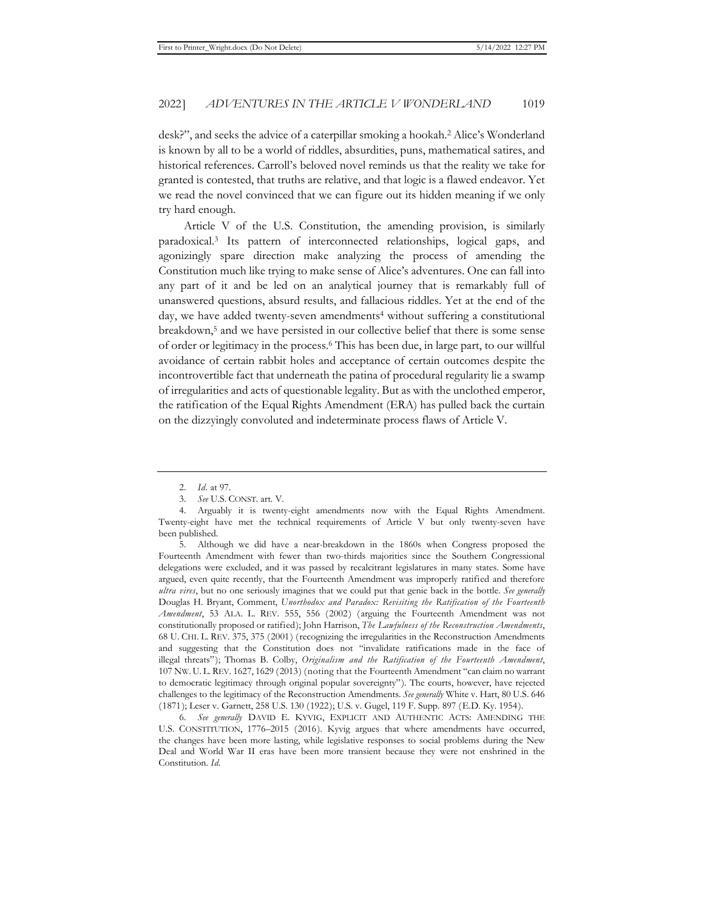desk?", and seeks the advice of a caterpillar smoking a hookah.2 Alice's Wonderland is known by all to be a world of riddles, absurdities, puns, mathematical satires, and historical references. Carroll's beloved novel reminds us that the reality we take for granted is contested, that truths are relative, and that logic is a flawed endeavor. Yet we read the novel convinced that we can figure out its hidden meaning if we only try hard enough.

Article V of the U.S. Constitution, the amending provision, is similarly paradoxical.3 Its pattern of interconnected relationships, logical gaps, and agonizingly spare direction make analyzing the process of amending the Constitution much like trying to make sense of Alice's adventures. One can fall into any part of it and be led on an analytical journey that is remarkably full of unanswered questions, absurd results, and fallacious riddles. Yet at the end of the day, we have added twenty-seven amendments<sup>4</sup> without suffering a constitutional breakdown,5 and we have persisted in our collective belief that there is some sense of order or legitimacy in the process.6 This has been due, in large part, to our willful avoidance of certain rabbit holes and acceptance of certain outcomes despite the incontrovertible fact that underneath the patina of procedural regularity lie a swamp of irregularities and acts of questionable legality. But as with the unclothed emperor, the ratification of the Equal Rights Amendment (ERA) has pulled back the curtain on the dizzyingly convoluted and indeterminate process flaws of Article V.

<sup>2.</sup> *Id.* at 97.

<sup>3.</sup> *See* U.S. CONST. art. V.

<sup>4.</sup> Arguably it is twenty-eight amendments now with the Equal Rights Amendment. Twenty-eight have met the technical requirements of Article V but only twenty-seven have been published.

<sup>5.</sup> Although we did have a near-breakdown in the 1860s when Congress proposed the Fourteenth Amendment with fewer than two-thirds majorities since the Southern Congressional delegations were excluded, and it was passed by recalcitrant legislatures in many states. Some have argued, even quite recently, that the Fourteenth Amendment was improperly ratified and therefore *ultra vires*, but no one seriously imagines that we could put that genie back in the bottle. *See generally*  Douglas H. Bryant, Comment, *Unorthodox and Paradox: Revisiting the Ratification of the Fourteenth Amendment*, 53 ALA. L. REV. 555, 556 (2002) (arguing the Fourteenth Amendment was not constitutionally proposed or ratified); John Harrison, *The Lawfulness of the Reconstruction Amendments*, 68 U. CHI. L. REV. 375, 375 (2001) (recognizing the irregularities in the Reconstruction Amendments and suggesting that the Constitution does not "invalidate ratifications made in the face of illegal threats"); Thomas B. Colby, *Originalism and the Ratification of the Fourteenth Amendment*, 107 NW. U. L.REV. 1627, 1629 (2013) (noting that the Fourteenth Amendment "can claim no warrant to democratic legitimacy through original popular sovereignty"). The courts, however, have rejected challenges to the legitimacy of the Reconstruction Amendments. *See generally* White v. Hart, 80 U.S. 646 (1871); Leser v. Garnett, 258 U.S. 130 (1922); U.S. v. Gugel, 119 F. Supp. 897 (E.D. Ky. 1954).

<sup>6.</sup> *See generally* DAVID E. KYVIG, EXPLICIT AND AUTHENTIC ACTS: AMENDING THE U.S. CONSTITUTION, 1776–2015 (2016). Kyvig argues that where amendments have occurred, the changes have been more lasting, while legislative responses to social problems during the New Deal and World War II eras have been more transient because they were not enshrined in the Constitution. *Id.*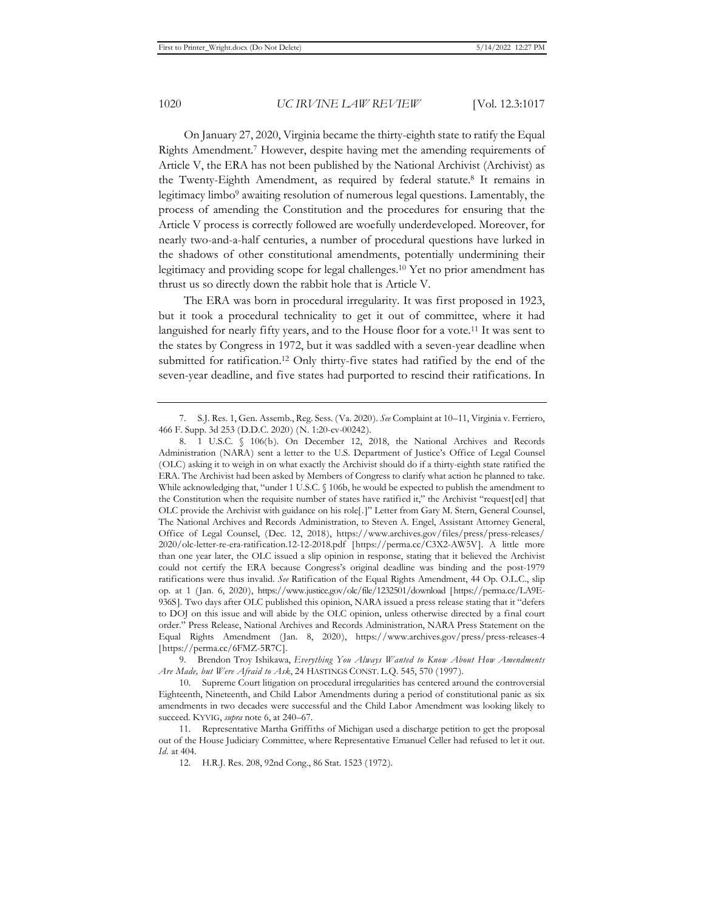On January 27, 2020, Virginia became the thirty-eighth state to ratify the Equal Rights Amendment.7 However, despite having met the amending requirements of Article V, the ERA has not been published by the National Archivist (Archivist) as the Twenty-Eighth Amendment, as required by federal statute.8 It remains in legitimacy limbo9 awaiting resolution of numerous legal questions. Lamentably, the process of amending the Constitution and the procedures for ensuring that the Article V process is correctly followed are woefully underdeveloped. Moreover, for nearly two-and-a-half centuries, a number of procedural questions have lurked in the shadows of other constitutional amendments, potentially undermining their legitimacy and providing scope for legal challenges.10 Yet no prior amendment has thrust us so directly down the rabbit hole that is Article V.

The ERA was born in procedural irregularity. It was first proposed in 1923, but it took a procedural technicality to get it out of committee, where it had languished for nearly fifty years, and to the House floor for a vote.11 It was sent to the states by Congress in 1972, but it was saddled with a seven-year deadline when submitted for ratification.12 Only thirty-five states had ratified by the end of the seven-year deadline, and five states had purported to rescind their ratifications. In

<sup>7.</sup> S.J. Res. 1, Gen. Assemb., Reg. Sess. (Va. 2020). *See* Complaint at 10–11, Virginia v. Ferriero, 466 F. Supp. 3d 253 (D.D.C. 2020) (N. 1:20-cv-00242).

<sup>8. 1</sup> U.S.C. § 106(b). On December 12, 2018, the National Archives and Records Administration (NARA) sent a letter to the U.S. Department of Justice's Office of Legal Counsel (OLC) asking it to weigh in on what exactly the Archivist should do if a thirty-eighth state ratified the ERA. The Archivist had been asked by Members of Congress to clarify what action he planned to take. While acknowledging that, "under 1 U.S.C. § 106b, he would be expected to publish the amendment to the Constitution when the requisite number of states have ratified it," the Archivist "request[ed] that OLC provide the Archivist with guidance on his role[.]" Letter from Gary M. Stern, General Counsel, The National Archives and Records Administration, to Steven A. Engel, Assistant Attorney General, Office of Legal Counsel, (Dec. 12, 2018), https://www.archives.gov/files/press/press-releases/ 2020/olc-letter-re-era-ratification.12-12-2018.pdf [https://perma.cc/C3X2-AW5V]. A little more than one year later, the OLC issued a slip opinion in response, stating that it believed the Archivist could not certify the ERA because Congress's original deadline was binding and the post-1979 ratifications were thus invalid. *See* Ratification of the Equal Rights Amendment, 44 Op. O.L.C., slip op. at 1 (Jan. 6, 2020), https://www.justice.gov/olc/file/1232501/download [https://perma.cc/LA9E-936S]. Two days after OLC published this opinion, NARA issued a press release stating that it "defers to DOJ on this issue and will abide by the OLC opinion, unless otherwise directed by a final court order." Press Release, National Archives and Records Administration, NARA Press Statement on the Equal Rights Amendment (Jan. 8, 2020), https://www.archives.gov/press/press-releases-4 [https://perma.cc/6FMZ-5R7C].

<sup>9.</sup> Brendon Troy Ishikawa, *Everything You Always Wanted to Know About How Amendments Are Made, but Were Afraid to Ask*, 24 HASTINGS CONST. L.Q. 545, 570 (1997).

<sup>10.</sup> Supreme Court litigation on procedural irregularities has centered around the controversial Eighteenth, Nineteenth, and Child Labor Amendments during a period of constitutional panic as six amendments in two decades were successful and the Child Labor Amendment was looking likely to succeed. KYVIG, *supra* note 6, at 240–67.

<sup>11.</sup> Representative Martha Griffiths of Michigan used a discharge petition to get the proposal out of the House Judiciary Committee, where Representative Emanuel Celler had refused to let it out. *Id.* at 404.

<sup>12.</sup> H.R.J. Res. 208, 92nd Cong., 86 Stat. 1523 (1972).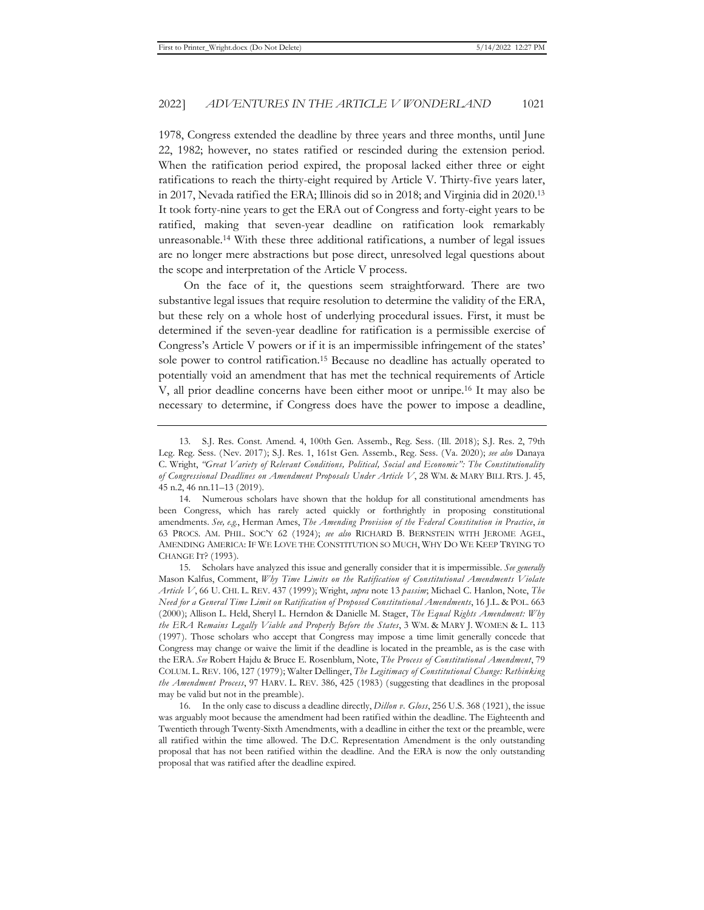1978, Congress extended the deadline by three years and three months, until June 22, 1982; however, no states ratified or rescinded during the extension period. When the ratification period expired, the proposal lacked either three or eight ratifications to reach the thirty-eight required by Article V. Thirty-five years later, in 2017, Nevada ratified the ERA; Illinois did so in 2018; and Virginia did in 2020.13 It took forty-nine years to get the ERA out of Congress and forty-eight years to be ratified, making that seven-year deadline on ratification look remarkably unreasonable.14 With these three additional ratifications, a number of legal issues are no longer mere abstractions but pose direct, unresolved legal questions about the scope and interpretation of the Article V process.

On the face of it, the questions seem straightforward. There are two substantive legal issues that require resolution to determine the validity of the ERA, but these rely on a whole host of underlying procedural issues. First, it must be determined if the seven-year deadline for ratification is a permissible exercise of Congress's Article V powers or if it is an impermissible infringement of the states' sole power to control ratification.15 Because no deadline has actually operated to potentially void an amendment that has met the technical requirements of Article V, all prior deadline concerns have been either moot or unripe.16 It may also be necessary to determine, if Congress does have the power to impose a deadline,

<sup>13.</sup> S.J. Res. Const. Amend. 4, 100th Gen. Assemb., Reg. Sess. (Ill. 2018); S.J. Res. 2, 79th Leg. Reg. Sess. (Nev. 2017); S.J. Res. 1, 161st Gen. Assemb., Reg. Sess. (Va. 2020); *see also* Danaya C. Wright, *"Great Variety of Relevant Conditions, Political, Social and Economic": The Constitutionality of Congressional Deadlines on Amendment Proposals Under Article V*, 28 WM. & MARY BILL RTS. J. 45, 45 n.2, 46 nn.11–13 (2019).

<sup>14.</sup> Numerous scholars have shown that the holdup for all constitutional amendments has been Congress, which has rarely acted quickly or forthrightly in proposing constitutional amendments. *See, e.g.*, Herman Ames, *The Amending Provision of the Federal Constitution in Practice*, *in* 63 PROCS. AM. PHIL. SOC'Y 62 (1924); *see also* RICHARD B. BERNSTEIN WITH JEROME AGEL, AMENDING AMERICA: IF WE LOVE THE CONSTITUTION SO MUCH, WHY DO WE KEEP TRYING TO CHANGE IT? (1993).

<sup>15.</sup> Scholars have analyzed this issue and generally consider that it is impermissible. *See generally*  Mason Kalfus, Comment, *Why Time Limits on the Ratification of Constitutional Amendments Violate Article V*, 66 U. CHI. L. REV. 437 (1999); Wright, *supra* note 13 *passim*; Michael C. Hanlon, Note, *The Need for a General Time Limit on Ratification of Proposed Constitutional Amendments*, 16 J.L. & POL. 663 (2000); Allison L. Held, Sheryl L. Herndon & Danielle M. Stager, *The Equal Rights Amendment: Why the ERA Remains Legally Viable and Properly Before the States*, 3 WM. & MARY J. WOMEN & L. 113 (1997). Those scholars who accept that Congress may impose a time limit generally concede that Congress may change or waive the limit if the deadline is located in the preamble, as is the case with the ERA. *See* Robert Hajdu & Bruce E. Rosenblum, Note, *The Process of Constitutional Amendment*, 79 COLUM. L. REV. 106, 127 (1979); Walter Dellinger, *The Legitimacy of Constitutional Change: Rethinking the Amendment Process*, 97 HARV. L. REV. 386, 425 (1983) (suggesting that deadlines in the proposal may be valid but not in the preamble).

<sup>16.</sup> In the only case to discuss a deadline directly, *Dillon v. Gloss*, 256 U.S. 368 (1921), the issue was arguably moot because the amendment had been ratified within the deadline. The Eighteenth and Twentieth through Twenty-Sixth Amendments, with a deadline in either the text or the preamble, were all ratified within the time allowed. The D.C. Representation Amendment is the only outstanding proposal that has not been ratified within the deadline. And the ERA is now the only outstanding proposal that was ratified after the deadline expired.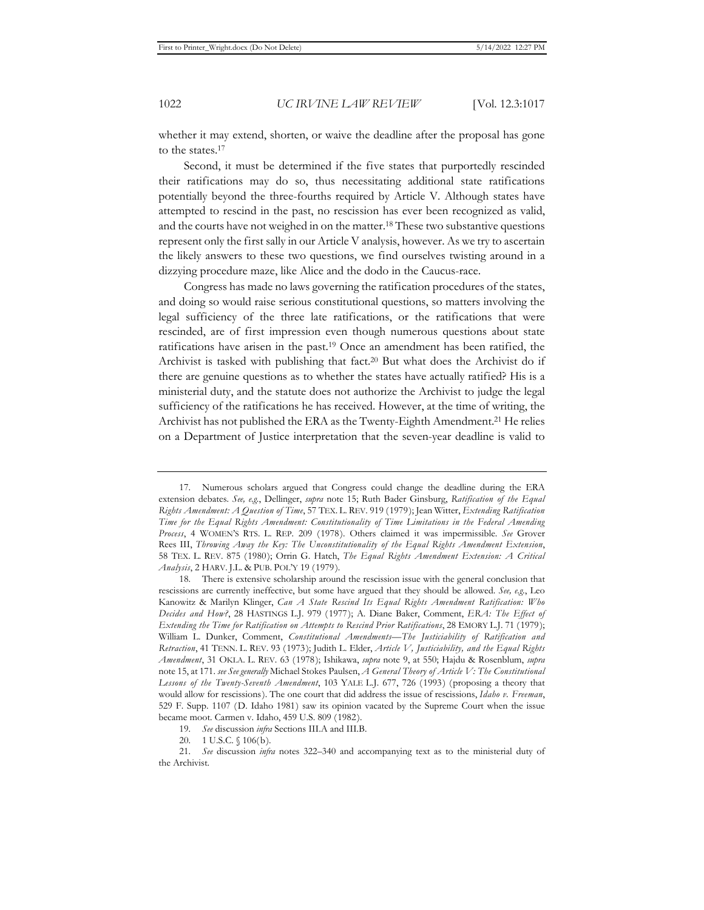whether it may extend, shorten, or waive the deadline after the proposal has gone to the states.17

Second, it must be determined if the five states that purportedly rescinded their ratifications may do so, thus necessitating additional state ratifications potentially beyond the three-fourths required by Article V. Although states have attempted to rescind in the past, no rescission has ever been recognized as valid, and the courts have not weighed in on the matter.18 These two substantive questions represent only the first sally in our Article V analysis, however. As we try to ascertain the likely answers to these two questions, we find ourselves twisting around in a dizzying procedure maze, like Alice and the dodo in the Caucus-race.

Congress has made no laws governing the ratification procedures of the states, and doing so would raise serious constitutional questions, so matters involving the legal sufficiency of the three late ratifications, or the ratifications that were rescinded, are of first impression even though numerous questions about state ratifications have arisen in the past.19 Once an amendment has been ratified, the Archivist is tasked with publishing that fact.20 But what does the Archivist do if there are genuine questions as to whether the states have actually ratified? His is a ministerial duty, and the statute does not authorize the Archivist to judge the legal sufficiency of the ratifications he has received. However, at the time of writing, the Archivist has not published the ERA as the Twenty-Eighth Amendment.<sup>21</sup> He relies on a Department of Justice interpretation that the seven-year deadline is valid to

<sup>17.</sup> Numerous scholars argued that Congress could change the deadline during the ERA extension debates. *See, e.g.*, Dellinger, *supra* note 15; Ruth Bader Ginsburg, *Ratification of the Equal Rights Amendment: A Question of Time*, 57 TEX. L. REV. 919 (1979); Jean Witter, *Extending Ratification Time for the Equal Rights Amendment: Constitutionality of Time Limitations in the Federal Amending Process*, 4 WOMEN'S RTS. L. REP. 209 (1978). Others claimed it was impermissible. *See* Grover Rees III, *Throwing Away the Key: The Unconstitutionality of the Equal Rights Amendment Extension*, 58 TEX. L. REV. 875 (1980); Orrin G. Hatch, *The Equal Rights Amendment Extension: A Critical Analysis*, 2 HARV. J.L. & PUB. POL'Y 19 (1979).

<sup>18.</sup> There is extensive scholarship around the rescission issue with the general conclusion that rescissions are currently ineffective, but some have argued that they should be allowed. *See, e.g.*, Leo Kanowitz & Marilyn Klinger, *Can A State Rescind Its Equal Rights Amendment Ratification: Who Decides and How?*, 28 HASTINGS L.J. 979 (1977); A. Diane Baker, Comment, *ERA: The Effect of Extending the Time for Ratification on Attempts to Rescind Prior Ratifications*, 28 EMORY L.J. 71 (1979); William L. Dunker, Comment, *Constitutional Amendments—The Justiciability of Ratification and Retraction*, 41 TENN. L. REV. 93 (1973); Judith L. Elder, *Article V, Justiciability, and the Equal Rights Amendment*, 31 OKLA. L. REV. 63 (1978); Ishikawa, *supra* note 9, at 550; Hajdu & Rosenblum, *supra* note 15, at 171. *see See generally* Michael Stokes Paulsen, *A General Theory of Article V: The Constitutional Lessons of the Twenty-Seventh Amendment*, 103 YALE L.J. 677, 726 (1993) (proposing a theory that would allow for rescissions). The one court that did address the issue of rescissions, *Idaho v. Freeman*, 529 F. Supp. 1107 (D. Idaho 1981) saw its opinion vacated by the Supreme Court when the issue became moot. Carmen v. Idaho, 459 U.S. 809 (1982).

<sup>19.</sup> *See* discussion *infra* Sections III.A and III.B.

<sup>20. 1</sup> U.S.C. § 106(b).

<sup>21.</sup> *See* discussion *infra* notes 322–340 and accompanying text as to the ministerial duty of the Archivist.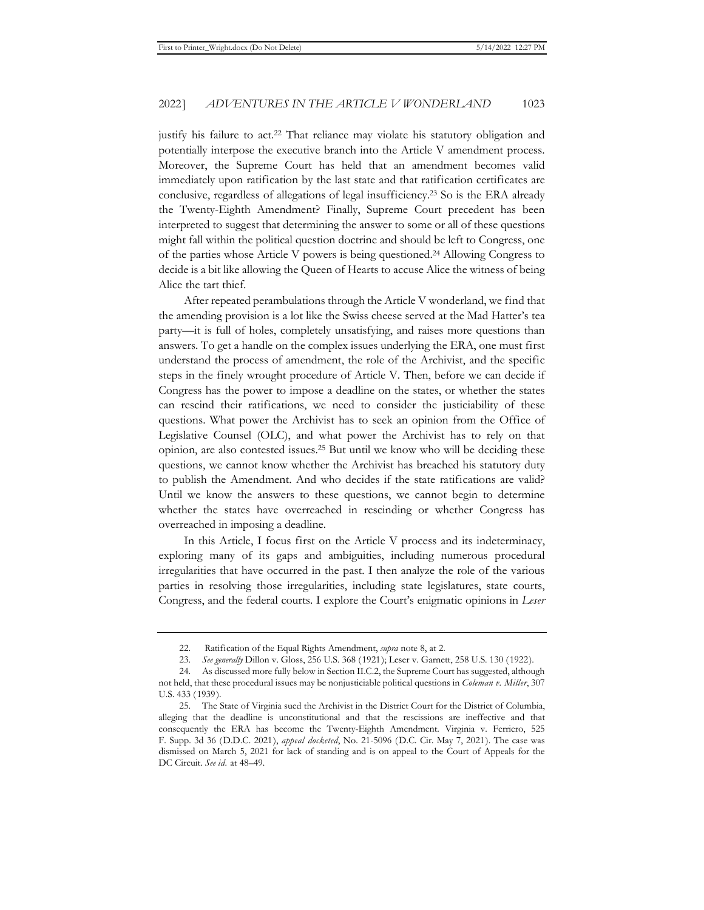justify his failure to act.<sup>22</sup> That reliance may violate his statutory obligation and potentially interpose the executive branch into the Article V amendment process. Moreover, the Supreme Court has held that an amendment becomes valid immediately upon ratification by the last state and that ratification certificates are conclusive, regardless of allegations of legal insufficiency.23 So is the ERA already the Twenty-Eighth Amendment? Finally, Supreme Court precedent has been interpreted to suggest that determining the answer to some or all of these questions might fall within the political question doctrine and should be left to Congress, one of the parties whose Article V powers is being questioned.24 Allowing Congress to decide is a bit like allowing the Queen of Hearts to accuse Alice the witness of being Alice the tart thief.

After repeated perambulations through the Article V wonderland, we find that the amending provision is a lot like the Swiss cheese served at the Mad Hatter's tea party—it is full of holes, completely unsatisfying, and raises more questions than answers. To get a handle on the complex issues underlying the ERA, one must first understand the process of amendment, the role of the Archivist, and the specific steps in the finely wrought procedure of Article V. Then, before we can decide if Congress has the power to impose a deadline on the states, or whether the states can rescind their ratifications, we need to consider the justiciability of these questions. What power the Archivist has to seek an opinion from the Office of Legislative Counsel (OLC), and what power the Archivist has to rely on that opinion, are also contested issues.25 But until we know who will be deciding these questions, we cannot know whether the Archivist has breached his statutory duty to publish the Amendment. And who decides if the state ratifications are valid? Until we know the answers to these questions, we cannot begin to determine whether the states have overreached in rescinding or whether Congress has overreached in imposing a deadline.

In this Article, I focus first on the Article V process and its indeterminacy, exploring many of its gaps and ambiguities, including numerous procedural irregularities that have occurred in the past. I then analyze the role of the various parties in resolving those irregularities, including state legislatures, state courts, Congress, and the federal courts. I explore the Court's enigmatic opinions in *Leser* 

<sup>22.</sup> Ratification of the Equal Rights Amendment, *supra* note 8, at 2.

<sup>23.</sup> *See generally* Dillon v. Gloss, 256 U.S. 368 (1921); Leser v. Garnett, 258 U.S. 130 (1922).

<sup>24.</sup> As discussed more fully below in Section II.C.2, the Supreme Court has suggested, although not held, that these procedural issues may be nonjusticiable political questions in *Coleman v. Miller*, 307 U.S. 433 (1939).

<sup>25.</sup> The State of Virginia sued the Archivist in the District Court for the District of Columbia, alleging that the deadline is unconstitutional and that the rescissions are ineffective and that consequently the ERA has become the Twenty-Eighth Amendment. Virginia v. Ferriero, 525 F. Supp. 3d 36 (D.D.C. 2021), *appeal docketed*, No. 21-5096 (D.C. Cir. May 7, 2021). The case was dismissed on March 5, 2021 for lack of standing and is on appeal to the Court of Appeals for the DC Circuit. *See id.* at 48–49.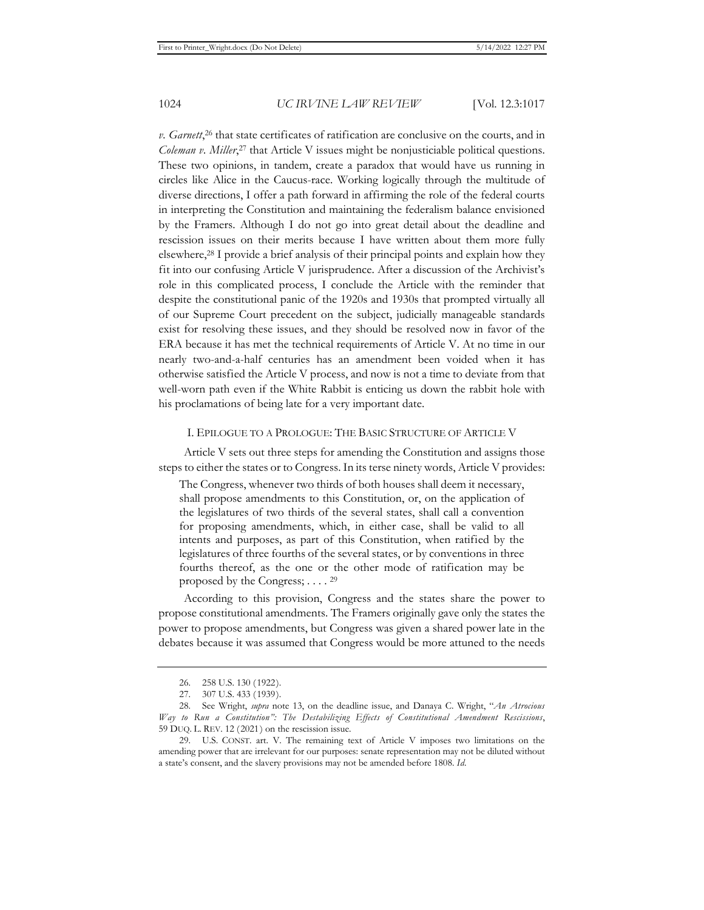v. Garnett,<sup>26</sup> that state certificates of ratification are conclusive on the courts, and in *Coleman v. Miller*, 27 that Article V issues might be nonjusticiable political questions. These two opinions, in tandem, create a paradox that would have us running in circles like Alice in the Caucus-race. Working logically through the multitude of diverse directions, I offer a path forward in affirming the role of the federal courts in interpreting the Constitution and maintaining the federalism balance envisioned by the Framers. Although I do not go into great detail about the deadline and rescission issues on their merits because I have written about them more fully elsewhere,28 I provide a brief analysis of their principal points and explain how they fit into our confusing Article V jurisprudence. After a discussion of the Archivist's role in this complicated process, I conclude the Article with the reminder that despite the constitutional panic of the 1920s and 1930s that prompted virtually all of our Supreme Court precedent on the subject, judicially manageable standards exist for resolving these issues, and they should be resolved now in favor of the ERA because it has met the technical requirements of Article V. At no time in our nearly two-and-a-half centuries has an amendment been voided when it has otherwise satisfied the Article V process, and now is not a time to deviate from that well-worn path even if the White Rabbit is enticing us down the rabbit hole with his proclamations of being late for a very important date.

#### I. EPILOGUE TO A PROLOGUE: THE BASIC STRUCTURE OF ARTICLE V

Article V sets out three steps for amending the Constitution and assigns those steps to either the states or to Congress. In its terse ninety words, Article V provides:

The Congress, whenever two thirds of both houses shall deem it necessary, shall propose amendments to this Constitution, or, on the application of the legislatures of two thirds of the several states, shall call a convention for proposing amendments, which, in either case, shall be valid to all intents and purposes, as part of this Constitution, when ratified by the legislatures of three fourths of the several states, or by conventions in three fourths thereof, as the one or the other mode of ratification may be proposed by the Congress; . . . . 29

According to this provision, Congress and the states share the power to propose constitutional amendments. The Framers originally gave only the states the power to propose amendments, but Congress was given a shared power late in the debates because it was assumed that Congress would be more attuned to the needs

<sup>26. 258</sup> U.S. 130 (1922).

<sup>27. 307</sup> U.S. 433 (1939).

<sup>28.</sup> See Wright, *supra* note 13, on the deadline issue, and Danaya C. Wright, "*An Atrocious Way to Run a Constitution": The Destabilizing Effects of Constitutional Amendment Rescissions*, 59 DUQ. L. REV. 12 (2021) on the rescission issue.

<sup>29.</sup> U.S. CONST. art. V. The remaining text of Article V imposes two limitations on the amending power that are irrelevant for our purposes: senate representation may not be diluted without a state's consent, and the slavery provisions may not be amended before 1808. *Id.*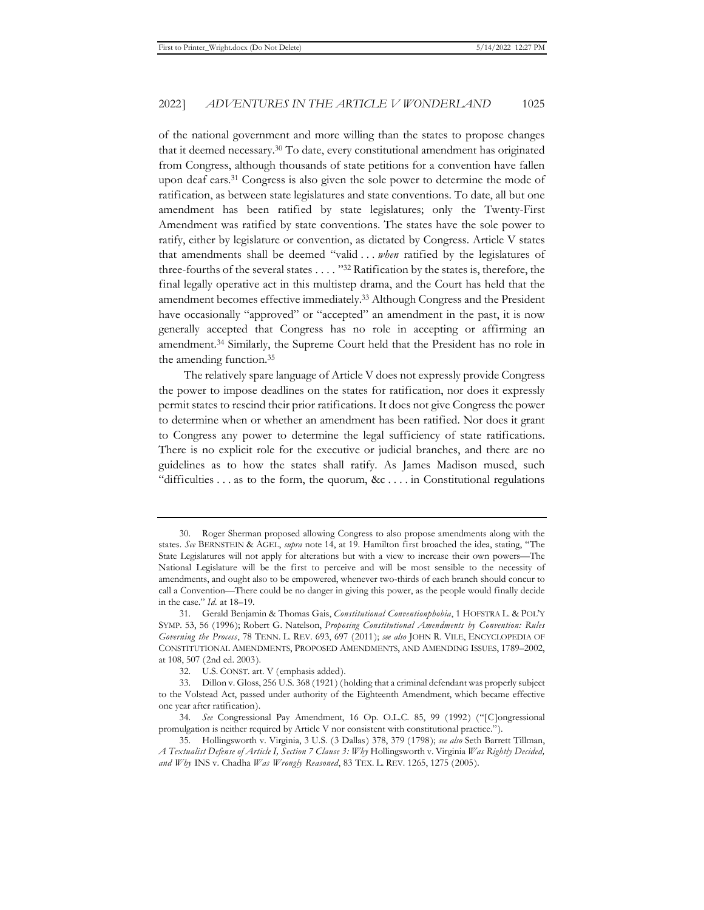of the national government and more willing than the states to propose changes that it deemed necessary.30 To date, every constitutional amendment has originated from Congress, although thousands of state petitions for a convention have fallen upon deaf ears.31 Congress is also given the sole power to determine the mode of ratification, as between state legislatures and state conventions. To date, all but one amendment has been ratified by state legislatures; only the Twenty-First Amendment was ratified by state conventions. The states have the sole power to ratify, either by legislature or convention, as dictated by Congress. Article V states that amendments shall be deemed "valid . . . *when* ratified by the legislatures of three-fourths of the several states . . . . "32 Ratification by the states is, therefore, the final legally operative act in this multistep drama, and the Court has held that the amendment becomes effective immediately.33 Although Congress and the President have occasionally "approved" or "accepted" an amendment in the past, it is now generally accepted that Congress has no role in accepting or affirming an amendment.34 Similarly, the Supreme Court held that the President has no role in the amending function.35

The relatively spare language of Article V does not expressly provide Congress the power to impose deadlines on the states for ratification, nor does it expressly permit states to rescind their prior ratifications. It does not give Congress the power to determine when or whether an amendment has been ratified. Nor does it grant to Congress any power to determine the legal sufficiency of state ratifications. There is no explicit role for the executive or judicial branches, and there are no guidelines as to how the states shall ratify. As James Madison mused, such "difficulties . . . as to the form, the quorum, &c . . . . in Constitutional regulations

<sup>30.</sup> Roger Sherman proposed allowing Congress to also propose amendments along with the states. *See* BERNSTEIN & AGEL, *supra* note 14, at 19. Hamilton first broached the idea, stating, "The State Legislatures will not apply for alterations but with a view to increase their own powers—The National Legislature will be the first to perceive and will be most sensible to the necessity of amendments, and ought also to be empowered, whenever two-thirds of each branch should concur to call a Convention—There could be no danger in giving this power, as the people would finally decide in the case." *Id.* at 18–19.

<sup>31.</sup> Gerald Benjamin & Thomas Gais, *Constitutional Conventionphobia*, 1 HOFSTRA L. & POL'Y SYMP. 53, 56 (1996); Robert G. Natelson, *Proposing Constitutional Amendments by Convention: Rules Governing the Process*, 78 TENN. L. REV. 693, 697 (2011); *see also* JOHN R. VILE, ENCYCLOPEDIA OF CONSTITUTIONAL AMENDMENTS, PROPOSED AMENDMENTS, AND AMENDING ISSUES, 1789–2002, at 108, 507 (2nd ed. 2003).

<sup>32.</sup> U.S. CONST. art. V (emphasis added).

<sup>33.</sup> Dillon v. Gloss, 256 U.S. 368 (1921) (holding that a criminal defendant was properly subject to the Volstead Act, passed under authority of the Eighteenth Amendment, which became effective one year after ratification).

<sup>34.</sup> *See* Congressional Pay Amendment, 16 Op. O.L.C. 85, 99 (1992) ("[C]ongressional promulgation is neither required by Article V nor consistent with constitutional practice.").

<sup>35.</sup> Hollingsworth v. Virginia, 3 U.S. (3 Dallas) 378, 379 (1798); *see also* Seth Barrett Tillman, *A Textualist Defense of Article I, Section 7 Clause 3: Why* Hollingsworth v. Virginia *Was Rightly Decided, and Why* INS v. Chadha *Was Wrongly Reasoned*, 83 TEX. L. REV. 1265, 1275 (2005).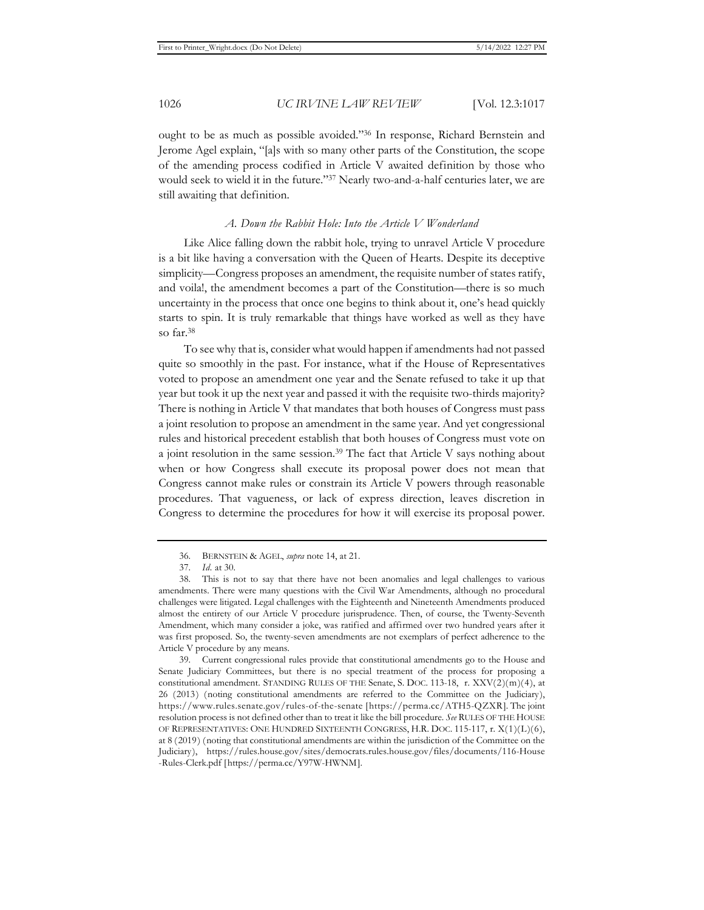ought to be as much as possible avoided."36 In response, Richard Bernstein and Jerome Agel explain, "[a]s with so many other parts of the Constitution, the scope of the amending process codified in Article V awaited definition by those who would seek to wield it in the future."37 Nearly two-and-a-half centuries later, we are still awaiting that definition.

#### *A. Down the Rabbit Hole: Into the Article V Wonderland*

Like Alice falling down the rabbit hole, trying to unravel Article V procedure is a bit like having a conversation with the Queen of Hearts. Despite its deceptive simplicity—Congress proposes an amendment, the requisite number of states ratify, and voila!, the amendment becomes a part of the Constitution—there is so much uncertainty in the process that once one begins to think about it, one's head quickly starts to spin. It is truly remarkable that things have worked as well as they have so far.38

To see why that is, consider what would happen if amendments had not passed quite so smoothly in the past. For instance, what if the House of Representatives voted to propose an amendment one year and the Senate refused to take it up that year but took it up the next year and passed it with the requisite two-thirds majority? There is nothing in Article V that mandates that both houses of Congress must pass a joint resolution to propose an amendment in the same year. And yet congressional rules and historical precedent establish that both houses of Congress must vote on a joint resolution in the same session.39 The fact that Article V says nothing about when or how Congress shall execute its proposal power does not mean that Congress cannot make rules or constrain its Article V powers through reasonable procedures. That vagueness, or lack of express direction, leaves discretion in Congress to determine the procedures for how it will exercise its proposal power.

<sup>36.</sup> BERNSTEIN & AGEL, *supra* note 14, at 21.

<sup>37.</sup> *Id.* at 30.

<sup>38.</sup> This is not to say that there have not been anomalies and legal challenges to various amendments. There were many questions with the Civil War Amendments, although no procedural challenges were litigated. Legal challenges with the Eighteenth and Nineteenth Amendments produced almost the entirety of our Article V procedure jurisprudence. Then, of course, the Twenty-Seventh Amendment, which many consider a joke, was ratified and affirmed over two hundred years after it was first proposed. So, the twenty-seven amendments are not exemplars of perfect adherence to the Article V procedure by any means.

<sup>39.</sup> Current congressional rules provide that constitutional amendments go to the House and Senate Judiciary Committees, but there is no special treatment of the process for proposing a constitutional amendment. STANDING RULES OF THE Senate, S. DOC. 113-18, r. XXV(2)(m)(4), at 26 (2013) (noting constitutional amendments are referred to the Committee on the Judiciary), https://www.rules.senate.gov/rules-of-the-senate [https://perma.cc/ATH5-QZXR]. The joint resolution process is not defined other than to treat it like the bill procedure. *See* RULES OF THE HOUSE OF REPRESENTATIVES: ONE HUNDRED SIXTEENTH CONGRESS, H.R. DOC. 115-117, r. X(1)(L)(6), at 8 (2019) (noting that constitutional amendments are within the jurisdiction of the Committee on the Judiciary), https://rules.house.gov/sites/democrats.rules.house.gov/files/documents/116-House -Rules-Clerk.pdf [https://perma.cc/Y97W-HWNM].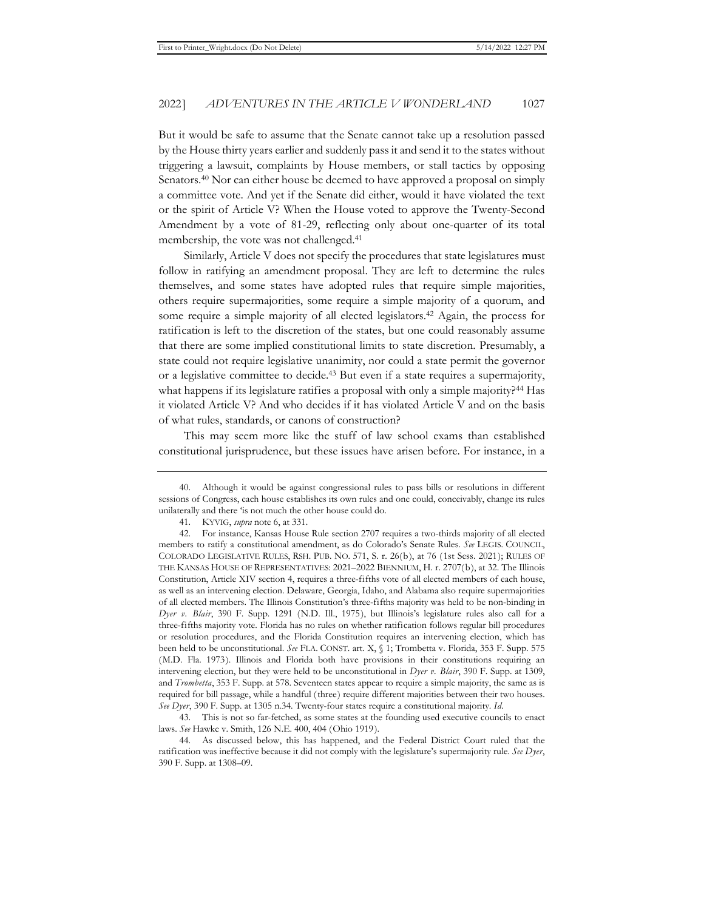But it would be safe to assume that the Senate cannot take up a resolution passed by the House thirty years earlier and suddenly pass it and send it to the states without triggering a lawsuit, complaints by House members, or stall tactics by opposing Senators.40 Nor can either house be deemed to have approved a proposal on simply a committee vote. And yet if the Senate did either, would it have violated the text or the spirit of Article V? When the House voted to approve the Twenty-Second Amendment by a vote of 81-29, reflecting only about one-quarter of its total membership, the vote was not challenged.41

Similarly, Article V does not specify the procedures that state legislatures must follow in ratifying an amendment proposal. They are left to determine the rules themselves, and some states have adopted rules that require simple majorities, others require supermajorities, some require a simple majority of a quorum, and some require a simple majority of all elected legislators.<sup>42</sup> Again, the process for ratification is left to the discretion of the states, but one could reasonably assume that there are some implied constitutional limits to state discretion. Presumably, a state could not require legislative unanimity, nor could a state permit the governor or a legislative committee to decide.43 But even if a state requires a supermajority, what happens if its legislature ratifies a proposal with only a simple majority?<sup>44</sup> Has it violated Article V? And who decides if it has violated Article V and on the basis of what rules, standards, or canons of construction?

This may seem more like the stuff of law school exams than established constitutional jurisprudence, but these issues have arisen before. For instance, in a

<sup>40.</sup> Although it would be against congressional rules to pass bills or resolutions in different sessions of Congress, each house establishes its own rules and one could, conceivably, change its rules unilaterally and there 'is not much the other house could do.

<sup>41.</sup> KYVIG, *supra* note 6, at 331.

<sup>42.</sup> For instance, Kansas House Rule section 2707 requires a two-thirds majority of all elected members to ratify a constitutional amendment, as do Colorado's Senate Rules. *See* LEGIS. COUNCIL, COLORADO LEGISLATIVE RULES, RSH. PUB. NO. 571, S. r. 26(b), at 76 (1st Sess. 2021); RULES OF THE KANSAS HOUSE OF REPRESENTATIVES: 2021–2022 BIENNIUM, H. r. 2707(b), at 32. The Illinois Constitution, Article XIV section 4, requires a three-fifths vote of all elected members of each house, as well as an intervening election. Delaware, Georgia, Idaho, and Alabama also require supermajorities of all elected members. The Illinois Constitution's three-fifths majority was held to be non-binding in *Dyer v. Blair*, 390 F. Supp. 1291 (N.D. Ill., 1975), but Illinois's legislature rules also call for a three-fifths majority vote. Florida has no rules on whether ratification follows regular bill procedures or resolution procedures, and the Florida Constitution requires an intervening election, which has been held to be unconstitutional. *See* FLA. CONST. art. X, § 1; Trombetta v. Florida, 353 F. Supp. 575 (M.D. Fla. 1973). Illinois and Florida both have provisions in their constitutions requiring an intervening election, but they were held to be unconstitutional in *Dyer v. Blair*, 390 F. Supp. at 1309, and *Trombetta*, 353 F. Supp. at 578. Seventeen states appear to require a simple majority, the same as is required for bill passage, while a handful (three) require different majorities between their two houses. *See Dyer*, 390 F. Supp. at 1305 n.34. Twenty-four states require a constitutional majority. *Id.*

<sup>43.</sup> This is not so far-fetched, as some states at the founding used executive councils to enact laws. *See* Hawke v. Smith, 126 N.E. 400, 404 (Ohio 1919).

<sup>44.</sup> As discussed below, this has happened, and the Federal District Court ruled that the ratification was ineffective because it did not comply with the legislature's supermajority rule. *See Dyer*, 390 F. Supp. at 1308–09.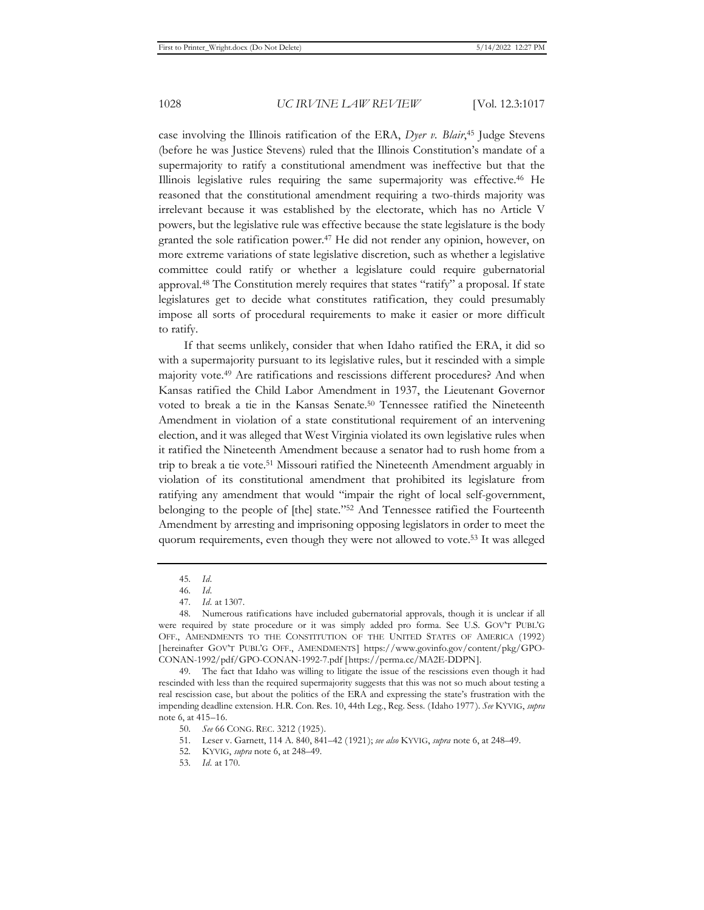case involving the Illinois ratification of the ERA, *Dyer v. Blair*, 45 Judge Stevens (before he was Justice Stevens) ruled that the Illinois Constitution's mandate of a supermajority to ratify a constitutional amendment was ineffective but that the Illinois legislative rules requiring the same supermajority was effective.46 He reasoned that the constitutional amendment requiring a two-thirds majority was irrelevant because it was established by the electorate, which has no Article V powers, but the legislative rule was effective because the state legislature is the body granted the sole ratification power.47 He did not render any opinion, however, on more extreme variations of state legislative discretion, such as whether a legislative committee could ratify or whether a legislature could require gubernatorial approval.48 The Constitution merely requires that states "ratify" a proposal. If state legislatures get to decide what constitutes ratification, they could presumably impose all sorts of procedural requirements to make it easier or more difficult to ratify.

If that seems unlikely, consider that when Idaho ratified the ERA, it did so with a supermajority pursuant to its legislative rules, but it rescinded with a simple majority vote.49 Are ratifications and rescissions different procedures? And when Kansas ratified the Child Labor Amendment in 1937, the Lieutenant Governor voted to break a tie in the Kansas Senate.50 Tennessee ratified the Nineteenth Amendment in violation of a state constitutional requirement of an intervening election, and it was alleged that West Virginia violated its own legislative rules when it ratified the Nineteenth Amendment because a senator had to rush home from a trip to break a tie vote.51 Missouri ratified the Nineteenth Amendment arguably in violation of its constitutional amendment that prohibited its legislature from ratifying any amendment that would "impair the right of local self-government, belonging to the people of [the] state."52 And Tennessee ratified the Fourteenth Amendment by arresting and imprisoning opposing legislators in order to meet the quorum requirements, even though they were not allowed to vote.53 It was alleged

51. Leser v. Garnett, 114 A. 840, 841–42 (1921); *see also* KYVIG, *supra* note 6, at 248–49.

<sup>45.</sup> *Id.*

<sup>46.</sup> *Id.*

<sup>47.</sup> *Id.* at 1307.

<sup>48.</sup> Numerous ratifications have included gubernatorial approvals, though it is unclear if all were required by state procedure or it was simply added pro forma. See U.S. GOV'T PUBL'G OFF., AMENDMENTS TO THE CONSTITUTION OF THE UNITED STATES OF AMERICA (1992) [hereinafter GOV'T PUBL'G OFF., AMENDMENTS ] https://www.govinfo.gov/content/pkg/GPO-CONAN-1992/pdf/GPO-CONAN-1992-7.pdf [https://perma.cc/MA2E-DDPN].

<sup>49.</sup> The fact that Idaho was willing to litigate the issue of the rescissions even though it had rescinded with less than the required supermajority suggests that this was not so much about testing a real rescission case, but about the politics of the ERA and expressing the state's frustration with the impending deadline extension. H.R. Con. Res. 10, 44th Leg., Reg. Sess. (Idaho 1977). *See* KYVIG, *supra* note 6, at 415–16.

<sup>50.</sup> *See* 66 CONG. REC. 3212 (1925).

<sup>52.</sup> KYVIG, *supra* note 6, at 248–49.

<sup>53.</sup> *Id.* at 170.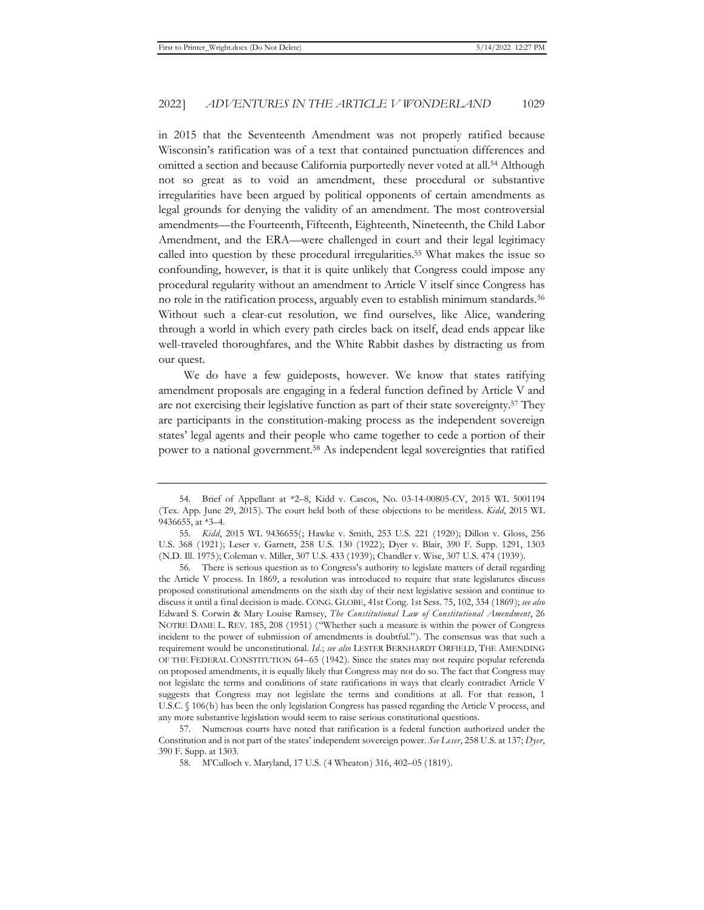in 2015 that the Seventeenth Amendment was not properly ratified because Wisconsin's ratification was of a text that contained punctuation differences and omitted a section and because California purportedly never voted at all.54 Although not so great as to void an amendment, these procedural or substantive irregularities have been argued by political opponents of certain amendments as legal grounds for denying the validity of an amendment. The most controversial amendments—the Fourteenth, Fifteenth, Eighteenth, Nineteenth, the Child Labor Amendment, and the ERA—were challenged in court and their legal legitimacy called into question by these procedural irregularities.55 What makes the issue so confounding, however, is that it is quite unlikely that Congress could impose any procedural regularity without an amendment to Article V itself since Congress has no role in the ratification process, arguably even to establish minimum standards.56 Without such a clear-cut resolution, we find ourselves, like Alice, wandering through a world in which every path circles back on itself, dead ends appear like well-traveled thoroughfares, and the White Rabbit dashes by distracting us from our quest.

We do have a few guideposts, however. We know that states ratifying amendment proposals are engaging in a federal function defined by Article V and are not exercising their legislative function as part of their state sovereignty.<sup>57</sup> They are participants in the constitution-making process as the independent sovereign states' legal agents and their people who came together to cede a portion of their power to a national government.58 As independent legal sovereignties that ratified

<sup>54.</sup> Brief of Appellant at \*2–8, Kidd v. Cascos, No. 03-14-00805-CV, 2015 WL 5001194 (Tex. App. June 29, 2015). The court held both of these objections to be meritless. *Kidd*, 2015 WL 9436655, at \*3–4.

<sup>55.</sup> *Kidd*, 2015 WL 9436655(; Hawke v. Smith, 253 U.S. 221 (1920); Dillon v. Gloss, 256 U.S. 368 (1921); Leser v. Garnett, 258 U.S. 130 (1922); Dyer v. Blair, 390 F. Supp. 1291, 1303 (N.D. Ill. 1975); Coleman v. Miller, 307 U.S. 433 (1939); Chandler v. Wise, 307 U.S. 474 (1939).

<sup>56.</sup> There is serious question as to Congress's authority to legislate matters of detail regarding the Article V process. In 1869, a resolution was introduced to require that state legislatures discuss proposed constitutional amendments on the sixth day of their next legislative session and continue to discuss it until a final decision is made. CONG. GLOBE, 41st Cong. 1st Sess. 75, 102, 334 (1869); *see also* Edward S. Corwin & Mary Louise Ramsey, *The Constitutional Law of Constitutional Amendment*, 26 NOTRE DAME L. REV. 185, 208 (1951) ("Whether such a measure is within the power of Congress incident to the power of submission of amendments is doubtful."). The consensus was that such a requirement would be unconstitutional. *Id.*; *see also* LESTER BERNHARDT ORFIELD, THE AMENDING OF THE FEDERAL CONSTITUTION 64–65 (1942). Since the states may not require popular referenda on proposed amendments, it is equally likely that Congress may not do so. The fact that Congress may not legislate the terms and conditions of state ratifications in ways that clearly contradict Article V suggests that Congress may not legislate the terms and conditions at all. For that reason, 1 U.S.C. § 106(b) has been the only legislation Congress has passed regarding the Article V process, and any more substantive legislation would seem to raise serious constitutional questions.

<sup>57.</sup> Numerous courts have noted that ratification is a federal function authorized under the Constitution and is not part of the states' independent sovereign power. *See Leser*, 258 U.S. at 137; *Dyer*, 390 F. Supp. at 1303.

<sup>58.</sup> M'Culloch v. Maryland, 17 U.S. (4 Wheaton) 316, 402–05 (1819).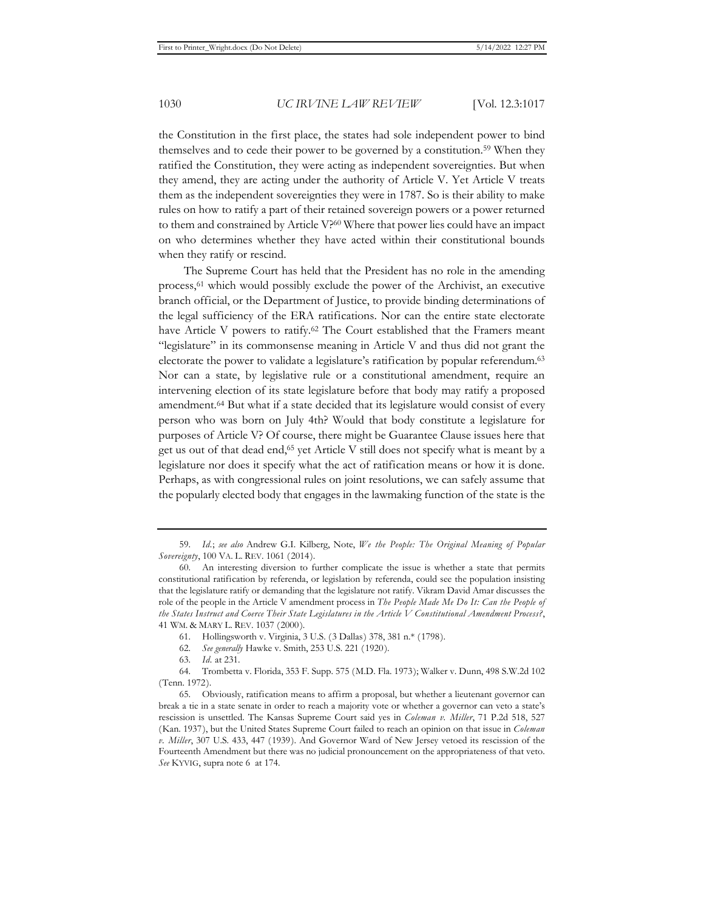the Constitution in the first place, the states had sole independent power to bind themselves and to cede their power to be governed by a constitution.<sup>59</sup> When they ratified the Constitution, they were acting as independent sovereignties. But when they amend, they are acting under the authority of Article V. Yet Article V treats them as the independent sovereignties they were in 1787. So is their ability to make rules on how to ratify a part of their retained sovereign powers or a power returned to them and constrained by Article V?60 Where that power lies could have an impact on who determines whether they have acted within their constitutional bounds when they ratify or rescind.

The Supreme Court has held that the President has no role in the amending process,61 which would possibly exclude the power of the Archivist, an executive branch official, or the Department of Justice, to provide binding determinations of the legal sufficiency of the ERA ratifications. Nor can the entire state electorate have Article V powers to ratify.<sup>62</sup> The Court established that the Framers meant "legislature" in its commonsense meaning in Article V and thus did not grant the electorate the power to validate a legislature's ratification by popular referendum.<sup>63</sup> Nor can a state, by legislative rule or a constitutional amendment, require an intervening election of its state legislature before that body may ratify a proposed amendment.64 But what if a state decided that its legislature would consist of every person who was born on July 4th? Would that body constitute a legislature for purposes of Article V? Of course, there might be Guarantee Clause issues here that get us out of that dead end,<sup>65</sup> yet Article V still does not specify what is meant by a legislature nor does it specify what the act of ratification means or how it is done. Perhaps, as with congressional rules on joint resolutions, we can safely assume that the popularly elected body that engages in the lawmaking function of the state is the

<sup>59.</sup> *Id.*; *see also* Andrew G.I. Kilberg, Note, *We the People: The Original Meaning of Popular Sovereignty*, 100 VA. L. REV. 1061 (2014).

<sup>60.</sup> An interesting diversion to further complicate the issue is whether a state that permits constitutional ratification by referenda, or legislation by referenda, could see the population insisting that the legislature ratify or demanding that the legislature not ratify. Vikram David Amar discusses the role of the people in the Article V amendment process in *The People Made Me Do It: Can the People of the States Instruct and Coerce Their State Legislatures in the Article V Constitutional Amendment Process?*, 41 WM. & MARY L. REV. 1037 (2000).

<sup>61.</sup> Hollingsworth v. Virginia, 3 U.S. (3 Dallas) 378, 381 n.\* (1798).

<sup>62.</sup> *See generally* Hawke v. Smith, 253 U.S. 221 (1920).

<sup>63.</sup> *Id.* at 231.

<sup>64.</sup> Trombetta v. Florida, 353 F. Supp. 575 (M.D. Fla. 1973); Walker v. Dunn, 498 S.W.2d 102 (Tenn. 1972).

<sup>65.</sup> Obviously, ratification means to affirm a proposal, but whether a lieutenant governor can break a tie in a state senate in order to reach a majority vote or whether a governor can veto a state's rescission is unsettled. The Kansas Supreme Court said yes in *Coleman v. Miller*, 71 P.2d 518, 527 (Kan. 1937), but the United States Supreme Court failed to reach an opinion on that issue in *Coleman v. Miller*, 307 U.S. 433, 447 (1939). And Governor Ward of New Jersey vetoed its rescission of the Fourteenth Amendment but there was no judicial pronouncement on the appropriateness of that veto. *See* KYVIG, supra note 6 at 174.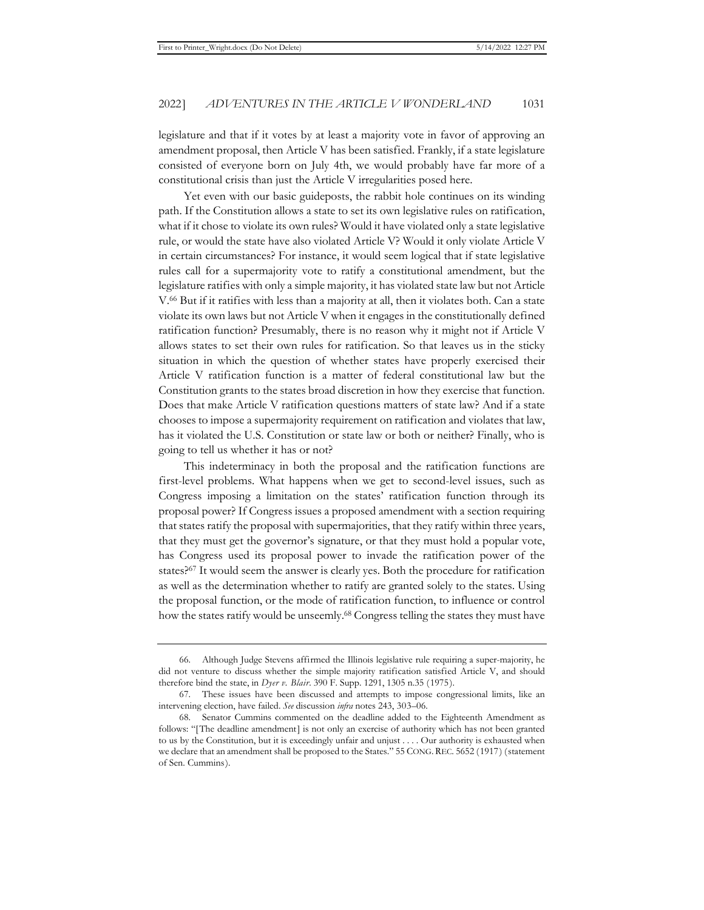legislature and that if it votes by at least a majority vote in favor of approving an amendment proposal, then Article V has been satisfied. Frankly, if a state legislature consisted of everyone born on July 4th, we would probably have far more of a constitutional crisis than just the Article V irregularities posed here.

Yet even with our basic guideposts, the rabbit hole continues on its winding path. If the Constitution allows a state to set its own legislative rules on ratification, what if it chose to violate its own rules? Would it have violated only a state legislative rule, or would the state have also violated Article V? Would it only violate Article V in certain circumstances? For instance, it would seem logical that if state legislative rules call for a supermajority vote to ratify a constitutional amendment, but the legislature ratifies with only a simple majority, it has violated state law but not Article V.66 But if it ratifies with less than a majority at all, then it violates both. Can a state violate its own laws but not Article V when it engages in the constitutionally defined ratification function? Presumably, there is no reason why it might not if Article V allows states to set their own rules for ratification. So that leaves us in the sticky situation in which the question of whether states have properly exercised their Article V ratification function is a matter of federal constitutional law but the Constitution grants to the states broad discretion in how they exercise that function. Does that make Article V ratification questions matters of state law? And if a state chooses to impose a supermajority requirement on ratification and violates that law, has it violated the U.S. Constitution or state law or both or neither? Finally, who is going to tell us whether it has or not?

This indeterminacy in both the proposal and the ratification functions are first-level problems. What happens when we get to second-level issues, such as Congress imposing a limitation on the states' ratification function through its proposal power? If Congress issues a proposed amendment with a section requiring that states ratify the proposal with supermajorities, that they ratify within three years, that they must get the governor's signature, or that they must hold a popular vote, has Congress used its proposal power to invade the ratification power of the states?67 It would seem the answer is clearly yes. Both the procedure for ratification as well as the determination whether to ratify are granted solely to the states. Using the proposal function, or the mode of ratification function, to influence or control how the states ratify would be unseemly.68 Congress telling the states they must have

<sup>66.</sup> Although Judge Stevens affirmed the Illinois legislative rule requiring a super-majority, he did not venture to discuss whether the simple majority ratification satisfied Article V, and should therefore bind the state, in *Dyer v. Blair*. 390 F. Supp. 1291, 1305 n.35 (1975).

<sup>67.</sup> These issues have been discussed and attempts to impose congressional limits, like an intervening election, have failed. *See* discussion *infra* notes 243, 303–06.

<sup>68.</sup> Senator Cummins commented on the deadline added to the Eighteenth Amendment as follows: "[The deadline amendment] is not only an exercise of authority which has not been granted to us by the Constitution, but it is exceedingly unfair and unjust . . . . Our authority is exhausted when we declare that an amendment shall be proposed to the States." 55 CONG.REC. 5652 (1917) (statement of Sen. Cummins).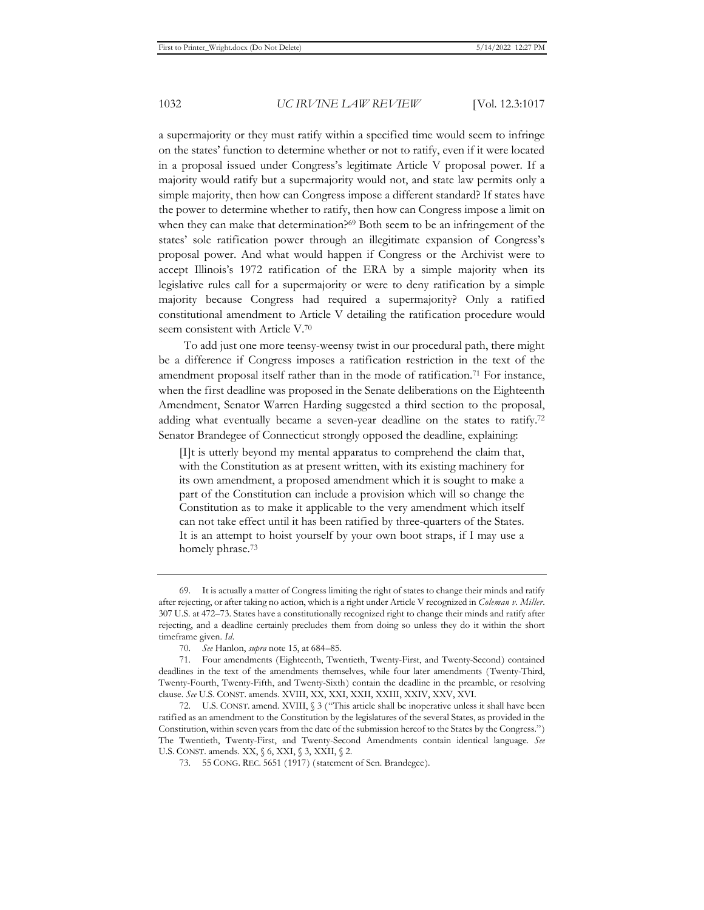a supermajority or they must ratify within a specified time would seem to infringe on the states' function to determine whether or not to ratify, even if it were located in a proposal issued under Congress's legitimate Article V proposal power. If a majority would ratify but a supermajority would not, and state law permits only a simple majority, then how can Congress impose a different standard? If states have the power to determine whether to ratify, then how can Congress impose a limit on when they can make that determination?<sup>69</sup> Both seem to be an infringement of the states' sole ratification power through an illegitimate expansion of Congress's proposal power. And what would happen if Congress or the Archivist were to accept Illinois's 1972 ratification of the ERA by a simple majority when its legislative rules call for a supermajority or were to deny ratification by a simple majority because Congress had required a supermajority? Only a ratified constitutional amendment to Article V detailing the ratification procedure would seem consistent with Article V.70

To add just one more teensy-weensy twist in our procedural path, there might be a difference if Congress imposes a ratification restriction in the text of the amendment proposal itself rather than in the mode of ratification.71 For instance, when the first deadline was proposed in the Senate deliberations on the Eighteenth Amendment, Senator Warren Harding suggested a third section to the proposal, adding what eventually became a seven-year deadline on the states to ratify.72 Senator Brandegee of Connecticut strongly opposed the deadline, explaining:

[I]t is utterly beyond my mental apparatus to comprehend the claim that, with the Constitution as at present written, with its existing machinery for its own amendment, a proposed amendment which it is sought to make a part of the Constitution can include a provision which will so change the Constitution as to make it applicable to the very amendment which itself can not take effect until it has been ratified by three-quarters of the States. It is an attempt to hoist yourself by your own boot straps, if I may use a homely phrase.<sup>73</sup>

<sup>69.</sup> It is actually a matter of Congress limiting the right of states to change their minds and ratify after rejecting, or after taking no action, which is a right under Article V recognized in *Coleman v. Miller*. 307 U.S. at 472–73. States have a constitutionally recognized right to change their minds and ratify after rejecting, and a deadline certainly precludes them from doing so unless they do it within the short timeframe given. *Id*.

<sup>70.</sup> *See* Hanlon, *supra* note 15, at 684–85.

<sup>71.</sup> Four amendments (Eighteenth, Twentieth, Twenty-First, and Twenty-Second) contained deadlines in the text of the amendments themselves, while four later amendments (Twenty-Third, Twenty-Fourth, Twenty-Fifth, and Twenty-Sixth) contain the deadline in the preamble, or resolving clause. *See* U.S. CONST. amends. XVIII, XX, XXI, XXII, XXIII, XXIV, XXV, XVI.

<sup>72.</sup> U.S. CONST. amend. XVIII, § 3 ("This article shall be inoperative unless it shall have been ratified as an amendment to the Constitution by the legislatures of the several States, as provided in the Constitution, within seven years from the date of the submission hereof to the States by the Congress.") The Twentieth, Twenty-First, and Twenty-Second Amendments contain identical language. *See* U.S. CONST. amends. XX, § 6, XXI, § 3, XXII, § 2.

<sup>73. 55</sup> CONG. REC. 5651 (1917) (statement of Sen. Brandegee).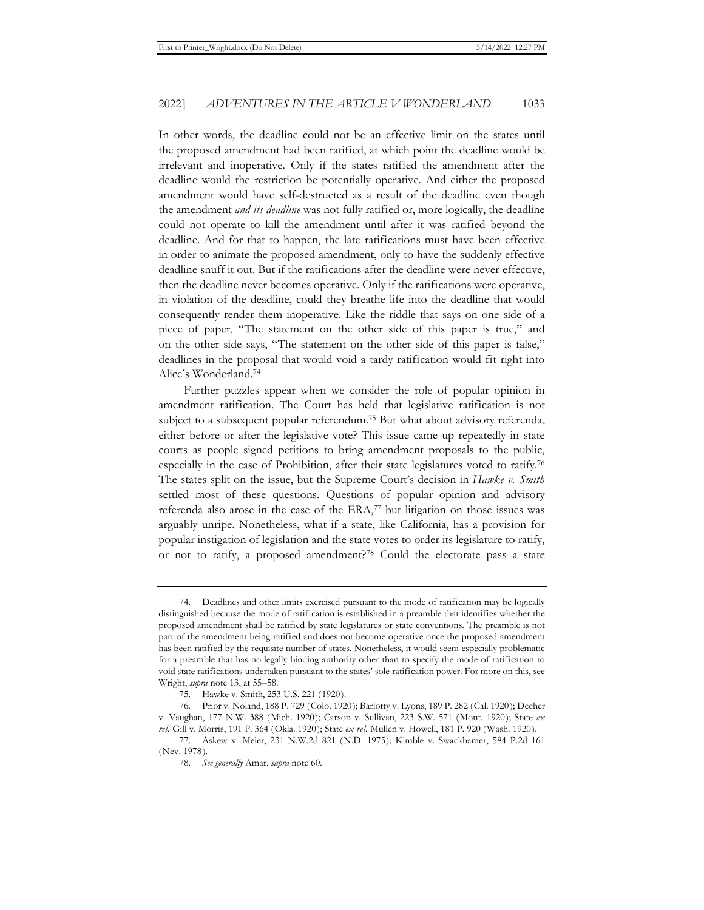In other words, the deadline could not be an effective limit on the states until the proposed amendment had been ratified, at which point the deadline would be irrelevant and inoperative. Only if the states ratified the amendment after the deadline would the restriction be potentially operative. And either the proposed amendment would have self-destructed as a result of the deadline even though the amendment *and its deadline* was not fully ratified or, more logically, the deadline could not operate to kill the amendment until after it was ratified beyond the deadline. And for that to happen, the late ratifications must have been effective in order to animate the proposed amendment, only to have the suddenly effective deadline snuff it out. But if the ratifications after the deadline were never effective, then the deadline never becomes operative. Only if the ratifications were operative, in violation of the deadline, could they breathe life into the deadline that would consequently render them inoperative. Like the riddle that says on one side of a piece of paper, "The statement on the other side of this paper is true," and on the other side says, "The statement on the other side of this paper is false," deadlines in the proposal that would void a tardy ratification would fit right into Alice's Wonderland.74

Further puzzles appear when we consider the role of popular opinion in amendment ratification. The Court has held that legislative ratification is not subject to a subsequent popular referendum.75 But what about advisory referenda, either before or after the legislative vote? This issue came up repeatedly in state courts as people signed petitions to bring amendment proposals to the public, especially in the case of Prohibition, after their state legislatures voted to ratify.76 The states split on the issue, but the Supreme Court's decision in *Hawke v. Smith* settled most of these questions. Questions of popular opinion and advisory referenda also arose in the case of the ERA,77 but litigation on those issues was arguably unripe. Nonetheless, what if a state, like California, has a provision for popular instigation of legislation and the state votes to order its legislature to ratify, or not to ratify, a proposed amendment?78 Could the electorate pass a state

<sup>74.</sup> Deadlines and other limits exercised pursuant to the mode of ratification may be logically distinguished because the mode of ratification is established in a preamble that identifies whether the proposed amendment shall be ratified by state legislatures or state conventions. The preamble is not part of the amendment being ratified and does not become operative once the proposed amendment has been ratified by the requisite number of states. Nonetheless, it would seem especially problematic for a preamble that has no legally binding authority other than to specify the mode of ratification to void state ratifications undertaken pursuant to the states' sole ratification power. For more on this, see Wright, *supra* note 13, at 55–58.

<sup>75.</sup> Hawke v. Smith, 253 U.S. 221 (1920).

<sup>76.</sup> Prior v. Noland, 188 P. 729 (Colo. 1920); Barlotty v. Lyons, 189 P. 282 (Cal. 1920); Decher v. Vaughan, 177 N.W. 388 (Mich. 1920); Carson v. Sullivan, 223 S.W. 571 (Mont. 1920); State *ex rel.* Gill v. Morris, 191 P. 364 (Okla. 1920); State *ex rel.* Mullen v. Howell, 181 P. 920 (Wash. 1920).

<sup>77.</sup> Askew v. Meier, 231 N.W.2d 821 (N.D. 1975); Kimble v. Swackhamer, 584 P.2d 161 (Nev. 1978).

<sup>78.</sup> *See generally* Amar, *supra* note 60.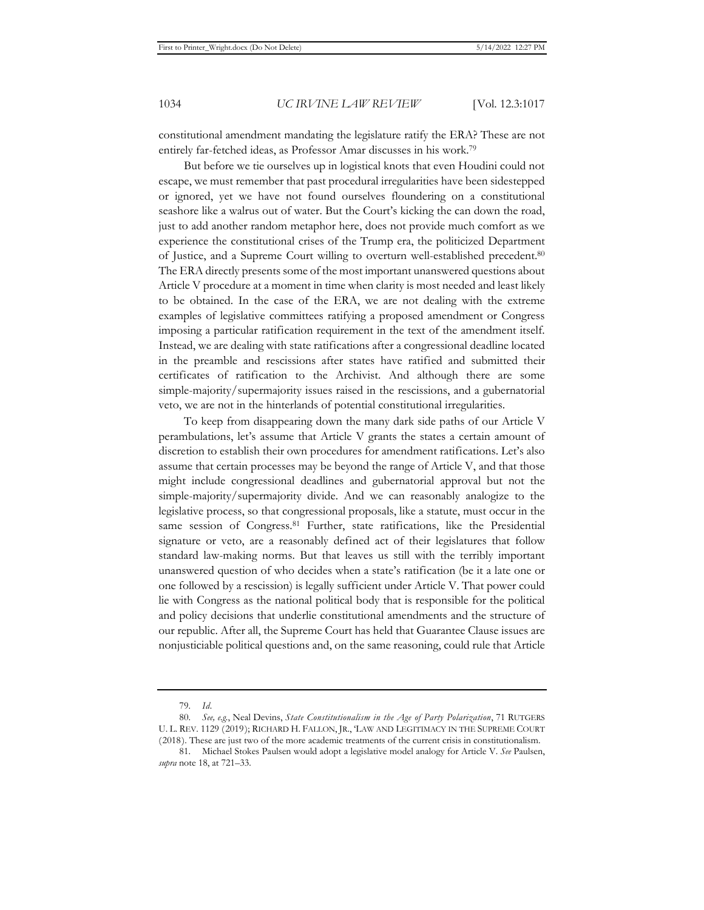constitutional amendment mandating the legislature ratify the ERA? These are not entirely far-fetched ideas, as Professor Amar discusses in his work.79

But before we tie ourselves up in logistical knots that even Houdini could not escape, we must remember that past procedural irregularities have been sidestepped or ignored, yet we have not found ourselves floundering on a constitutional seashore like a walrus out of water. But the Court's kicking the can down the road, just to add another random metaphor here, does not provide much comfort as we experience the constitutional crises of the Trump era, the politicized Department of Justice, and a Supreme Court willing to overturn well-established precedent.80 The ERA directly presents some of the most important unanswered questions about Article V procedure at a moment in time when clarity is most needed and least likely to be obtained. In the case of the ERA, we are not dealing with the extreme examples of legislative committees ratifying a proposed amendment or Congress imposing a particular ratification requirement in the text of the amendment itself. Instead, we are dealing with state ratifications after a congressional deadline located in the preamble and rescissions after states have ratified and submitted their certificates of ratification to the Archivist. And although there are some simple-majority/supermajority issues raised in the rescissions, and a gubernatorial veto, we are not in the hinterlands of potential constitutional irregularities.

To keep from disappearing down the many dark side paths of our Article V perambulations, let's assume that Article V grants the states a certain amount of discretion to establish their own procedures for amendment ratifications. Let's also assume that certain processes may be beyond the range of Article V, and that those might include congressional deadlines and gubernatorial approval but not the simple-majority/supermajority divide. And we can reasonably analogize to the legislative process, so that congressional proposals, like a statute, must occur in the same session of Congress.<sup>81</sup> Further, state ratifications, like the Presidential signature or veto, are a reasonably defined act of their legislatures that follow standard law-making norms. But that leaves us still with the terribly important unanswered question of who decides when a state's ratification (be it a late one or one followed by a rescission) is legally sufficient under Article V. That power could lie with Congress as the national political body that is responsible for the political and policy decisions that underlie constitutional amendments and the structure of our republic. After all, the Supreme Court has held that Guarantee Clause issues are nonjusticiable political questions and, on the same reasoning, could rule that Article

<sup>79.</sup> *Id.*

<sup>80.</sup> *See, e.g.*, Neal Devins, *State Constitutionalism in the Age of Party Polarization*, 71 RUTGERS U. L. REV. 1129 (2019); RICHARD H. FALLON, JR., 'LAW AND LEGITIMACY IN THE SUPREME COURT (2018). These are just two of the more academic treatments of the current crisis in constitutionalism.

<sup>81.</sup> Michael Stokes Paulsen would adopt a legislative model analogy for Article V. *See* Paulsen, *supra* note 18, at 721–33.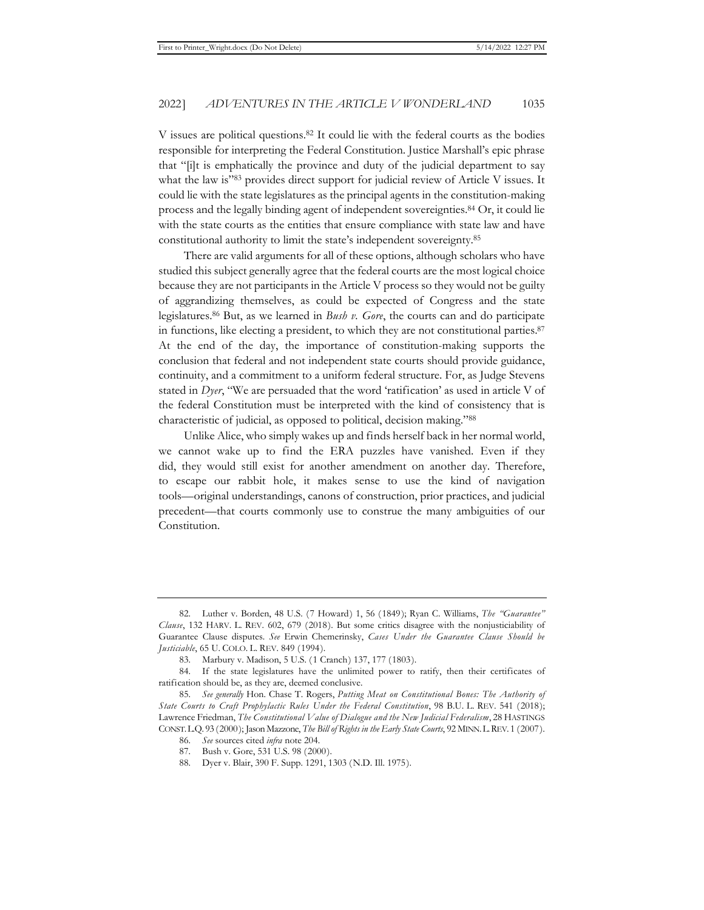V issues are political questions.82 It could lie with the federal courts as the bodies responsible for interpreting the Federal Constitution. Justice Marshall's epic phrase that "[i]t is emphatically the province and duty of the judicial department to say what the law is"83 provides direct support for judicial review of Article V issues. It could lie with the state legislatures as the principal agents in the constitution-making process and the legally binding agent of independent sovereignties.84 Or, it could lie with the state courts as the entities that ensure compliance with state law and have constitutional authority to limit the state's independent sovereignty.85

There are valid arguments for all of these options, although scholars who have studied this subject generally agree that the federal courts are the most logical choice because they are not participants in the Article V process so they would not be guilty of aggrandizing themselves, as could be expected of Congress and the state legislatures.86 But, as we learned in *Bush v. Gore*, the courts can and do participate in functions, like electing a president, to which they are not constitutional parties.87 At the end of the day, the importance of constitution-making supports the conclusion that federal and not independent state courts should provide guidance, continuity, and a commitment to a uniform federal structure. For, as Judge Stevens stated in *Dyer*, "We are persuaded that the word 'ratification' as used in article V of the federal Constitution must be interpreted with the kind of consistency that is characteristic of judicial, as opposed to political, decision making."88

Unlike Alice, who simply wakes up and finds herself back in her normal world, we cannot wake up to find the ERA puzzles have vanished. Even if they did, they would still exist for another amendment on another day. Therefore, to escape our rabbit hole, it makes sense to use the kind of navigation tools—original understandings, canons of construction, prior practices, and judicial precedent—that courts commonly use to construe the many ambiguities of our Constitution.

<sup>82.</sup> Luther v. Borden, 48 U.S. (7 Howard) 1, 56 (1849); Ryan C. Williams, *The "Guarantee" Clause*, 132 HARV. L. REV. 602, 679 (2018). But some critics disagree with the nonjusticiability of Guarantee Clause disputes. *See* Erwin Chemerinsky, *Cases Under the Guarantee Clause Should be Justiciable*, 65 U. COLO. L. REV. 849 (1994).

<sup>83.</sup> Marbury v. Madison, 5 U.S. (1 Cranch) 137, 177 (1803).

<sup>84.</sup> If the state legislatures have the unlimited power to ratify, then their certificates of ratification should be, as they are, deemed conclusive.

<sup>85.</sup> *See generally* Hon. Chase T. Rogers, *Putting Meat on Constitutional Bones: The Authority of State Courts to Craft Prophylactic Rules Under the Federal Constitution*, 98 B.U. L. REV. 541 (2018); Lawrence Friedman, *The Constitutional Value of Dialogue and the New Judicial Federalism*, 28 HASTINGS CONST.L.Q. 93 (2000); Jason Mazzone, *The Bill of Rights in the Early State Courts*, 92 MINN.L.REV. 1 (2007).

<sup>86.</sup> *See* sources cited *infra* note 204.

<sup>87.</sup> Bush v. Gore, 531 U.S. 98 (2000).

<sup>88.</sup> Dyer v. Blair, 390 F. Supp. 1291, 1303 (N.D. Ill. 1975).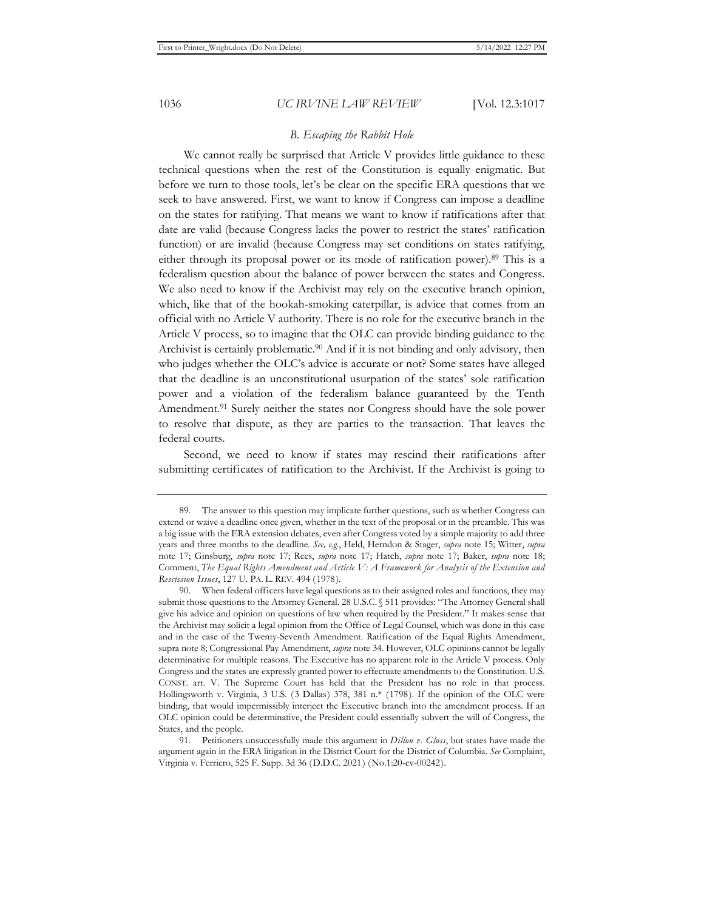#### *B. Escaping the Rabbit Hole*

We cannot really be surprised that Article V provides little guidance to these technical questions when the rest of the Constitution is equally enigmatic. But before we turn to those tools, let's be clear on the specific ERA questions that we seek to have answered. First, we want to know if Congress can impose a deadline on the states for ratifying. That means we want to know if ratifications after that date are valid (because Congress lacks the power to restrict the states' ratification function) or are invalid (because Congress may set conditions on states ratifying, either through its proposal power or its mode of ratification power).89 This is a federalism question about the balance of power between the states and Congress. We also need to know if the Archivist may rely on the executive branch opinion, which, like that of the hookah-smoking caterpillar, is advice that comes from an official with no Article V authority. There is no role for the executive branch in the Article V process, so to imagine that the OLC can provide binding guidance to the Archivist is certainly problematic.<sup>90</sup> And if it is not binding and only advisory, then who judges whether the OLC's advice is accurate or not? Some states have alleged that the deadline is an unconstitutional usurpation of the states' sole ratification power and a violation of the federalism balance guaranteed by the Tenth Amendment.91 Surely neither the states nor Congress should have the sole power to resolve that dispute, as they are parties to the transaction. That leaves the federal courts.

Second, we need to know if states may rescind their ratifications after submitting certificates of ratification to the Archivist. If the Archivist is going to

<sup>89.</sup> The answer to this question may implicate further questions, such as whether Congress can extend or waive a deadline once given, whether in the text of the proposal or in the preamble. This was a big issue with the ERA extension debates, even after Congress voted by a simple majority to add three years and three months to the deadline. *See, e.g.*, Held, Herndon & Stager, *supra* note 15; Witter, *supra* note 17; Ginsburg, *supra* note 17; Rees, *supra* note 17; Hatch, *supra* note 17; Baker, *supra* note 18; Comment, *The Equal Rights Amendment and Article V: A Framework for Analysis of the Extension and Rescission Issues*, 127 U. PA. L. REV. 494 (1978).

<sup>90.</sup> When federal officers have legal questions as to their assigned roles and functions, they may submit those questions to the Attorney General. 28 U.S.C. § 511 provides: "The Attorney General shall give his advice and opinion on questions of law when required by the President." It makes sense that the Archivist may solicit a legal opinion from the Office of Legal Counsel, which was done in this case and in the case of the Twenty-Seventh Amendment. Ratification of the Equal Rights Amendment, supra note 8; Congressional Pay Amendment, *supra* note 34. However, OLC opinions cannot be legally determinative for multiple reasons. The Executive has no apparent role in the Article V process. Only Congress and the states are expressly granted power to effectuate amendments to the Constitution. U.S. CONST. art. V. The Supreme Court has held that the President has no role in that process. Hollingsworth v. Virginia, 3 U.S. (3 Dallas) 378, 381 n.\* (1798). If the opinion of the OLC were binding, that would impermissibly interject the Executive branch into the amendment process. If an OLC opinion could be determinative, the President could essentially subvert the will of Congress, the States, and the people.

<sup>91.</sup> Petitioners unsuccessfully made this argument in *Dillon v. Gloss*, but states have made the argument again in the ERA litigation in the District Court for the District of Columbia. *See* Complaint, Virginia v. Ferriero, 525 F. Supp. 3d 36 (D.D.C. 2021) (No.1:20-cv-00242).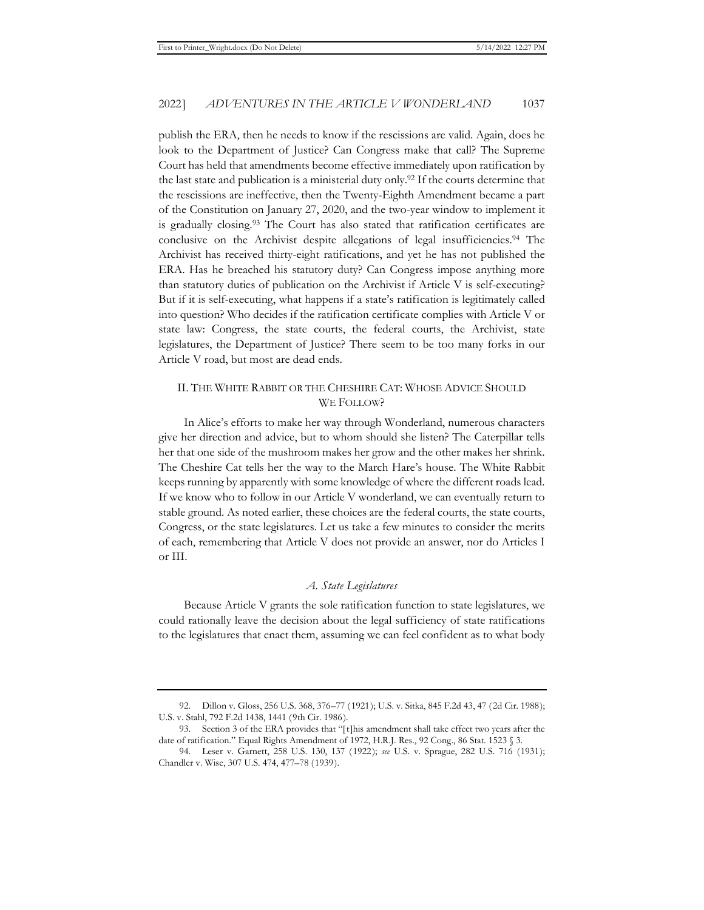publish the ERA, then he needs to know if the rescissions are valid. Again, does he look to the Department of Justice? Can Congress make that call? The Supreme Court has held that amendments become effective immediately upon ratification by the last state and publication is a ministerial duty only.<sup>92</sup> If the courts determine that the rescissions are ineffective, then the Twenty-Eighth Amendment became a part of the Constitution on January 27, 2020, and the two-year window to implement it is gradually closing.93 The Court has also stated that ratification certificates are conclusive on the Archivist despite allegations of legal insufficiencies.94 The Archivist has received thirty-eight ratifications, and yet he has not published the ERA. Has he breached his statutory duty? Can Congress impose anything more than statutory duties of publication on the Archivist if Article V is self-executing? But if it is self-executing, what happens if a state's ratification is legitimately called into question? Who decides if the ratification certificate complies with Article V or state law: Congress, the state courts, the federal courts, the Archivist, state legislatures, the Department of Justice? There seem to be too many forks in our Article V road, but most are dead ends.

#### II. THE WHITE RABBIT OR THE CHESHIRE CAT: WHOSE ADVICE SHOULD WE FOLLOW?

In Alice's efforts to make her way through Wonderland, numerous characters give her direction and advice, but to whom should she listen? The Caterpillar tells her that one side of the mushroom makes her grow and the other makes her shrink. The Cheshire Cat tells her the way to the March Hare's house. The White Rabbit keeps running by apparently with some knowledge of where the different roads lead. If we know who to follow in our Article V wonderland, we can eventually return to stable ground. As noted earlier, these choices are the federal courts, the state courts, Congress, or the state legislatures. Let us take a few minutes to consider the merits of each, remembering that Article V does not provide an answer, nor do Articles I or III.

#### *A. State Legislatures*

Because Article V grants the sole ratification function to state legislatures, we could rationally leave the decision about the legal sufficiency of state ratifications to the legislatures that enact them, assuming we can feel confident as to what body

<sup>92.</sup> Dillon v. Gloss, 256 U.S. 368, 376–77 (1921); U.S. v. Sitka, 845 F.2d 43, 47 (2d Cir. 1988); U.S. v. Stahl, 792 F.2d 1438, 1441 (9th Cir. 1986).

<sup>93.</sup> Section 3 of the ERA provides that "[t]his amendment shall take effect two years after the date of ratification." Equal Rights Amendment of 1972, H.R.J. Res., 92 Cong., 86 Stat. 1523 § 3.

<sup>94.</sup> Leser v. Garnett, 258 U.S. 130, 137 (1922); *see* U.S. v. Sprague, 282 U.S. 716 (1931); Chandler v. Wise, 307 U.S. 474, 477–78 (1939).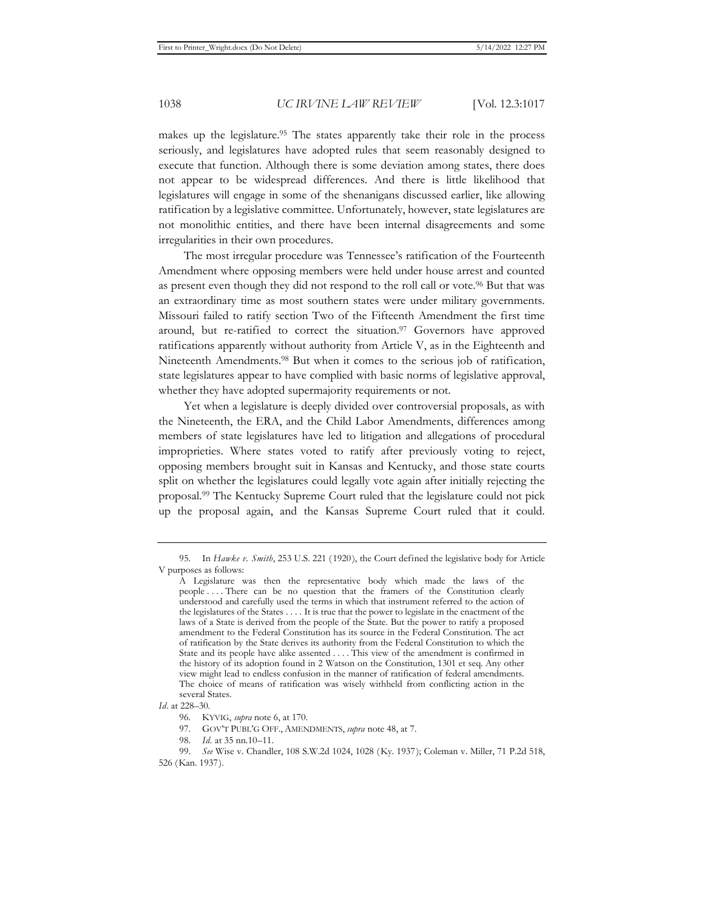makes up the legislature.<sup>95</sup> The states apparently take their role in the process seriously, and legislatures have adopted rules that seem reasonably designed to execute that function. Although there is some deviation among states, there does not appear to be widespread differences. And there is little likelihood that legislatures will engage in some of the shenanigans discussed earlier, like allowing ratification by a legislative committee. Unfortunately, however, state legislatures are not monolithic entities, and there have been internal disagreements and some irregularities in their own procedures.

The most irregular procedure was Tennessee's ratification of the Fourteenth Amendment where opposing members were held under house arrest and counted as present even though they did not respond to the roll call or vote.96 But that was an extraordinary time as most southern states were under military governments. Missouri failed to ratify section Two of the Fifteenth Amendment the first time around, but re-ratified to correct the situation.97 Governors have approved ratifications apparently without authority from Article V, as in the Eighteenth and Nineteenth Amendments.98 But when it comes to the serious job of ratification, state legislatures appear to have complied with basic norms of legislative approval, whether they have adopted supermajority requirements or not.

Yet when a legislature is deeply divided over controversial proposals, as with the Nineteenth, the ERA, and the Child Labor Amendments, differences among members of state legislatures have led to litigation and allegations of procedural improprieties. Where states voted to ratify after previously voting to reject, opposing members brought suit in Kansas and Kentucky, and those state courts split on whether the legislatures could legally vote again after initially rejecting the proposal.99 The Kentucky Supreme Court ruled that the legislature could not pick up the proposal again, and the Kansas Supreme Court ruled that it could.

<sup>95.</sup> In *Hawke v. Smith*, 253 U.S. 221 (1920), the Court defined the legislative body for Article V purposes as follows:

A Legislature was then the representative body which made the laws of the people . . . . There can be no question that the framers of the Constitution clearly understood and carefully used the terms in which that instrument referred to the action of the legislatures of the States . . . . It is true that the power to legislate in the enactment of the laws of a State is derived from the people of the State. But the power to ratify a proposed amendment to the Federal Constitution has its source in the Federal Constitution. The act of ratification by the State derives its authority from the Federal Constitution to which the State and its people have alike assented . . . . This view of the amendment is confirmed in the history of its adoption found in 2 Watson on the Constitution, 1301 et seq. Any other view might lead to endless confusion in the manner of ratification of federal amendments. The choice of means of ratification was wisely withheld from conflicting action in the several States.

*Id*. at 228–30.

<sup>96.</sup> KYVIG, *supra* note 6, at 170.

<sup>97.</sup> GOV'T PUBL'G OFF., AMENDMENTS, *supra* note 48, at 7.

<sup>98.</sup> *Id.* at 35 nn.10–11.

<sup>99.</sup> *See* Wise v. Chandler, 108 S.W.2d 1024, 1028 (Ky. 1937); Coleman v. Miller, 71 P.2d 518, 526 (Kan. 1937).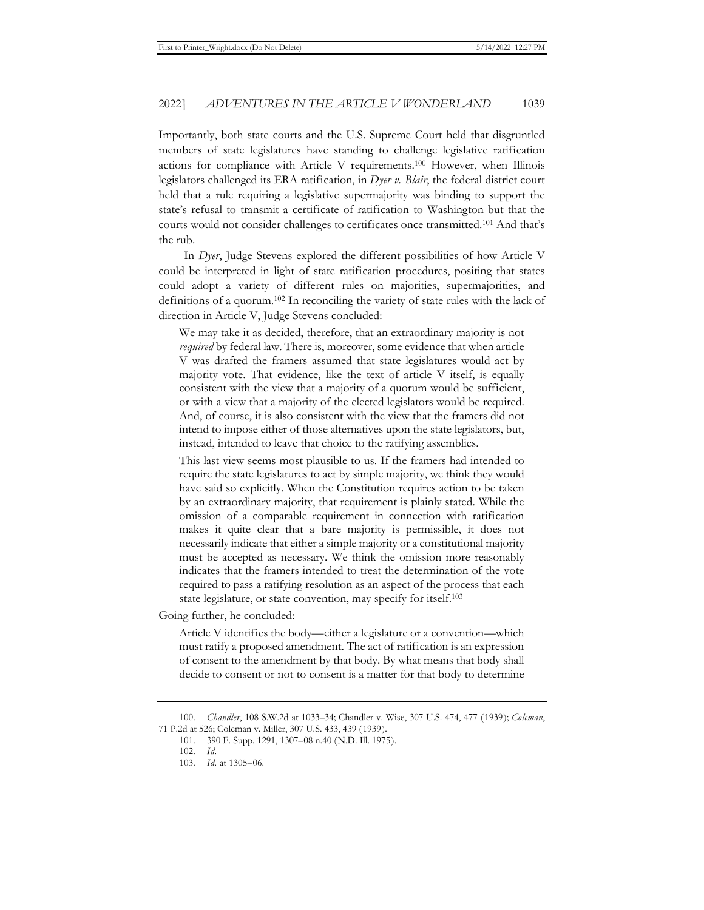Importantly, both state courts and the U.S. Supreme Court held that disgruntled members of state legislatures have standing to challenge legislative ratification actions for compliance with Article V requirements.100 However, when Illinois legislators challenged its ERA ratification, in *Dyer v. Blair*, the federal district court held that a rule requiring a legislative supermajority was binding to support the state's refusal to transmit a certificate of ratification to Washington but that the courts would not consider challenges to certificates once transmitted.101 And that's the rub.

In *Dyer*, Judge Stevens explored the different possibilities of how Article V could be interpreted in light of state ratification procedures, positing that states could adopt a variety of different rules on majorities, supermajorities, and definitions of a quorum.102 In reconciling the variety of state rules with the lack of direction in Article V, Judge Stevens concluded:

We may take it as decided, therefore, that an extraordinary majority is not *required* by federal law. There is, moreover, some evidence that when article V was drafted the framers assumed that state legislatures would act by majority vote. That evidence, like the text of article V itself, is equally consistent with the view that a majority of a quorum would be sufficient, or with a view that a majority of the elected legislators would be required. And, of course, it is also consistent with the view that the framers did not intend to impose either of those alternatives upon the state legislators, but, instead, intended to leave that choice to the ratifying assemblies.

This last view seems most plausible to us. If the framers had intended to require the state legislatures to act by simple majority, we think they would have said so explicitly. When the Constitution requires action to be taken by an extraordinary majority, that requirement is plainly stated. While the omission of a comparable requirement in connection with ratification makes it quite clear that a bare majority is permissible, it does not necessarily indicate that either a simple majority or a constitutional majority must be accepted as necessary. We think the omission more reasonably indicates that the framers intended to treat the determination of the vote required to pass a ratifying resolution as an aspect of the process that each state legislature, or state convention, may specify for itself.103

Going further, he concluded:

Article V identifies the body—either a legislature or a convention—which must ratify a proposed amendment. The act of ratification is an expression of consent to the amendment by that body. By what means that body shall decide to consent or not to consent is a matter for that body to determine

<sup>100.</sup> *Chandler*, 108 S.W.2d at 1033–34; Chandler v. Wise, 307 U.S. 474, 477 (1939); *Coleman*, 71 P.2d at 526; Coleman v. Miller, 307 U.S. 433, 439 (1939).

<sup>101. 390</sup> F. Supp. 1291, 1307–08 n.40 (N.D. Ill. 1975).

<sup>102.</sup> *Id.*

<sup>103.</sup> *Id.* at 1305–06.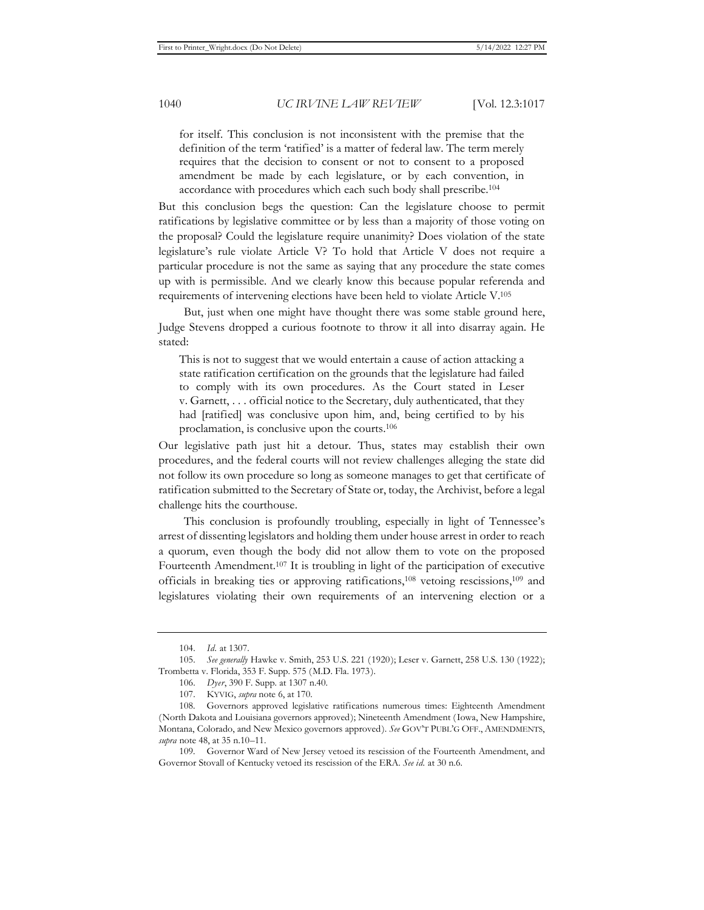for itself. This conclusion is not inconsistent with the premise that the definition of the term 'ratified' is a matter of federal law. The term merely requires that the decision to consent or not to consent to a proposed amendment be made by each legislature, or by each convention, in accordance with procedures which each such body shall prescribe.104

But this conclusion begs the question: Can the legislature choose to permit ratifications by legislative committee or by less than a majority of those voting on the proposal? Could the legislature require unanimity? Does violation of the state legislature's rule violate Article V? To hold that Article V does not require a particular procedure is not the same as saying that any procedure the state comes up with is permissible. And we clearly know this because popular referenda and requirements of intervening elections have been held to violate Article V.105

But, just when one might have thought there was some stable ground here, Judge Stevens dropped a curious footnote to throw it all into disarray again. He stated:

This is not to suggest that we would entertain a cause of action attacking a state ratification certification on the grounds that the legislature had failed to comply with its own procedures. As the Court stated in Leser v. Garnett, . . . official notice to the Secretary, duly authenticated, that they had [ratified] was conclusive upon him, and, being certified to by his proclamation, is conclusive upon the courts.106

Our legislative path just hit a detour. Thus, states may establish their own procedures, and the federal courts will not review challenges alleging the state did not follow its own procedure so long as someone manages to get that certificate of ratification submitted to the Secretary of State or, today, the Archivist, before a legal challenge hits the courthouse.

This conclusion is profoundly troubling, especially in light of Tennessee's arrest of dissenting legislators and holding them under house arrest in order to reach a quorum, even though the body did not allow them to vote on the proposed Fourteenth Amendment.107 It is troubling in light of the participation of executive officials in breaking ties or approving ratifications,108 vetoing rescissions,109 and legislatures violating their own requirements of an intervening election or a

<sup>104.</sup> *Id.* at 1307.

<sup>105.</sup> *See generally* Hawke v. Smith, 253 U.S. 221 (1920); Leser v. Garnett, 258 U.S. 130 (1922); Trombetta v. Florida, 353 F. Supp. 575 (M.D. Fla. 1973).

<sup>106.</sup> *Dyer*, 390 F. Supp. at 1307 n.40.

<sup>107.</sup> KYVIG, *supra* note 6, at 170.

<sup>108.</sup> Governors approved legislative ratifications numerous times: Eighteenth Amendment (North Dakota and Louisiana governors approved); Nineteenth Amendment (Iowa, New Hampshire, Montana, Colorado, and New Mexico governors approved). *See* GOV'T PUBL'G OFF., AMENDMENTS, *supra* note 48, at 35 n.10–11.

<sup>109.</sup> Governor Ward of New Jersey vetoed its rescission of the Fourteenth Amendment, and Governor Stovall of Kentucky vetoed its rescission of the ERA. *See id.* at 30 n.6.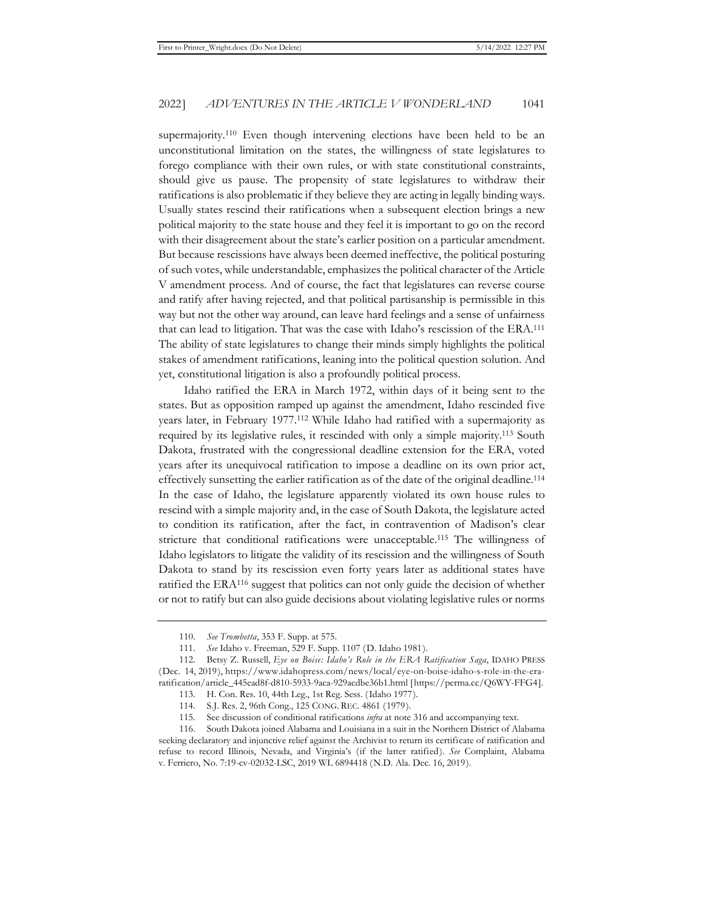supermajority.<sup>110</sup> Even though intervening elections have been held to be an unconstitutional limitation on the states, the willingness of state legislatures to forego compliance with their own rules, or with state constitutional constraints, should give us pause. The propensity of state legislatures to withdraw their ratifications is also problematic if they believe they are acting in legally binding ways. Usually states rescind their ratifications when a subsequent election brings a new political majority to the state house and they feel it is important to go on the record with their disagreement about the state's earlier position on a particular amendment. But because rescissions have always been deemed ineffective, the political posturing of such votes, while understandable, emphasizes the political character of the Article V amendment process. And of course, the fact that legislatures can reverse course and ratify after having rejected, and that political partisanship is permissible in this way but not the other way around, can leave hard feelings and a sense of unfairness that can lead to litigation. That was the case with Idaho's rescission of the ERA.111 The ability of state legislatures to change their minds simply highlights the political stakes of amendment ratifications, leaning into the political question solution. And yet, constitutional litigation is also a profoundly political process.

Idaho ratified the ERA in March 1972, within days of it being sent to the states. But as opposition ramped up against the amendment, Idaho rescinded five years later, in February 1977.112 While Idaho had ratified with a supermajority as required by its legislative rules, it rescinded with only a simple majority.113 South Dakota, frustrated with the congressional deadline extension for the ERA, voted years after its unequivocal ratification to impose a deadline on its own prior act, effectively sunsetting the earlier ratification as of the date of the original deadline.114 In the case of Idaho, the legislature apparently violated its own house rules to rescind with a simple majority and, in the case of South Dakota, the legislature acted to condition its ratification, after the fact, in contravention of Madison's clear stricture that conditional ratifications were unacceptable.115 The willingness of Idaho legislators to litigate the validity of its rescission and the willingness of South Dakota to stand by its rescission even forty years later as additional states have ratified the  $ERA<sup>116</sup>$  suggest that politics can not only guide the decision of whether or not to ratify but can also guide decisions about violating legislative rules or norms

<sup>110.</sup> *See Trombetta*, 353 F. Supp. at 575.

<sup>111.</sup> *See* Idaho v. Freeman, 529 F. Supp. 1107 (D. Idaho 1981).

<sup>112.</sup> Betsy Z. Russell, *Eye on Boise: Idaho's Role in the ERA Ratification Saga*, IDAHO PRESS (Dec. 14, 2019), https://www.idahopress.com/news/local/eye-on-boise-idaho-s-role-in-the-eraratification/article\_445ead8f-d810-5933-9aca-929acdbe36b1.html [https://perma.cc/Q6WY-FFG4].

<sup>113.</sup> H. Con. Res. 10, 44th Leg., 1st Reg. Sess. (Idaho 1977).

<sup>114.</sup> S.J. Res. 2, 96th Cong., 125 CONG. REC. 4861 (1979).

<sup>115.</sup> See discussion of conditional ratifications *infra* at note 316 and accompanying text.

<sup>116.</sup> South Dakota joined Alabama and Louisiana in a suit in the Northern District of Alabama seeking declaratory and injunctive relief against the Archivist to return its certificate of ratification and refuse to record Illinois, Nevada, and Virginia's (if the latter ratified). *See* Complaint, Alabama v. Ferriero, No. 7:19-cv-02032-LSC, 2019 WL 6894418 (N.D. Ala. Dec. 16, 2019).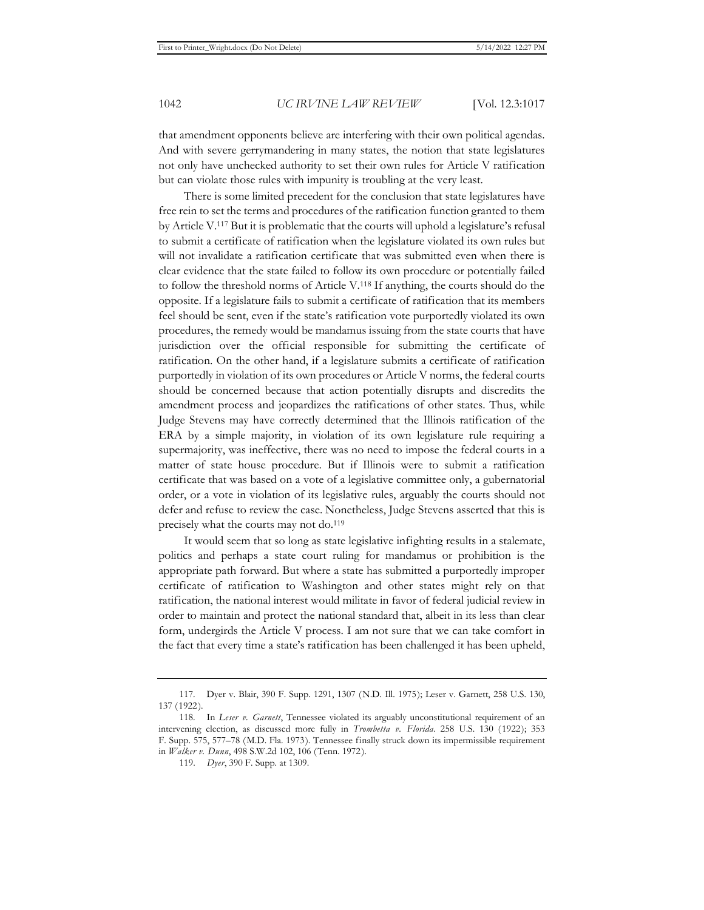that amendment opponents believe are interfering with their own political agendas. And with severe gerrymandering in many states, the notion that state legislatures not only have unchecked authority to set their own rules for Article V ratification but can violate those rules with impunity is troubling at the very least.

There is some limited precedent for the conclusion that state legislatures have free rein to set the terms and procedures of the ratification function granted to them by Article V.117 But it is problematic that the courts will uphold a legislature's refusal to submit a certificate of ratification when the legislature violated its own rules but will not invalidate a ratification certificate that was submitted even when there is clear evidence that the state failed to follow its own procedure or potentially failed to follow the threshold norms of Article V.118 If anything, the courts should do the opposite. If a legislature fails to submit a certificate of ratification that its members feel should be sent, even if the state's ratification vote purportedly violated its own procedures, the remedy would be mandamus issuing from the state courts that have jurisdiction over the official responsible for submitting the certificate of ratification. On the other hand, if a legislature submits a certificate of ratification purportedly in violation of its own procedures or Article V norms, the federal courts should be concerned because that action potentially disrupts and discredits the amendment process and jeopardizes the ratifications of other states. Thus, while Judge Stevens may have correctly determined that the Illinois ratification of the ERA by a simple majority, in violation of its own legislature rule requiring a supermajority, was ineffective, there was no need to impose the federal courts in a matter of state house procedure. But if Illinois were to submit a ratification certificate that was based on a vote of a legislative committee only, a gubernatorial order, or a vote in violation of its legislative rules, arguably the courts should not defer and refuse to review the case. Nonetheless, Judge Stevens asserted that this is precisely what the courts may not do.119

It would seem that so long as state legislative infighting results in a stalemate, politics and perhaps a state court ruling for mandamus or prohibition is the appropriate path forward. But where a state has submitted a purportedly improper certificate of ratification to Washington and other states might rely on that ratification, the national interest would militate in favor of federal judicial review in order to maintain and protect the national standard that, albeit in its less than clear form, undergirds the Article V process. I am not sure that we can take comfort in the fact that every time a state's ratification has been challenged it has been upheld,

<sup>117.</sup> Dyer v. Blair, 390 F. Supp. 1291, 1307 (N.D. Ill. 1975); Leser v. Garnett, 258 U.S. 130, 137 (1922).

<sup>118.</sup> In *Leser v. Garnett*, Tennessee violated its arguably unconstitutional requirement of an intervening election, as discussed more fully in *Trombetta v. Florida*. 258 U.S. 130 (1922); 353 F. Supp. 575, 577–78 (M.D. Fla. 1973). Tennessee finally struck down its impermissible requirement in *Walker v. Dunn*, 498 S.W.2d 102, 106 (Tenn. 1972).

<sup>119.</sup> *Dyer*, 390 F. Supp. at 1309.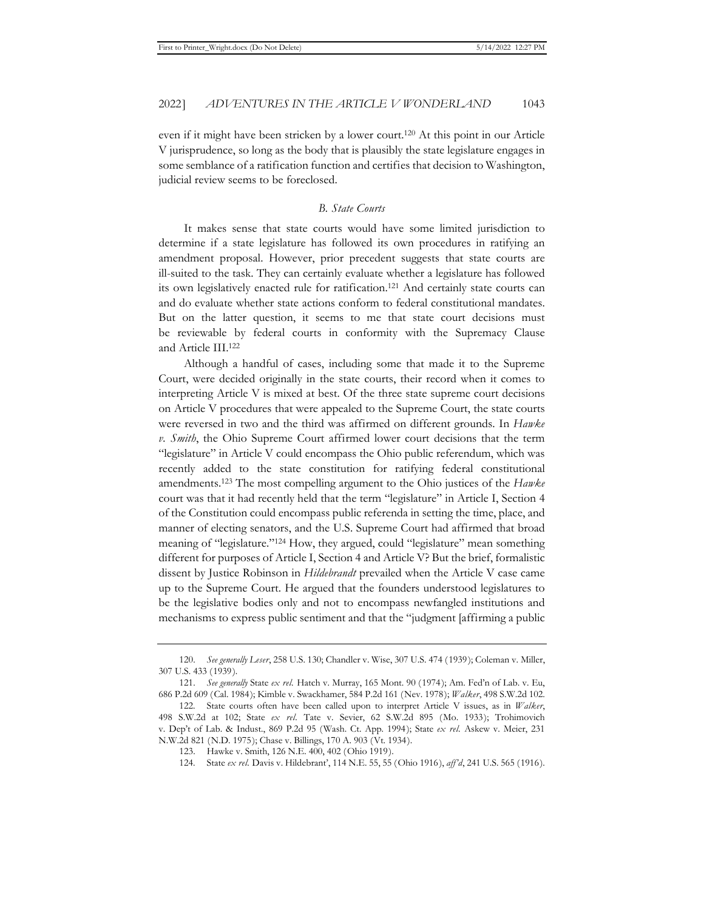even if it might have been stricken by a lower court.120 At this point in our Article V jurisprudence, so long as the body that is plausibly the state legislature engages in some semblance of a ratification function and certifies that decision to Washington, judicial review seems to be foreclosed.

#### *B. State Courts*

It makes sense that state courts would have some limited jurisdiction to determine if a state legislature has followed its own procedures in ratifying an amendment proposal. However, prior precedent suggests that state courts are ill-suited to the task. They can certainly evaluate whether a legislature has followed its own legislatively enacted rule for ratification.121 And certainly state courts can and do evaluate whether state actions conform to federal constitutional mandates. But on the latter question, it seems to me that state court decisions must be reviewable by federal courts in conformity with the Supremacy Clause and Article III.122

Although a handful of cases, including some that made it to the Supreme Court, were decided originally in the state courts, their record when it comes to interpreting Article V is mixed at best. Of the three state supreme court decisions on Article V procedures that were appealed to the Supreme Court, the state courts were reversed in two and the third was affirmed on different grounds. In *Hawke v. Smith*, the Ohio Supreme Court affirmed lower court decisions that the term "legislature" in Article V could encompass the Ohio public referendum, which was recently added to the state constitution for ratifying federal constitutional amendments.123 The most compelling argument to the Ohio justices of the *Hawke* court was that it had recently held that the term "legislature" in Article I, Section 4 of the Constitution could encompass public referenda in setting the time, place, and manner of electing senators, and the U.S. Supreme Court had affirmed that broad meaning of "legislature."124 How, they argued, could "legislature" mean something different for purposes of Article I, Section 4 and Article V? But the brief, formalistic dissent by Justice Robinson in *Hildebrandt* prevailed when the Article V case came up to the Supreme Court. He argued that the founders understood legislatures to be the legislative bodies only and not to encompass newfangled institutions and mechanisms to express public sentiment and that the "judgment [affirming a public

<sup>120.</sup> *See generally Leser*, 258 U.S. 130; Chandler v. Wise, 307 U.S. 474 (1939); Coleman v. Miller, 307 U.S. 433 (1939).

<sup>121.</sup> *See generally* State *ex rel.* Hatch v. Murray, 165 Mont. 90 (1974); Am. Fed'n of Lab. v. Eu, 686 P.2d 609 (Cal. 1984); Kimble v. Swackhamer, 584 P.2d 161 (Nev. 1978); *Walker*, 498 S.W.2d 102.

<sup>122.</sup> State courts often have been called upon to interpret Article V issues, as in *Walker*, 498 S.W.2d at 102; State *ex rel.* Tate v. Sevier, 62 S.W.2d 895 (Mo. 1933); Trohimovich v. Dep't of Lab. & Indust., 869 P.2d 95 (Wash. Ct. App. 1994); State *ex rel.* Askew v. Meier, 231 N.W.2d 821 (N.D. 1975); Chase v. Billings, 170 A. 903 (Vt. 1934).

<sup>123.</sup> Hawke v. Smith, 126 N.E. 400, 402 (Ohio 1919).

<sup>124.</sup> State *ex rel.* Davis v. Hildebrant', 114 N.E. 55, 55 (Ohio 1916), *aff'd*, 241 U.S. 565 (1916).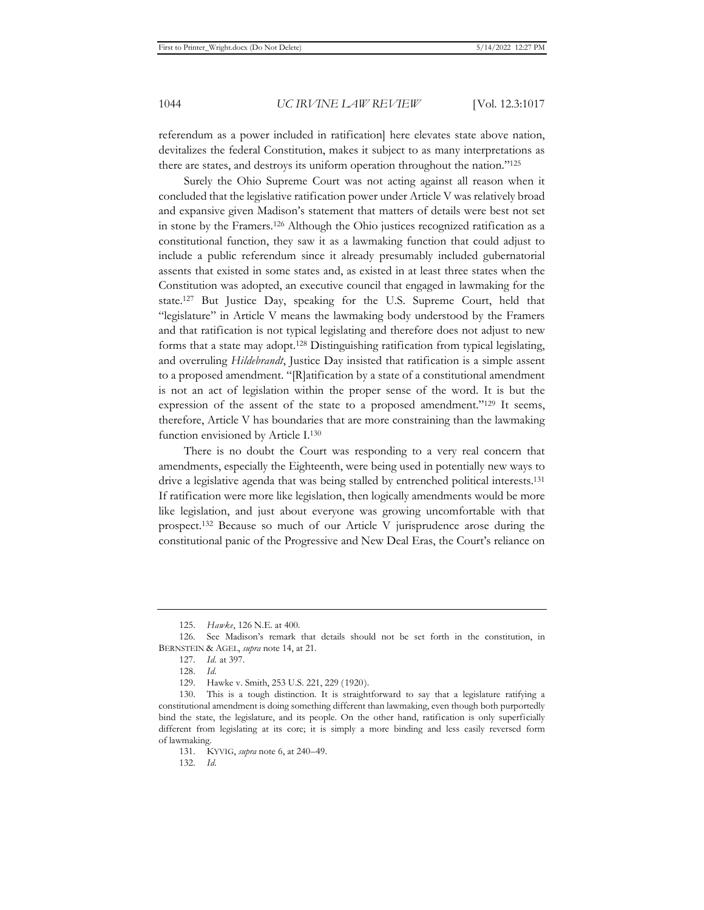referendum as a power included in ratification] here elevates state above nation, devitalizes the federal Constitution, makes it subject to as many interpretations as there are states, and destroys its uniform operation throughout the nation."125

Surely the Ohio Supreme Court was not acting against all reason when it concluded that the legislative ratification power under Article V was relatively broad and expansive given Madison's statement that matters of details were best not set in stone by the Framers.126 Although the Ohio justices recognized ratification as a constitutional function, they saw it as a lawmaking function that could adjust to include a public referendum since it already presumably included gubernatorial assents that existed in some states and, as existed in at least three states when the Constitution was adopted, an executive council that engaged in lawmaking for the state.127 But Justice Day, speaking for the U.S. Supreme Court, held that "legislature" in Article V means the lawmaking body understood by the Framers and that ratification is not typical legislating and therefore does not adjust to new forms that a state may adopt.128 Distinguishing ratification from typical legislating, and overruling *Hildebrandt*, Justice Day insisted that ratification is a simple assent to a proposed amendment. "[R]atification by a state of a constitutional amendment is not an act of legislation within the proper sense of the word. It is but the expression of the assent of the state to a proposed amendment."129 It seems, therefore, Article V has boundaries that are more constraining than the lawmaking function envisioned by Article I.130

There is no doubt the Court was responding to a very real concern that amendments, especially the Eighteenth, were being used in potentially new ways to drive a legislative agenda that was being stalled by entrenched political interests.131 If ratification were more like legislation, then logically amendments would be more like legislation, and just about everyone was growing uncomfortable with that prospect.132 Because so much of our Article V jurisprudence arose during the constitutional panic of the Progressive and New Deal Eras, the Court's reliance on

<sup>125.</sup> *Hawke*, 126 N.E. at 400.

<sup>126.</sup> See Madison's remark that details should not be set forth in the constitution, in BERNSTEIN & AGEL, *supra* note 14, at 21.

<sup>127.</sup> *Id.* at 397.

<sup>128.</sup> *Id.*

<sup>129.</sup> Hawke v. Smith, 253 U.S. 221, 229 (1920).

<sup>130.</sup> This is a tough distinction. It is straightforward to say that a legislature ratifying a constitutional amendment is doing something different than lawmaking, even though both purportedly bind the state, the legislature, and its people. On the other hand, ratification is only superficially different from legislating at its core; it is simply a more binding and less easily reversed form of lawmaking.

<sup>131.</sup> KYVIG, *supra* note 6, at 240–49.

<sup>132.</sup> *Id.*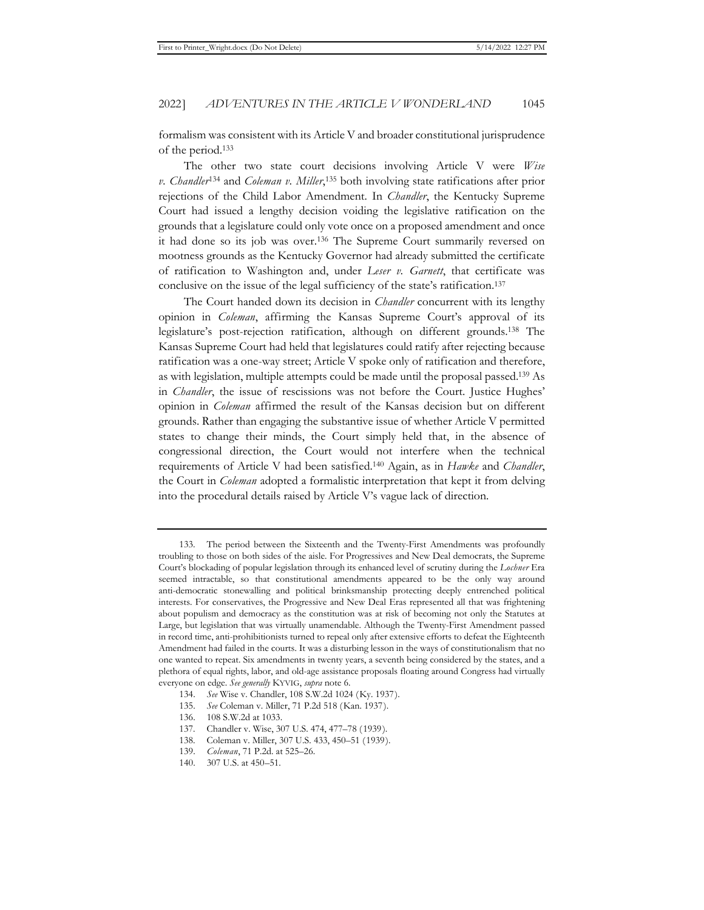formalism was consistent with its Article V and broader constitutional jurisprudence of the period.133

The other two state court decisions involving Article V were *Wise v. Chandler*134 and *Coleman v. Miller*, 135 both involving state ratifications after prior rejections of the Child Labor Amendment. In *Chandler*, the Kentucky Supreme Court had issued a lengthy decision voiding the legislative ratification on the grounds that a legislature could only vote once on a proposed amendment and once it had done so its job was over.136 The Supreme Court summarily reversed on mootness grounds as the Kentucky Governor had already submitted the certificate of ratification to Washington and, under *Leser v. Garnett*, that certificate was conclusive on the issue of the legal sufficiency of the state's ratification.137

The Court handed down its decision in *Chandler* concurrent with its lengthy opinion in *Coleman*, affirming the Kansas Supreme Court's approval of its legislature's post-rejection ratification, although on different grounds.138 The Kansas Supreme Court had held that legislatures could ratify after rejecting because ratification was a one-way street; Article V spoke only of ratification and therefore, as with legislation, multiple attempts could be made until the proposal passed.139 As in *Chandler*, the issue of rescissions was not before the Court. Justice Hughes' opinion in *Coleman* affirmed the result of the Kansas decision but on different grounds. Rather than engaging the substantive issue of whether Article V permitted states to change their minds, the Court simply held that, in the absence of congressional direction, the Court would not interfere when the technical requirements of Article V had been satisfied.140 Again, as in *Hawke* and *Chandler*, the Court in *Coleman* adopted a formalistic interpretation that kept it from delving into the procedural details raised by Article V's vague lack of direction.

<sup>133.</sup> The period between the Sixteenth and the Twenty-First Amendments was profoundly troubling to those on both sides of the aisle. For Progressives and New Deal democrats, the Supreme Court's blockading of popular legislation through its enhanced level of scrutiny during the *Lochner* Era seemed intractable, so that constitutional amendments appeared to be the only way around anti-democratic stonewalling and political brinksmanship protecting deeply entrenched political interests. For conservatives, the Progressive and New Deal Eras represented all that was frightening about populism and democracy as the constitution was at risk of becoming not only the Statutes at Large, but legislation that was virtually unamendable. Although the Twenty-First Amendment passed in record time, anti-prohibitionists turned to repeal only after extensive efforts to defeat the Eighteenth Amendment had failed in the courts. It was a disturbing lesson in the ways of constitutionalism that no one wanted to repeat. Six amendments in twenty years, a seventh being considered by the states, and a plethora of equal rights, labor, and old-age assistance proposals floating around Congress had virtually everyone on edge. *See generally* KYVIG, *supra* note 6.

<sup>134.</sup> *See* Wise v. Chandler, 108 S.W.2d 1024 (Ky. 1937).

<sup>135.</sup> *See* Coleman v. Miller, 71 P.2d 518 (Kan. 1937).

<sup>136. 108</sup> S.W.2d at 1033.

<sup>137.</sup> Chandler v. Wise, 307 U.S. 474, 477–78 (1939).

<sup>138.</sup> Coleman v. Miller, 307 U.S. 433, 450–51 (1939).

<sup>139.</sup> *Coleman*, 71 P.2d. at 525–26.

<sup>140. 307</sup> U.S. at 450–51.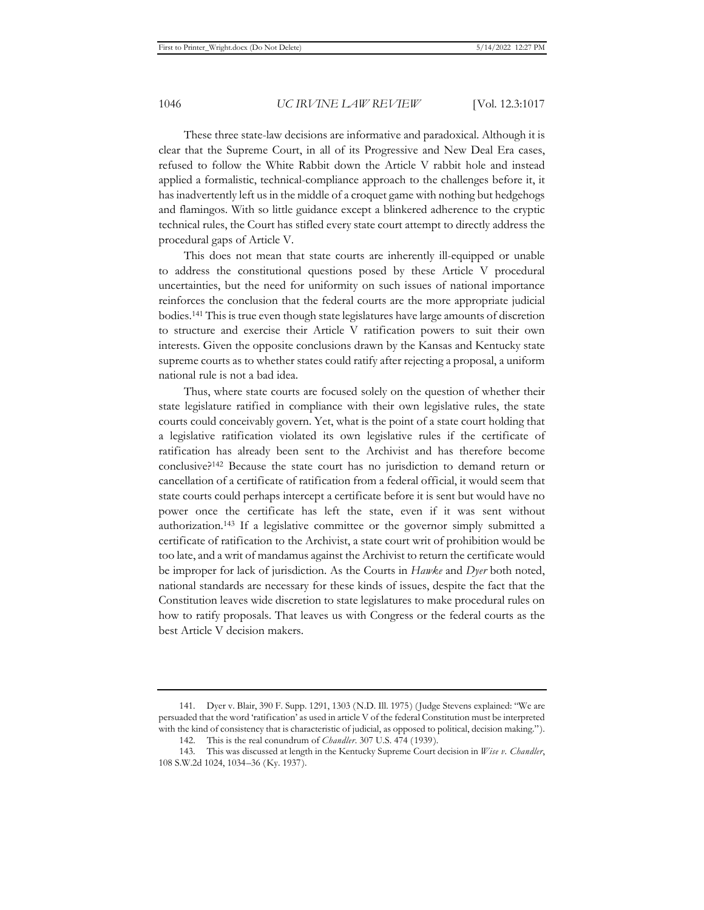These three state-law decisions are informative and paradoxical. Although it is clear that the Supreme Court, in all of its Progressive and New Deal Era cases, refused to follow the White Rabbit down the Article V rabbit hole and instead applied a formalistic, technical-compliance approach to the challenges before it, it has inadvertently left us in the middle of a croquet game with nothing but hedgehogs and flamingos. With so little guidance except a blinkered adherence to the cryptic technical rules, the Court has stifled every state court attempt to directly address the procedural gaps of Article V.

This does not mean that state courts are inherently ill-equipped or unable to address the constitutional questions posed by these Article V procedural uncertainties, but the need for uniformity on such issues of national importance reinforces the conclusion that the federal courts are the more appropriate judicial bodies.141 This is true even though state legislatures have large amounts of discretion to structure and exercise their Article V ratification powers to suit their own interests. Given the opposite conclusions drawn by the Kansas and Kentucky state supreme courts as to whether states could ratify after rejecting a proposal, a uniform national rule is not a bad idea.

Thus, where state courts are focused solely on the question of whether their state legislature ratified in compliance with their own legislative rules, the state courts could conceivably govern. Yet, what is the point of a state court holding that a legislative ratification violated its own legislative rules if the certificate of ratification has already been sent to the Archivist and has therefore become conclusive?142 Because the state court has no jurisdiction to demand return or cancellation of a certificate of ratification from a federal official, it would seem that state courts could perhaps intercept a certificate before it is sent but would have no power once the certificate has left the state, even if it was sent without authorization.143 If a legislative committee or the governor simply submitted a certificate of ratification to the Archivist, a state court writ of prohibition would be too late, and a writ of mandamus against the Archivist to return the certificate would be improper for lack of jurisdiction. As the Courts in *Hawke* and *Dyer* both noted, national standards are necessary for these kinds of issues, despite the fact that the Constitution leaves wide discretion to state legislatures to make procedural rules on how to ratify proposals. That leaves us with Congress or the federal courts as the best Article V decision makers.

<sup>141.</sup> Dyer v. Blair, 390 F. Supp. 1291, 1303 (N.D. Ill. 1975) (Judge Stevens explained: "We are persuaded that the word 'ratification' as used in article V of the federal Constitution must be interpreted with the kind of consistency that is characteristic of judicial, as opposed to political, decision making.").

<sup>142.</sup> This is the real conundrum of *Chandler*. 307 U.S. 474 (1939).

<sup>143.</sup> This was discussed at length in the Kentucky Supreme Court decision in *Wise v. Chandler*, 108 S.W.2d 1024, 1034–36 (Ky. 1937).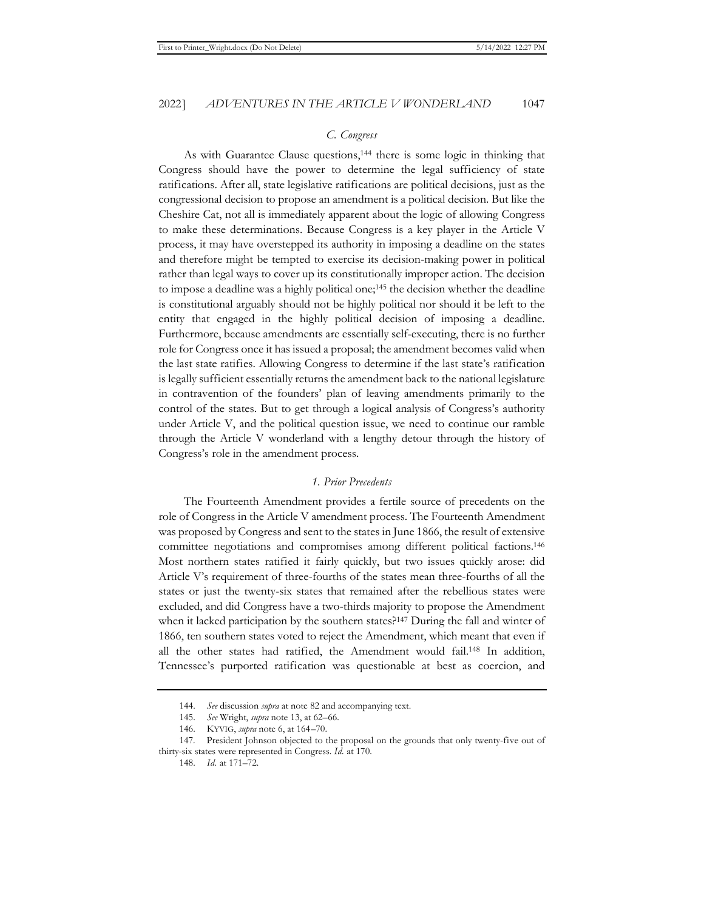#### *C. Congress*

As with Guarantee Clause questions,144 there is some logic in thinking that Congress should have the power to determine the legal sufficiency of state ratifications. After all, state legislative ratifications are political decisions, just as the congressional decision to propose an amendment is a political decision. But like the Cheshire Cat, not all is immediately apparent about the logic of allowing Congress to make these determinations. Because Congress is a key player in the Article V process, it may have overstepped its authority in imposing a deadline on the states and therefore might be tempted to exercise its decision-making power in political rather than legal ways to cover up its constitutionally improper action. The decision to impose a deadline was a highly political one;145 the decision whether the deadline is constitutional arguably should not be highly political nor should it be left to the entity that engaged in the highly political decision of imposing a deadline. Furthermore, because amendments are essentially self-executing, there is no further role for Congress once it has issued a proposal; the amendment becomes valid when the last state ratifies. Allowing Congress to determine if the last state's ratification is legally sufficient essentially returns the amendment back to the national legislature in contravention of the founders' plan of leaving amendments primarily to the control of the states. But to get through a logical analysis of Congress's authority under Article V, and the political question issue, we need to continue our ramble through the Article V wonderland with a lengthy detour through the history of Congress's role in the amendment process.

#### *1. Prior Precedents*

The Fourteenth Amendment provides a fertile source of precedents on the role of Congress in the Article V amendment process. The Fourteenth Amendment was proposed by Congress and sent to the states in June 1866, the result of extensive committee negotiations and compromises among different political factions.146 Most northern states ratified it fairly quickly, but two issues quickly arose: did Article V's requirement of three-fourths of the states mean three-fourths of all the states or just the twenty-six states that remained after the rebellious states were excluded, and did Congress have a two-thirds majority to propose the Amendment when it lacked participation by the southern states?<sup>147</sup> During the fall and winter of 1866, ten southern states voted to reject the Amendment, which meant that even if all the other states had ratified, the Amendment would fail.148 In addition, Tennessee's purported ratification was questionable at best as coercion, and

<sup>144.</sup> *See* discussion *supra* at note 82 and accompanying text.

<sup>145.</sup> *See* Wright, *supra* note 13, at 62–66.

<sup>146.</sup> KYVIG, *supra* note 6, at 164–70.

<sup>147.</sup> President Johnson objected to the proposal on the grounds that only twenty-five out of thirty-six states were represented in Congress. *Id.* at 170.

<sup>148.</sup> *Id.* at 171–72.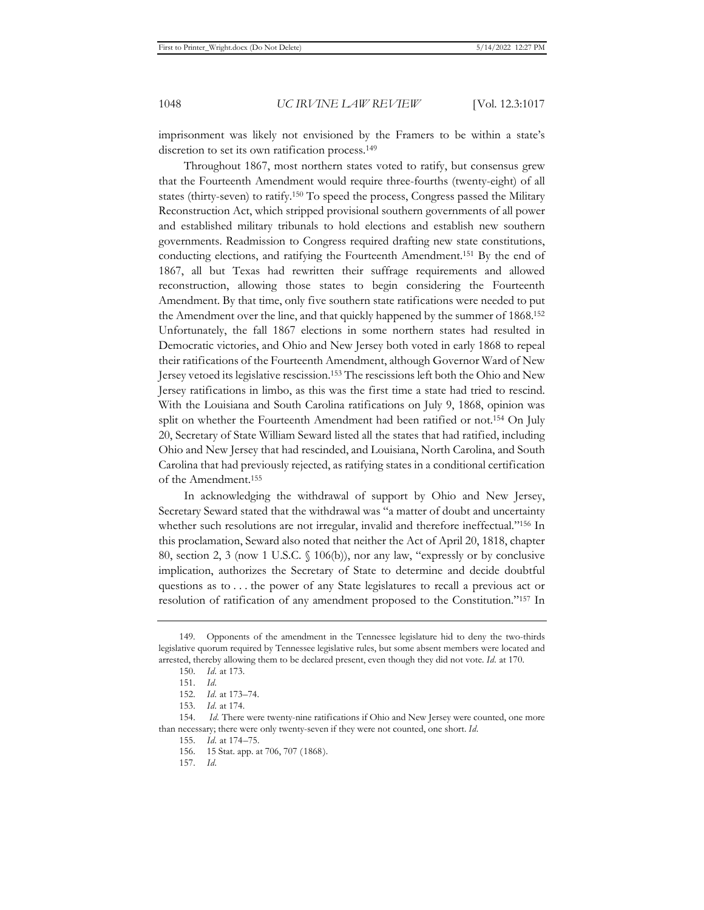imprisonment was likely not envisioned by the Framers to be within a state's discretion to set its own ratification process.<sup>149</sup>

Throughout 1867, most northern states voted to ratify, but consensus grew that the Fourteenth Amendment would require three-fourths (twenty-eight) of all states (thirty-seven) to ratify.150 To speed the process, Congress passed the Military Reconstruction Act, which stripped provisional southern governments of all power and established military tribunals to hold elections and establish new southern governments. Readmission to Congress required drafting new state constitutions, conducting elections, and ratifying the Fourteenth Amendment.151 By the end of 1867, all but Texas had rewritten their suffrage requirements and allowed reconstruction, allowing those states to begin considering the Fourteenth Amendment. By that time, only five southern state ratifications were needed to put the Amendment over the line, and that quickly happened by the summer of 1868.152 Unfortunately, the fall 1867 elections in some northern states had resulted in Democratic victories, and Ohio and New Jersey both voted in early 1868 to repeal their ratifications of the Fourteenth Amendment, although Governor Ward of New Jersey vetoed its legislative rescission.153 The rescissions left both the Ohio and New Jersey ratifications in limbo, as this was the first time a state had tried to rescind. With the Louisiana and South Carolina ratifications on July 9, 1868, opinion was split on whether the Fourteenth Amendment had been ratified or not.154 On July 20, Secretary of State William Seward listed all the states that had ratified, including Ohio and New Jersey that had rescinded, and Louisiana, North Carolina, and South Carolina that had previously rejected, as ratifying states in a conditional certification of the Amendment.155

In acknowledging the withdrawal of support by Ohio and New Jersey, Secretary Seward stated that the withdrawal was "a matter of doubt and uncertainty whether such resolutions are not irregular, invalid and therefore ineffectual."156 In this proclamation, Seward also noted that neither the Act of April 20, 1818, chapter 80, section 2, 3 (now 1 U.S.C. § 106(b)), nor any law, "expressly or by conclusive implication, authorizes the Secretary of State to determine and decide doubtful questions as to . . . the power of any State legislatures to recall a previous act or resolution of ratification of any amendment proposed to the Constitution."157 In

<sup>149.</sup> Opponents of the amendment in the Tennessee legislature hid to deny the two-thirds legislative quorum required by Tennessee legislative rules, but some absent members were located and arrested, thereby allowing them to be declared present, even though they did not vote. *Id.* at 170.

<sup>150.</sup> *Id.* at 173.

<sup>151.</sup> *Id.*

<sup>152.</sup> *Id.* at 173–74.

<sup>153.</sup> *Id.* at 174.

<sup>154.</sup> *Id.* There were twenty-nine ratifications if Ohio and New Jersey were counted, one more than necessary; there were only twenty-seven if they were not counted, one short. *Id.*

<sup>155.</sup> *Id.* at 174–75.

<sup>156. 15</sup> Stat. app. at 706, 707 (1868).

<sup>157.</sup> *Id.*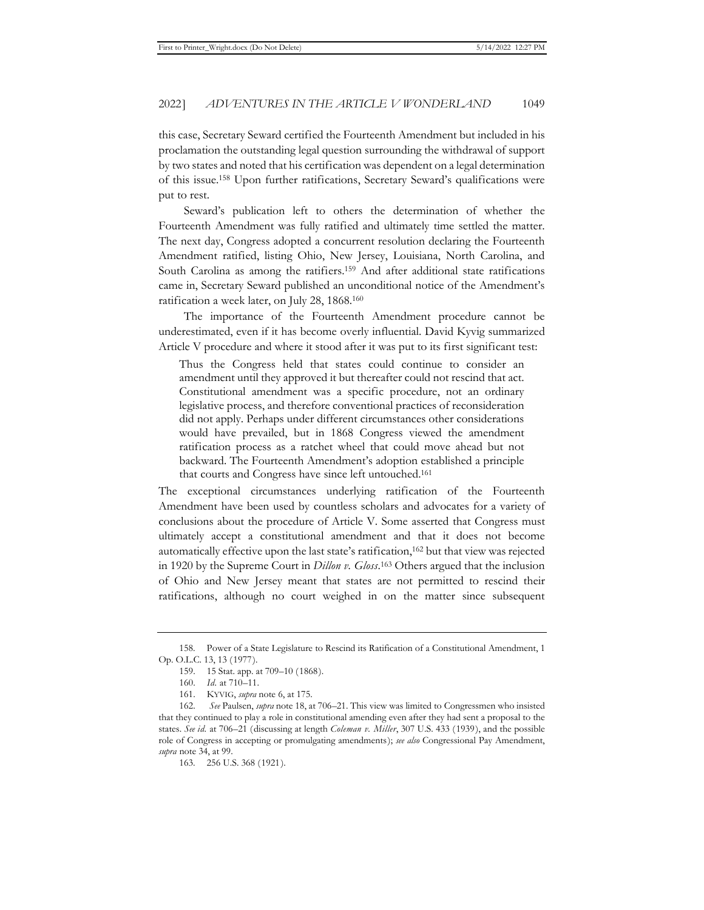this case, Secretary Seward certified the Fourteenth Amendment but included in his proclamation the outstanding legal question surrounding the withdrawal of support by two states and noted that his certification was dependent on a legal determination of this issue.158 Upon further ratifications, Secretary Seward's qualifications were put to rest.

Seward's publication left to others the determination of whether the Fourteenth Amendment was fully ratified and ultimately time settled the matter. The next day, Congress adopted a concurrent resolution declaring the Fourteenth Amendment ratified, listing Ohio, New Jersey, Louisiana, North Carolina, and South Carolina as among the ratifiers.159 And after additional state ratifications came in, Secretary Seward published an unconditional notice of the Amendment's ratification a week later, on July 28, 1868.160

The importance of the Fourteenth Amendment procedure cannot be underestimated, even if it has become overly influential. David Kyvig summarized Article V procedure and where it stood after it was put to its first significant test:

Thus the Congress held that states could continue to consider an amendment until they approved it but thereafter could not rescind that act. Constitutional amendment was a specific procedure, not an ordinary legislative process, and therefore conventional practices of reconsideration did not apply. Perhaps under different circumstances other considerations would have prevailed, but in 1868 Congress viewed the amendment ratification process as a ratchet wheel that could move ahead but not backward. The Fourteenth Amendment's adoption established a principle that courts and Congress have since left untouched.161

The exceptional circumstances underlying ratification of the Fourteenth Amendment have been used by countless scholars and advocates for a variety of conclusions about the procedure of Article V. Some asserted that Congress must ultimately accept a constitutional amendment and that it does not become automatically effective upon the last state's ratification,162 but that view was rejected in 1920 by the Supreme Court in *Dillon v. Gloss*. 163 Others argued that the inclusion of Ohio and New Jersey meant that states are not permitted to rescind their ratifications, although no court weighed in on the matter since subsequent

<sup>158.</sup> Power of a State Legislature to Rescind its Ratification of a Constitutional Amendment, 1 Op. O.L.C. 13, 13 (1977).

<sup>159. 15</sup> Stat. app. at 709–10 (1868).

<sup>160.</sup> *Id.* at 710–11.

<sup>161.</sup> KYVIG, *supra* note 6, at 175.

<sup>162.</sup> *See* Paulsen, *supra* note 18, at 706–21. This view was limited to Congressmen who insisted that they continued to play a role in constitutional amending even after they had sent a proposal to the states. *See id.* at 706–21 (discussing at length *Coleman v. Miller*, 307 U.S. 433 (1939), and the possible role of Congress in accepting or promulgating amendments); *see also* Congressional Pay Amendment, *supra* note 34, at 99.

<sup>163. 256</sup> U.S. 368 (1921).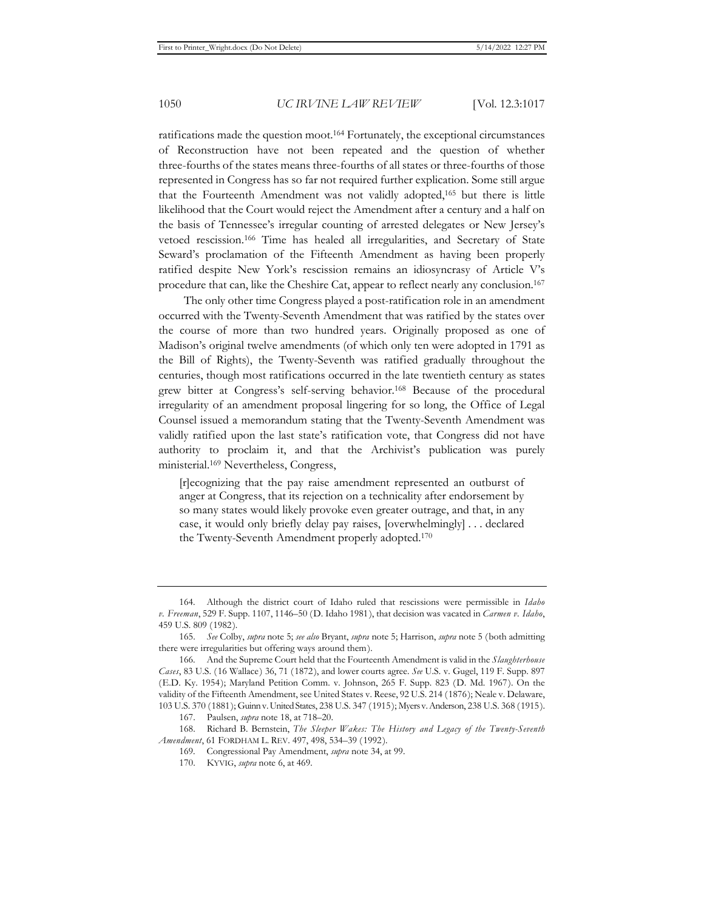ratifications made the question moot.164 Fortunately, the exceptional circumstances of Reconstruction have not been repeated and the question of whether three-fourths of the states means three-fourths of all states or three-fourths of those represented in Congress has so far not required further explication. Some still argue that the Fourteenth Amendment was not validly adopted,165 but there is little likelihood that the Court would reject the Amendment after a century and a half on the basis of Tennessee's irregular counting of arrested delegates or New Jersey's vetoed rescission.166 Time has healed all irregularities, and Secretary of State Seward's proclamation of the Fifteenth Amendment as having been properly ratified despite New York's rescission remains an idiosyncrasy of Article V's procedure that can, like the Cheshire Cat, appear to reflect nearly any conclusion.167

The only other time Congress played a post-ratification role in an amendment occurred with the Twenty-Seventh Amendment that was ratified by the states over the course of more than two hundred years. Originally proposed as one of Madison's original twelve amendments (of which only ten were adopted in 1791 as the Bill of Rights), the Twenty-Seventh was ratified gradually throughout the centuries, though most ratifications occurred in the late twentieth century as states grew bitter at Congress's self-serving behavior.168 Because of the procedural irregularity of an amendment proposal lingering for so long, the Office of Legal Counsel issued a memorandum stating that the Twenty-Seventh Amendment was validly ratified upon the last state's ratification vote, that Congress did not have authority to proclaim it, and that the Archivist's publication was purely ministerial.169 Nevertheless, Congress,

[r]ecognizing that the pay raise amendment represented an outburst of anger at Congress, that its rejection on a technicality after endorsement by so many states would likely provoke even greater outrage, and that, in any case, it would only briefly delay pay raises, [overwhelmingly] . . . declared the Twenty-Seventh Amendment properly adopted.170

<sup>164.</sup> Although the district court of Idaho ruled that rescissions were permissible in *Idaho v. Freeman*, 529 F. Supp. 1107, 1146–50 (D. Idaho 1981), that decision was vacated in *Carmen v. Idaho*, 459 U.S. 809 (1982).

<sup>165.</sup> *See* Colby, *supra* note 5; *see also* Bryant, *supra* note 5; Harrison, *supra* note 5 (both admitting there were irregularities but offering ways around them).

<sup>166.</sup> And the Supreme Court held that the Fourteenth Amendment is valid in the *Slaughterhouse Cases*, 83 U.S. (16 Wallace) 36, 71 (1872), and lower courts agree. *See* U.S. v. Gugel, 119 F. Supp. 897 (E.D. Ky. 1954); Maryland Petition Comm. v. Johnson, 265 F. Supp. 823 (D. Md. 1967). On the validity of the Fifteenth Amendment, see United States v. Reese, 92 U.S. 214 (1876); Neale v. Delaware, 103 U.S. 370 (1881); Guinn v. United States, 238 U.S. 347 (1915); Myers v. Anderson, 238 U.S. 368 (1915).

<sup>167.</sup> Paulsen, *supra* note 18, at 718–20.

<sup>168.</sup> Richard B. Bernstein, *The Sleeper Wakes: The History and Legacy of the Twenty-Seventh Amendment*, 61 FORDHAM L. REV. 497, 498, 534–39 (1992).

<sup>169.</sup> Congressional Pay Amendment, *supra* note 34, at 99.

<sup>170.</sup> KYVIG, *supra* note 6, at 469.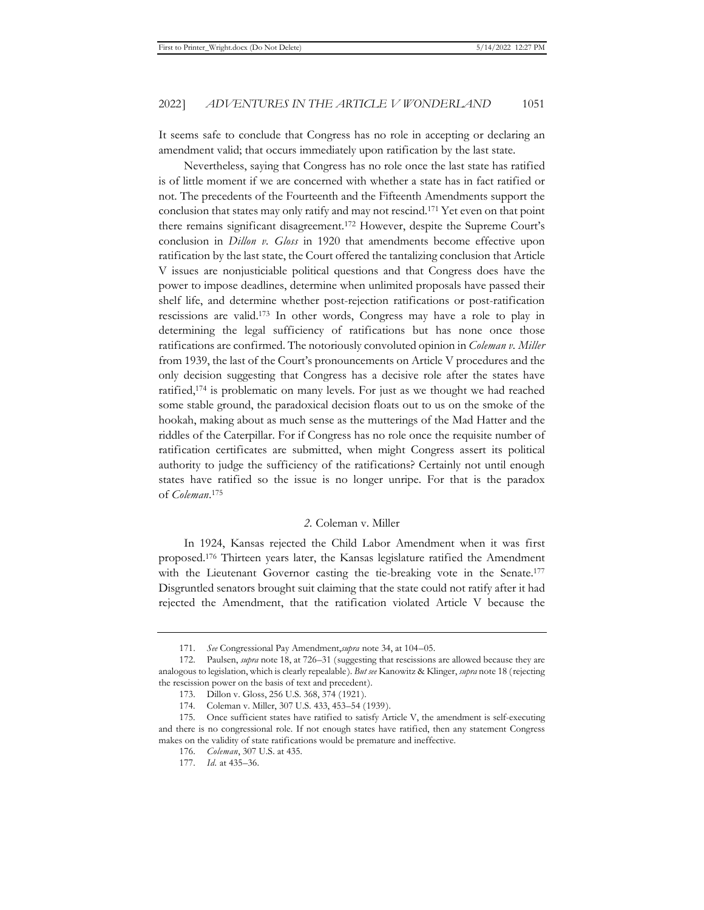It seems safe to conclude that Congress has no role in accepting or declaring an amendment valid; that occurs immediately upon ratification by the last state.

Nevertheless, saying that Congress has no role once the last state has ratified is of little moment if we are concerned with whether a state has in fact ratified or not. The precedents of the Fourteenth and the Fifteenth Amendments support the conclusion that states may only ratify and may not rescind.171 Yet even on that point there remains significant disagreement.172 However, despite the Supreme Court's conclusion in *Dillon v. Gloss* in 1920 that amendments become effective upon ratification by the last state, the Court offered the tantalizing conclusion that Article V issues are nonjusticiable political questions and that Congress does have the power to impose deadlines, determine when unlimited proposals have passed their shelf life, and determine whether post-rejection ratifications or post-ratification rescissions are valid.173 In other words, Congress may have a role to play in determining the legal sufficiency of ratifications but has none once those ratifications are confirmed. The notoriously convoluted opinion in *Coleman v. Miller*  from 1939, the last of the Court's pronouncements on Article V procedures and the only decision suggesting that Congress has a decisive role after the states have ratified,174 is problematic on many levels. For just as we thought we had reached some stable ground, the paradoxical decision floats out to us on the smoke of the hookah, making about as much sense as the mutterings of the Mad Hatter and the riddles of the Caterpillar. For if Congress has no role once the requisite number of ratification certificates are submitted, when might Congress assert its political authority to judge the sufficiency of the ratifications? Certainly not until enough states have ratified so the issue is no longer unripe. For that is the paradox of *Coleman*. 175

#### *2.* Coleman v. Miller

In 1924, Kansas rejected the Child Labor Amendment when it was first proposed.176 Thirteen years later, the Kansas legislature ratified the Amendment with the Lieutenant Governor casting the tie-breaking vote in the Senate.<sup>177</sup> Disgruntled senators brought suit claiming that the state could not ratify after it had rejected the Amendment, that the ratification violated Article V because the

<sup>171.</sup> *See* Congressional Pay Amendment,*supra* note 34, at 104–05.

<sup>172.</sup> Paulsen, *supra* note 18, at 726–31 (suggesting that rescissions are allowed because they are analogous to legislation, which is clearly repealable). *But see* Kanowitz & Klinger, *supra* note 18 (rejecting the rescission power on the basis of text and precedent).

<sup>173.</sup> Dillon v. Gloss, 256 U.S. 368, 374 (1921).

<sup>174.</sup> Coleman v. Miller, 307 U.S. 433, 453–54 (1939).

<sup>175.</sup> Once sufficient states have ratified to satisfy Article V, the amendment is self-executing and there is no congressional role. If not enough states have ratified, then any statement Congress makes on the validity of state ratifications would be premature and ineffective.

<sup>176.</sup> *Coleman*, 307 U.S. at 435.

<sup>177.</sup> *Id.* at 435–36.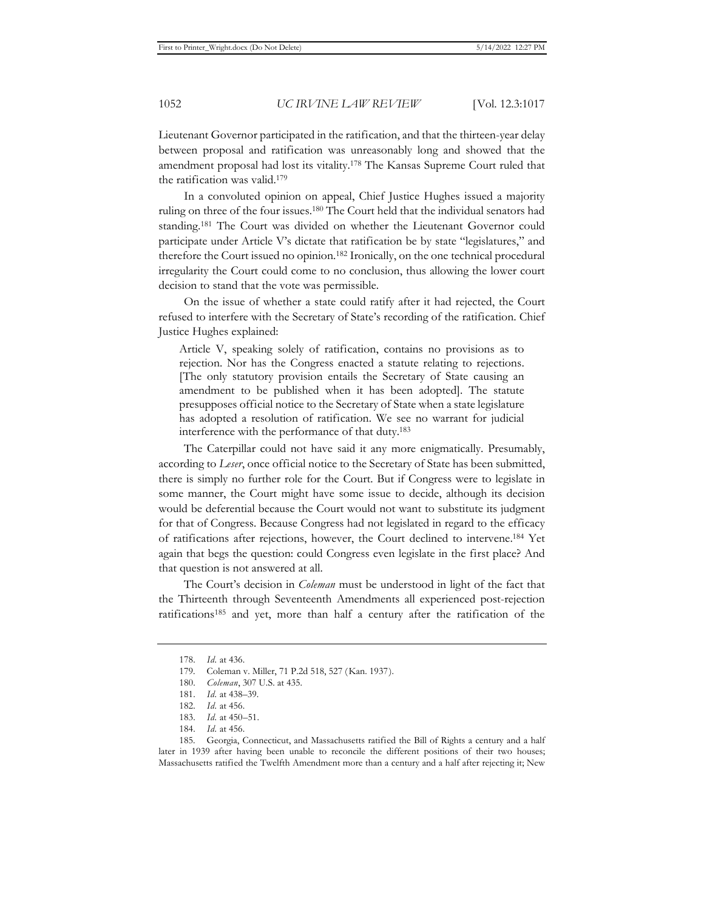Lieutenant Governor participated in the ratification, and that the thirteen-year delay between proposal and ratification was unreasonably long and showed that the amendment proposal had lost its vitality.178 The Kansas Supreme Court ruled that the ratification was valid.179

In a convoluted opinion on appeal, Chief Justice Hughes issued a majority ruling on three of the four issues.180 The Court held that the individual senators had standing.181 The Court was divided on whether the Lieutenant Governor could participate under Article V's dictate that ratification be by state "legislatures," and therefore the Court issued no opinion.182 Ironically, on the one technical procedural irregularity the Court could come to no conclusion, thus allowing the lower court decision to stand that the vote was permissible.

On the issue of whether a state could ratify after it had rejected, the Court refused to interfere with the Secretary of State's recording of the ratification. Chief Justice Hughes explained:

Article V, speaking solely of ratification, contains no provisions as to rejection. Nor has the Congress enacted a statute relating to rejections. [The only statutory provision entails the Secretary of State causing an amendment to be published when it has been adopted]. The statute presupposes official notice to the Secretary of State when a state legislature has adopted a resolution of ratification. We see no warrant for judicial interference with the performance of that duty.183

The Caterpillar could not have said it any more enigmatically. Presumably, according to *Leser*, once official notice to the Secretary of State has been submitted, there is simply no further role for the Court. But if Congress were to legislate in some manner, the Court might have some issue to decide, although its decision would be deferential because the Court would not want to substitute its judgment for that of Congress. Because Congress had not legislated in regard to the efficacy of ratifications after rejections, however, the Court declined to intervene.184 Yet again that begs the question: could Congress even legislate in the first place? And that question is not answered at all.

The Court's decision in *Coleman* must be understood in light of the fact that the Thirteenth through Seventeenth Amendments all experienced post-rejection ratifications185 and yet, more than half a century after the ratification of the

<sup>178.</sup> *Id.* at 436.

<sup>179.</sup> Coleman v. Miller, 71 P.2d 518, 527 (Kan. 1937).

<sup>180.</sup> *Coleman*, 307 U.S. at 435.

<sup>181.</sup> *Id.* at 438–39.

<sup>182.</sup> *Id.* at 456.

<sup>183.</sup> *Id.* at 450–51.

<sup>184.</sup> *Id.* at 456.

<sup>185.</sup> Georgia, Connecticut, and Massachusetts ratified the Bill of Rights a century and a half later in 1939 after having been unable to reconcile the different positions of their two houses; Massachusetts ratified the Twelfth Amendment more than a century and a half after rejecting it; New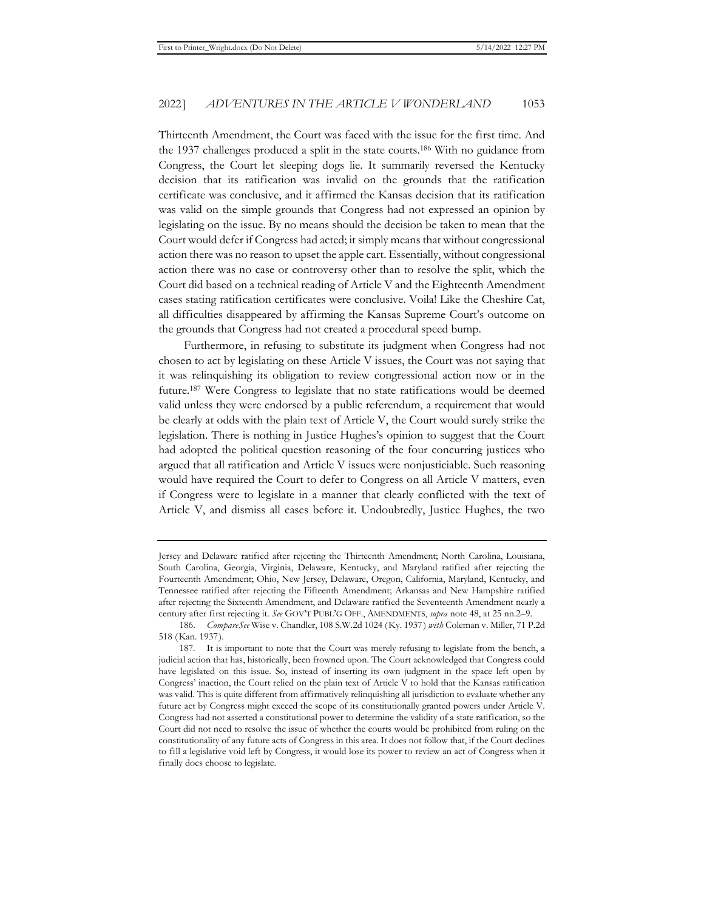Thirteenth Amendment, the Court was faced with the issue for the first time. And the 1937 challenges produced a split in the state courts.186 With no guidance from Congress, the Court let sleeping dogs lie. It summarily reversed the Kentucky decision that its ratification was invalid on the grounds that the ratification certificate was conclusive, and it affirmed the Kansas decision that its ratification was valid on the simple grounds that Congress had not expressed an opinion by legislating on the issue. By no means should the decision be taken to mean that the Court would defer if Congress had acted; it simply means that without congressional action there was no reason to upset the apple cart. Essentially, without congressional action there was no case or controversy other than to resolve the split, which the Court did based on a technical reading of Article V and the Eighteenth Amendment cases stating ratification certificates were conclusive. Voila! Like the Cheshire Cat, all difficulties disappeared by affirming the Kansas Supreme Court's outcome on the grounds that Congress had not created a procedural speed bump.

Furthermore, in refusing to substitute its judgment when Congress had not chosen to act by legislating on these Article V issues, the Court was not saying that it was relinquishing its obligation to review congressional action now or in the future.187 Were Congress to legislate that no state ratifications would be deemed valid unless they were endorsed by a public referendum, a requirement that would be clearly at odds with the plain text of Article V, the Court would surely strike the legislation. There is nothing in Justice Hughes's opinion to suggest that the Court had adopted the political question reasoning of the four concurring justices who argued that all ratification and Article V issues were nonjusticiable. Such reasoning would have required the Court to defer to Congress on all Article V matters, even if Congress were to legislate in a manner that clearly conflicted with the text of Article V, and dismiss all cases before it. Undoubtedly, Justice Hughes, the two

Jersey and Delaware ratified after rejecting the Thirteenth Amendment; North Carolina, Louisiana, South Carolina, Georgia, Virginia, Delaware, Kentucky, and Maryland ratified after rejecting the Fourteenth Amendment; Ohio, New Jersey, Delaware, Oregon, California, Maryland, Kentucky, and Tennessee ratified after rejecting the Fifteenth Amendment; Arkansas and New Hampshire ratified after rejecting the Sixteenth Amendment, and Delaware ratified the Seventeenth Amendment nearly a century after first rejecting it. *See* GOV'T PUBL'G OFF., AMENDMENTS, *supra* note 48, at 25 nn.2–9.

<sup>186.</sup> *CompareSee* Wise v. Chandler, 108 S.W.2d 1024 (Ky. 1937) *with* Coleman v. Miller, 71 P.2d 518 (Kan. 1937).

<sup>187.</sup> It is important to note that the Court was merely refusing to legislate from the bench, a judicial action that has, historically, been frowned upon. The Court acknowledged that Congress could have legislated on this issue. So, instead of inserting its own judgment in the space left open by Congress' inaction, the Court relied on the plain text of Article V to hold that the Kansas ratification was valid. This is quite different from affirmatively relinquishing all jurisdiction to evaluate whether any future act by Congress might exceed the scope of its constitutionally granted powers under Article V. Congress had not asserted a constitutional power to determine the validity of a state ratification, so the Court did not need to resolve the issue of whether the courts would be prohibited from ruling on the constitutionality of any future acts of Congress in this area. It does not follow that, if the Court declines to fill a legislative void left by Congress, it would lose its power to review an act of Congress when it finally does choose to legislate.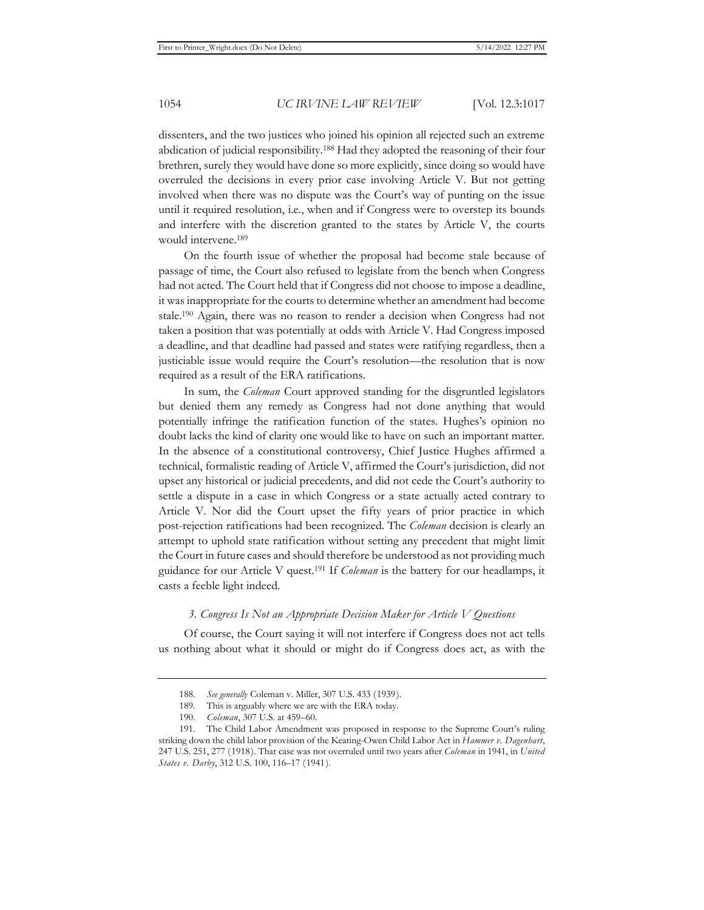dissenters, and the two justices who joined his opinion all rejected such an extreme abdication of judicial responsibility.188 Had they adopted the reasoning of their four brethren, surely they would have done so more explicitly, since doing so would have overruled the decisions in every prior case involving Article V. But not getting involved when there was no dispute was the Court's way of punting on the issue until it required resolution, i.e., when and if Congress were to overstep its bounds and interfere with the discretion granted to the states by Article V, the courts would intervene.189

On the fourth issue of whether the proposal had become stale because of passage of time, the Court also refused to legislate from the bench when Congress had not acted. The Court held that if Congress did not choose to impose a deadline, it was inappropriate for the courts to determine whether an amendment had become stale.190 Again, there was no reason to render a decision when Congress had not taken a position that was potentially at odds with Article V. Had Congress imposed a deadline, and that deadline had passed and states were ratifying regardless, then a justiciable issue would require the Court's resolution—the resolution that is now required as a result of the ERA ratifications.

In sum, the *Coleman* Court approved standing for the disgruntled legislators but denied them any remedy as Congress had not done anything that would potentially infringe the ratification function of the states. Hughes's opinion no doubt lacks the kind of clarity one would like to have on such an important matter. In the absence of a constitutional controversy, Chief Justice Hughes affirmed a technical, formalistic reading of Article V, affirmed the Court's jurisdiction, did not upset any historical or judicial precedents, and did not cede the Court's authority to settle a dispute in a case in which Congress or a state actually acted contrary to Article V. Nor did the Court upset the fifty years of prior practice in which post-rejection ratifications had been recognized. The *Coleman* decision is clearly an attempt to uphold state ratification without setting any precedent that might limit the Court in future cases and should therefore be understood as not providing much guidance for our Article V quest.191 If *Coleman* is the battery for our headlamps, it casts a feeble light indeed.

## *3. Congress Is Not an Appropriate Decision Maker for Article V Questions*

Of course, the Court saying it will not interfere if Congress does not act tells us nothing about what it should or might do if Congress does act, as with the

<sup>188.</sup> *See generally* Coleman v. Miller, 307 U.S. 433 (1939).

<sup>189.</sup> This is arguably where we are with the ERA today.

<sup>190.</sup> *Coleman*, 307 U.S. at 459–60.

<sup>191.</sup> The Child Labor Amendment was proposed in response to the Supreme Court's ruling striking down the child labor provision of the Keating-Owen Child Labor Act in *Hammer v. Dagenhart*, 247 U.S. 251, 277 (1918). That case was not overruled until two years after *Coleman* in 1941, in *United States v. Darby*, 312 U.S. 100, 116–17 (1941).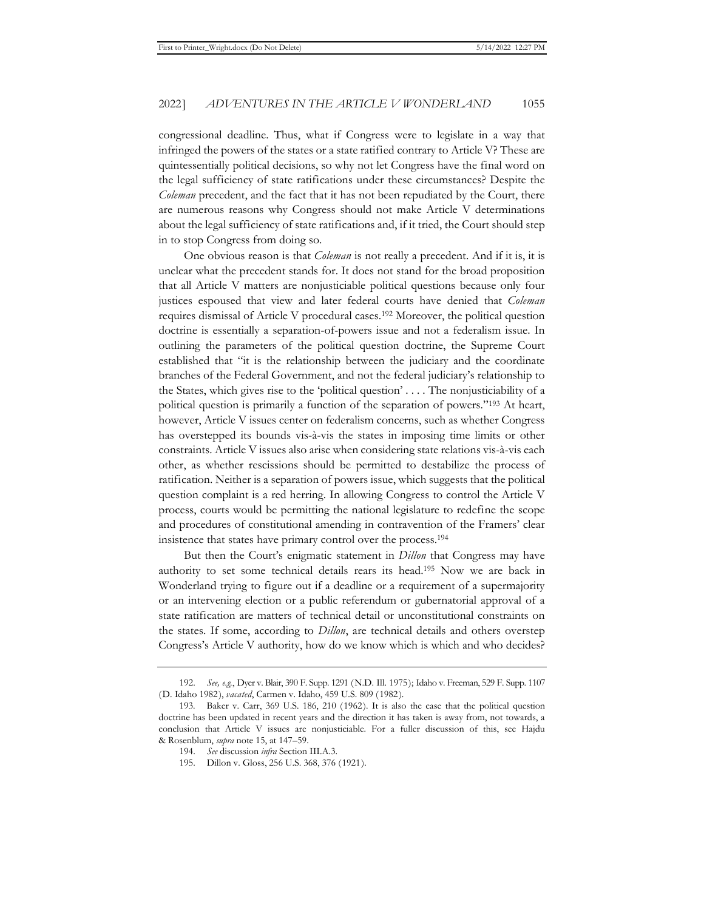congressional deadline. Thus, what if Congress were to legislate in a way that infringed the powers of the states or a state ratified contrary to Article V? These are quintessentially political decisions, so why not let Congress have the final word on the legal sufficiency of state ratifications under these circumstances? Despite the *Coleman* precedent, and the fact that it has not been repudiated by the Court, there are numerous reasons why Congress should not make Article V determinations about the legal sufficiency of state ratifications and, if it tried, the Court should step in to stop Congress from doing so.

One obvious reason is that *Coleman* is not really a precedent. And if it is, it is unclear what the precedent stands for. It does not stand for the broad proposition that all Article V matters are nonjusticiable political questions because only four justices espoused that view and later federal courts have denied that *Coleman* requires dismissal of Article V procedural cases.192 Moreover, the political question doctrine is essentially a separation-of-powers issue and not a federalism issue. In outlining the parameters of the political question doctrine, the Supreme Court established that "it is the relationship between the judiciary and the coordinate branches of the Federal Government, and not the federal judiciary's relationship to the States, which gives rise to the 'political question' . . . . The nonjusticiability of a political question is primarily a function of the separation of powers."193 At heart, however, Article V issues center on federalism concerns, such as whether Congress has overstepped its bounds vis-à-vis the states in imposing time limits or other constraints. Article V issues also arise when considering state relations vis-à-vis each other, as whether rescissions should be permitted to destabilize the process of ratification. Neither is a separation of powers issue, which suggests that the political question complaint is a red herring. In allowing Congress to control the Article V process, courts would be permitting the national legislature to redefine the scope and procedures of constitutional amending in contravention of the Framers' clear insistence that states have primary control over the process.194

But then the Court's enigmatic statement in *Dillon* that Congress may have authority to set some technical details rears its head.195 Now we are back in Wonderland trying to figure out if a deadline or a requirement of a supermajority or an intervening election or a public referendum or gubernatorial approval of a state ratification are matters of technical detail or unconstitutional constraints on the states. If some, according to *Dillon*, are technical details and others overstep Congress's Article V authority, how do we know which is which and who decides?

<sup>192.</sup> *See, e.g.*, Dyer v. Blair, 390 F. Supp. 1291 (N.D. Ill. 1975); Idaho v. Freeman, 529 F. Supp. 1107 (D. Idaho 1982), *vacated*, Carmen v. Idaho, 459 U.S. 809 (1982).

<sup>193.</sup> Baker v. Carr, 369 U.S. 186, 210 (1962). It is also the case that the political question doctrine has been updated in recent years and the direction it has taken is away from, not towards, a conclusion that Article V issues are nonjusticiable. For a fuller discussion of this, see Hajdu & Rosenblum, *supra* note 15, at 147–59.

<sup>194.</sup> *See* discussion *infra* Section III.A.3.

<sup>195.</sup> Dillon v. Gloss, 256 U.S. 368, 376 (1921).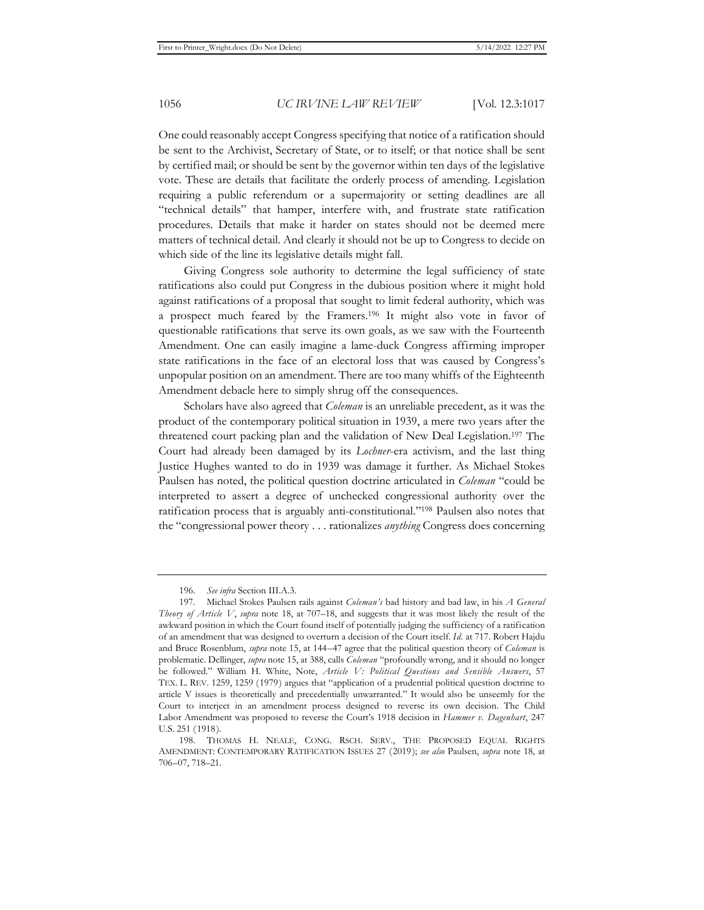One could reasonably accept Congress specifying that notice of a ratification should be sent to the Archivist, Secretary of State, or to itself; or that notice shall be sent by certified mail; or should be sent by the governor within ten days of the legislative vote. These are details that facilitate the orderly process of amending. Legislation requiring a public referendum or a supermajority or setting deadlines are all "technical details" that hamper, interfere with, and frustrate state ratification procedures. Details that make it harder on states should not be deemed mere matters of technical detail. And clearly it should not be up to Congress to decide on which side of the line its legislative details might fall.

Giving Congress sole authority to determine the legal sufficiency of state ratifications also could put Congress in the dubious position where it might hold against ratifications of a proposal that sought to limit federal authority, which was a prospect much feared by the Framers.196 It might also vote in favor of questionable ratifications that serve its own goals, as we saw with the Fourteenth Amendment. One can easily imagine a lame-duck Congress affirming improper state ratifications in the face of an electoral loss that was caused by Congress's unpopular position on an amendment. There are too many whiffs of the Eighteenth Amendment debacle here to simply shrug off the consequences.

Scholars have also agreed that *Coleman* is an unreliable precedent, as it was the product of the contemporary political situation in 1939, a mere two years after the threatened court packing plan and the validation of New Deal Legislation.197 The Court had already been damaged by its *Lochner*-era activism, and the last thing Justice Hughes wanted to do in 1939 was damage it further. As Michael Stokes Paulsen has noted, the political question doctrine articulated in *Coleman* "could be interpreted to assert a degree of unchecked congressional authority over the ratification process that is arguably anti-constitutional."198 Paulsen also notes that the "congressional power theory . . . rationalizes *anything* Congress does concerning

<sup>196.</sup> *See infra* Section III.A.3.

<sup>197.</sup> Michael Stokes Paulsen rails against *Coleman's* bad history and bad law, in his *A General Theory of Article V*, *supra* note 18, at 707–18, and suggests that it was most likely the result of the awkward position in which the Court found itself of potentially judging the sufficiency of a ratification of an amendment that was designed to overturn a decision of the Court itself. *Id.* at 717. Robert Hajdu and Bruce Rosenblum, *supra* note 15, at 144–47 agree that the political question theory of *Coleman* is problematic. Dellinger, *supra* note 15, at 388, calls *Coleman* "profoundly wrong, and it should no longer be followed." William H. White, Note, *Article V: Political Questions and Sensible Answers*, 57 TEX. L. REV. 1259, 1259 (1979) argues that "application of a prudential political question doctrine to article V issues is theoretically and precedentially unwarranted." It would also be unseemly for the Court to interject in an amendment process designed to reverse its own decision. The Child Labor Amendment was proposed to reverse the Court's 1918 decision in *Hammer v. Dagenhart*, 247 U.S. 251 (1918).

<sup>198.</sup> THOMAS H. NEALE, CONG. RSCH. SERV., THE PROPOSED EQUAL RIGHTS AMENDMENT: CONTEMPORARY RATIFICATION ISSUES 27 (2019); *see also* Paulsen, *supra* note 18, at 706–07, 718–21.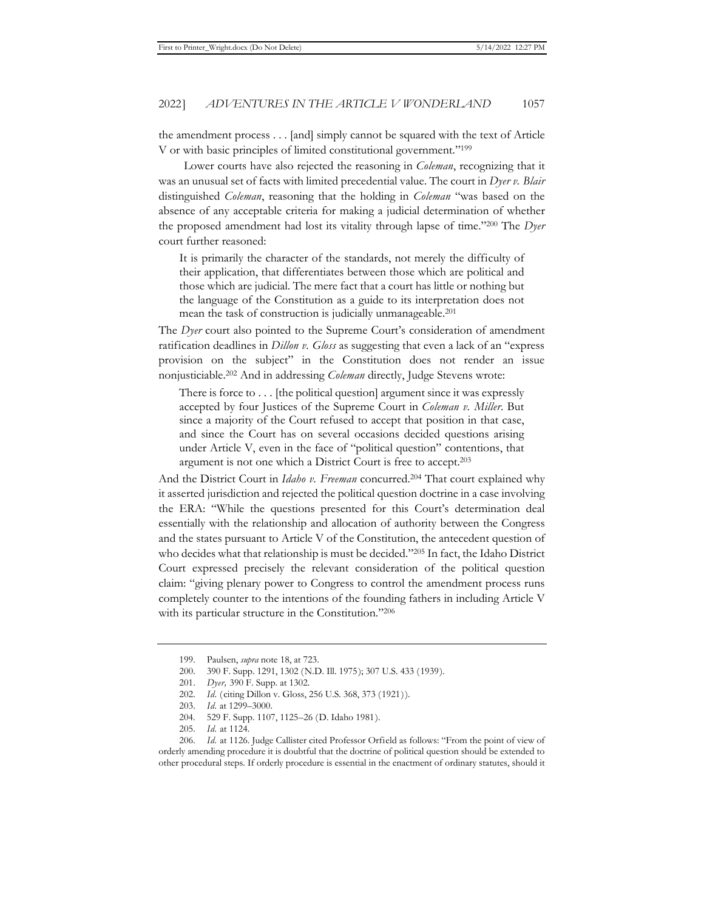the amendment process . . . [and] simply cannot be squared with the text of Article V or with basic principles of limited constitutional government."199

Lower courts have also rejected the reasoning in *Coleman*, recognizing that it was an unusual set of facts with limited precedential value. The court in *Dyer v. Blair* distinguished *Coleman*, reasoning that the holding in *Coleman* "was based on the absence of any acceptable criteria for making a judicial determination of whether the proposed amendment had lost its vitality through lapse of time."200 The *Dyer* court further reasoned:

It is primarily the character of the standards, not merely the difficulty of their application, that differentiates between those which are political and those which are judicial. The mere fact that a court has little or nothing but the language of the Constitution as a guide to its interpretation does not mean the task of construction is judicially unmanageable.201

The *Dyer* court also pointed to the Supreme Court's consideration of amendment ratification deadlines in *Dillon v. Gloss* as suggesting that even a lack of an "express provision on the subject" in the Constitution does not render an issue nonjusticiable.202 And in addressing *Coleman* directly, Judge Stevens wrote:

There is force to  $\dots$  [the political question] argument since it was expressly accepted by four Justices of the Supreme Court in *Coleman v. Miller*. But since a majority of the Court refused to accept that position in that case, and since the Court has on several occasions decided questions arising under Article V, even in the face of "political question" contentions, that argument is not one which a District Court is free to accept.203

And the District Court in *Idaho v. Freeman* concurred.<sup>204</sup> That court explained why it asserted jurisdiction and rejected the political question doctrine in a case involving the ERA: "While the questions presented for this Court's determination deal essentially with the relationship and allocation of authority between the Congress and the states pursuant to Article V of the Constitution, the antecedent question of who decides what that relationship is must be decided."205 In fact, the Idaho District Court expressed precisely the relevant consideration of the political question claim: "giving plenary power to Congress to control the amendment process runs completely counter to the intentions of the founding fathers in including Article V with its particular structure in the Constitution."206

204. 529 F. Supp. 1107, 1125–26 (D. Idaho 1981).

<sup>199.</sup> Paulsen, *supra* note 18, at 723.

<sup>200. 390</sup> F. Supp. 1291, 1302 (N.D. Ill. 1975); 307 U.S. 433 (1939).

<sup>201.</sup> *Dyer,* 390 F. Supp. at 1302.

<sup>202.</sup> *Id.* (citing Dillon v. Gloss, 256 U.S. 368, 373 (1921)).

<sup>203.</sup> *Id.* at 1299–3000.

<sup>205.</sup> *Id.* at 1124.

<sup>206.</sup> *Id.* at 1126. Judge Callister cited Professor Orfield as follows: "From the point of view of orderly amending procedure it is doubtful that the doctrine of political question should be extended to other procedural steps. If orderly procedure is essential in the enactment of ordinary statutes, should it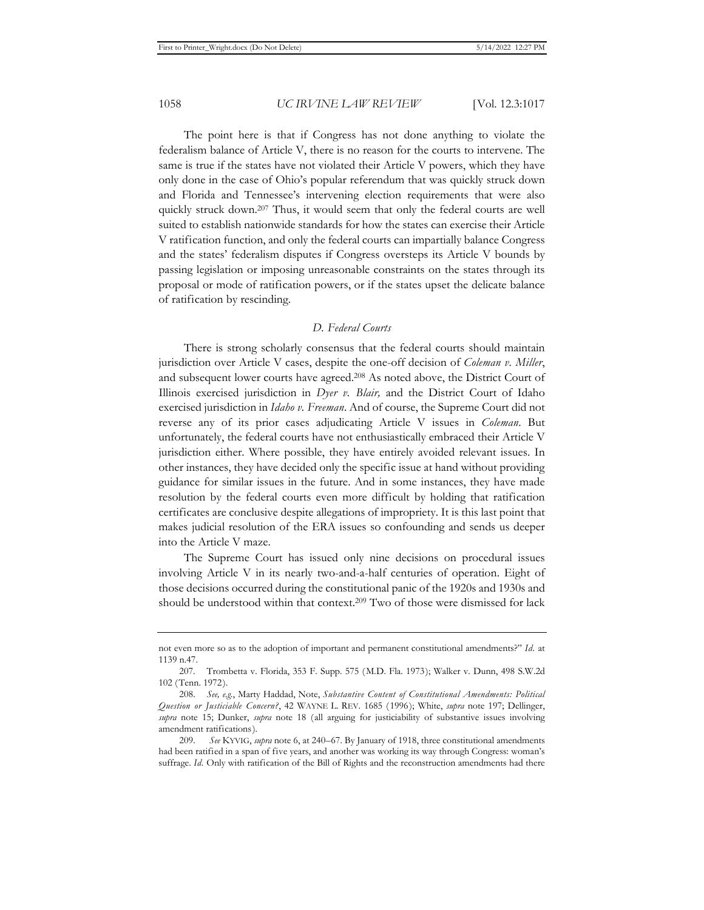The point here is that if Congress has not done anything to violate the federalism balance of Article V, there is no reason for the courts to intervene. The same is true if the states have not violated their Article V powers, which they have only done in the case of Ohio's popular referendum that was quickly struck down and Florida and Tennessee's intervening election requirements that were also quickly struck down.<sup>207</sup> Thus, it would seem that only the federal courts are well suited to establish nationwide standards for how the states can exercise their Article V ratification function, and only the federal courts can impartially balance Congress and the states' federalism disputes if Congress oversteps its Article V bounds by passing legislation or imposing unreasonable constraints on the states through its proposal or mode of ratification powers, or if the states upset the delicate balance of ratification by rescinding.

## *D. Federal Courts*

There is strong scholarly consensus that the federal courts should maintain jurisdiction over Article V cases, despite the one-off decision of *Coleman v. Miller*, and subsequent lower courts have agreed.208 As noted above, the District Court of Illinois exercised jurisdiction in *Dyer v. Blair,* and the District Court of Idaho exercised jurisdiction in *Idaho v. Freeman*. And of course, the Supreme Court did not reverse any of its prior cases adjudicating Article V issues in *Coleman*. But unfortunately, the federal courts have not enthusiastically embraced their Article V jurisdiction either. Where possible, they have entirely avoided relevant issues. In other instances, they have decided only the specific issue at hand without providing guidance for similar issues in the future. And in some instances, they have made resolution by the federal courts even more difficult by holding that ratification certificates are conclusive despite allegations of impropriety. It is this last point that makes judicial resolution of the ERA issues so confounding and sends us deeper into the Article V maze.

The Supreme Court has issued only nine decisions on procedural issues involving Article V in its nearly two-and-a-half centuries of operation. Eight of those decisions occurred during the constitutional panic of the 1920s and 1930s and should be understood within that context.209 Two of those were dismissed for lack

not even more so as to the adoption of important and permanent constitutional amendments?" *Id.* at 1139 n.47.

<sup>207.</sup> Trombetta v. Florida, 353 F. Supp. 575 (M.D. Fla. 1973); Walker v. Dunn, 498 S.W.2d 102 (Tenn. 1972).

<sup>208.</sup> *See, e.g.*, Marty Haddad, Note, *Substantive Content of Constitutional Amendments: Political Question or Justiciable Concern?*, 42 WAYNE L. REV. 1685 (1996); White, *supra* note 197; Dellinger, *supra* note 15; Dunker, *supra* note 18 (all arguing for justiciability of substantive issues involving amendment ratifications).

<sup>209.</sup> *See* KYVIG, *supra* note 6, at 240–67. By January of 1918, three constitutional amendments had been ratified in a span of five years, and another was working its way through Congress: woman's suffrage. *Id.* Only with ratification of the Bill of Rights and the reconstruction amendments had there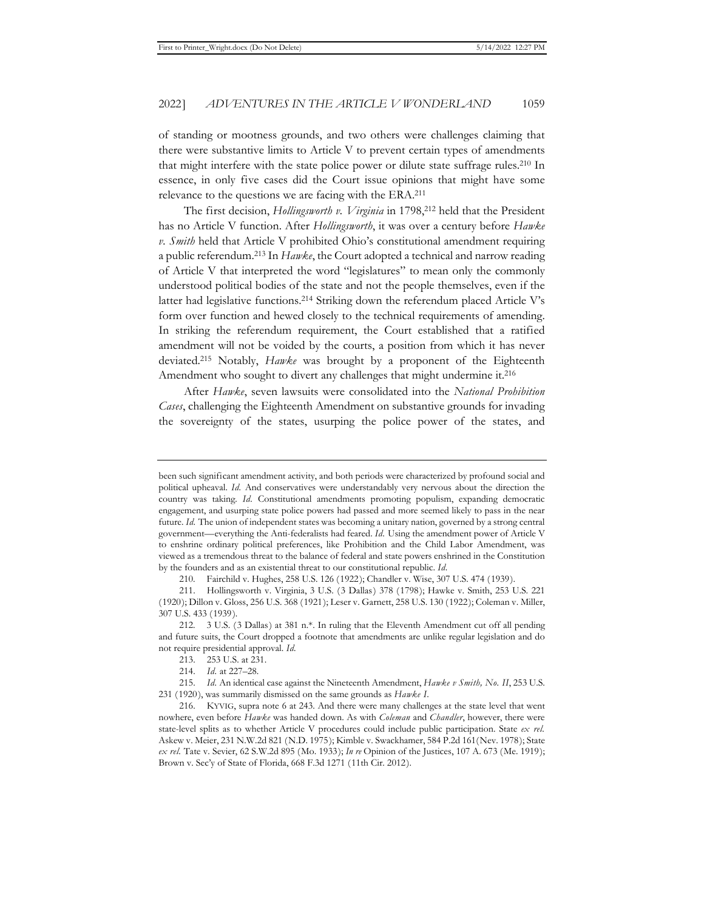of standing or mootness grounds, and two others were challenges claiming that there were substantive limits to Article V to prevent certain types of amendments that might interfere with the state police power or dilute state suffrage rules.210 In essence, in only five cases did the Court issue opinions that might have some relevance to the questions we are facing with the ERA.211

The first decision, *Hollingsworth v. Virginia* in 1798,<sup>212</sup> held that the President has no Article V function. After *Hollingsworth*, it was over a century before *Hawke v. Smith* held that Article V prohibited Ohio's constitutional amendment requiring a public referendum.213 In *Hawke*, the Court adopted a technical and narrow reading of Article V that interpreted the word "legislatures" to mean only the commonly understood political bodies of the state and not the people themselves, even if the latter had legislative functions.214 Striking down the referendum placed Article V's form over function and hewed closely to the technical requirements of amending. In striking the referendum requirement, the Court established that a ratified amendment will not be voided by the courts, a position from which it has never deviated.215 Notably, *Hawke* was brought by a proponent of the Eighteenth Amendment who sought to divert any challenges that might undermine it.<sup>216</sup>

After *Hawke*, seven lawsuits were consolidated into the *National Prohibition Cases*, challenging the Eighteenth Amendment on substantive grounds for invading the sovereignty of the states, usurping the police power of the states, and

been such significant amendment activity, and both periods were characterized by profound social and political upheaval. *Id.* And conservatives were understandably very nervous about the direction the country was taking. *Id.* Constitutional amendments promoting populism, expanding democratic engagement, and usurping state police powers had passed and more seemed likely to pass in the near future. *Id.* The union of independent states was becoming a unitary nation, governed by a strong central government—everything the Anti-federalists had feared. *Id.* Using the amendment power of Article V to enshrine ordinary political preferences, like Prohibition and the Child Labor Amendment, was viewed as a tremendous threat to the balance of federal and state powers enshrined in the Constitution by the founders and as an existential threat to our constitutional republic. *Id.*

<sup>210.</sup> Fairchild v. Hughes, 258 U.S. 126 (1922); Chandler v. Wise, 307 U.S. 474 (1939).

<sup>211.</sup> Hollingsworth v. Virginia, 3 U.S. (3 Dallas) 378 (1798); Hawke v. Smith, 253 U.S. 221 (1920); Dillon v. Gloss, 256 U.S. 368 (1921); Leser v. Garnett, 258 U.S. 130 (1922); Coleman v. Miller, 307 U.S. 433 (1939).

<sup>212. 3</sup> U.S. (3 Dallas) at 381 n.\*. In ruling that the Eleventh Amendment cut off all pending and future suits, the Court dropped a footnote that amendments are unlike regular legislation and do not require presidential approval. *Id.*

<sup>213. 253</sup> U.S. at 231.

<sup>214.</sup> *Id.* at 227–28.

<sup>215.</sup> *Id.* An identical case against the Nineteenth Amendment, *Hawke v Smith, No. II*, 253 U.S. 231 (1920), was summarily dismissed on the same grounds as *Hawke I*.

<sup>216.</sup> KYVIG, supra note 6 at 243. And there were many challenges at the state level that went nowhere, even before *Hawke* was handed down. As with *Coleman* and *Chandler*, however, there were state-level splits as to whether Article V procedures could include public participation. State *ex rel.*  Askew v. Meier, 231 N.W.2d 821 (N.D. 1975); Kimble v. Swackhamer, 584 P.2d 161(Nev. 1978); State *ex rel.* Tate v. Sevier, 62 S.W.2d 895 (Mo. 1933); *In re* Opinion of the Justices, 107 A. 673 (Me. 1919); Brown v. Sec'y of State of Florida, 668 F.3d 1271 (11th Cir. 2012).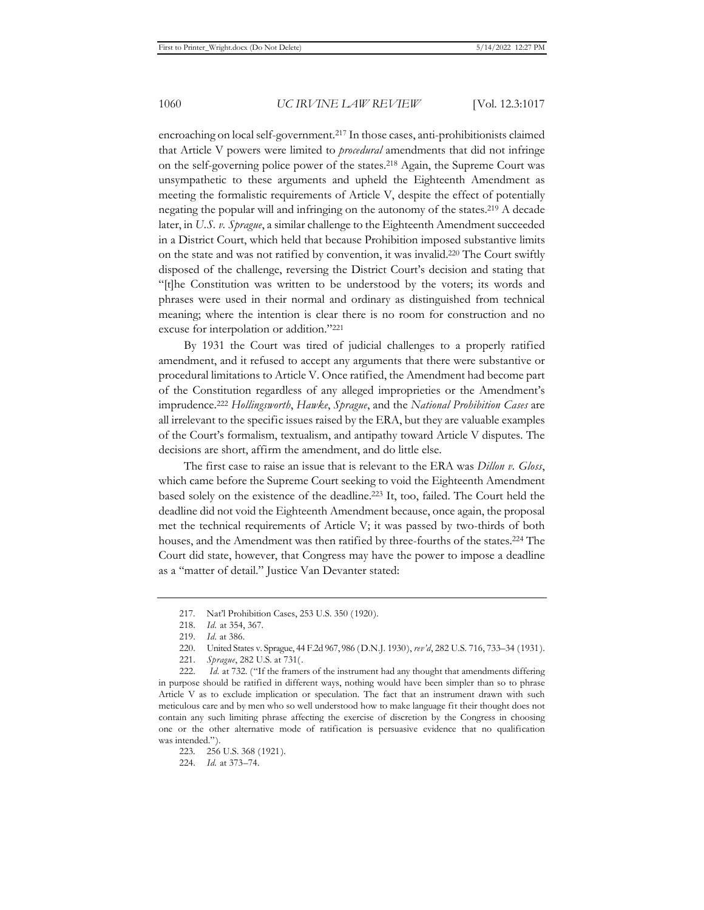encroaching on local self-government.217 In those cases, anti-prohibitionists claimed that Article V powers were limited to *procedural* amendments that did not infringe on the self-governing police power of the states.218 Again, the Supreme Court was unsympathetic to these arguments and upheld the Eighteenth Amendment as meeting the formalistic requirements of Article V, despite the effect of potentially negating the popular will and infringing on the autonomy of the states.219 A decade later, in *U.S. v. Sprague*, a similar challenge to the Eighteenth Amendment succeeded in a District Court, which held that because Prohibition imposed substantive limits on the state and was not ratified by convention, it was invalid.220 The Court swiftly disposed of the challenge, reversing the District Court's decision and stating that "[t]he Constitution was written to be understood by the voters; its words and phrases were used in their normal and ordinary as distinguished from technical meaning; where the intention is clear there is no room for construction and no excuse for interpolation or addition."221

By 1931 the Court was tired of judicial challenges to a properly ratified amendment, and it refused to accept any arguments that there were substantive or procedural limitations to Article V. Once ratified, the Amendment had become part of the Constitution regardless of any alleged improprieties or the Amendment's imprudence.222 *Hollingsworth*, *Hawke*, *Sprague*, and the *National Prohibition Cases* are all irrelevant to the specific issues raised by the ERA, but they are valuable examples of the Court's formalism, textualism, and antipathy toward Article V disputes. The decisions are short, affirm the amendment, and do little else.

The first case to raise an issue that is relevant to the ERA was *Dillon v. Gloss*, which came before the Supreme Court seeking to void the Eighteenth Amendment based solely on the existence of the deadline.223 It, too, failed. The Court held the deadline did not void the Eighteenth Amendment because, once again, the proposal met the technical requirements of Article V; it was passed by two-thirds of both houses, and the Amendment was then ratified by three-fourths of the states.224 The Court did state, however, that Congress may have the power to impose a deadline as a "matter of detail." Justice Van Devanter stated:

222. *Id.* at 732. ("If the framers of the instrument had any thought that amendments differing in purpose should be ratified in different ways, nothing would have been simpler than so to phrase Article V as to exclude implication or speculation. The fact that an instrument drawn with such meticulous care and by men who so well understood how to make language fit their thought does not contain any such limiting phrase affecting the exercise of discretion by the Congress in choosing one or the other alternative mode of ratification is persuasive evidence that no qualification was intended.").

<sup>217.</sup> Nat'l Prohibition Cases, 253 U.S. 350 (1920).

<sup>218.</sup> *Id.* at 354, 367.

<sup>219.</sup> *Id.* at 386.

<sup>220.</sup> United States v. Sprague, 44 F.2d 967, 986 (D.N.J. 1930), *rev'd*, 282 U.S. 716, 733–34 (1931).

<sup>221.</sup> *Sprague*, 282 U.S. at 731(.

<sup>223. 256</sup> U.S. 368 (1921).

<sup>224.</sup> *Id.* at 373–74.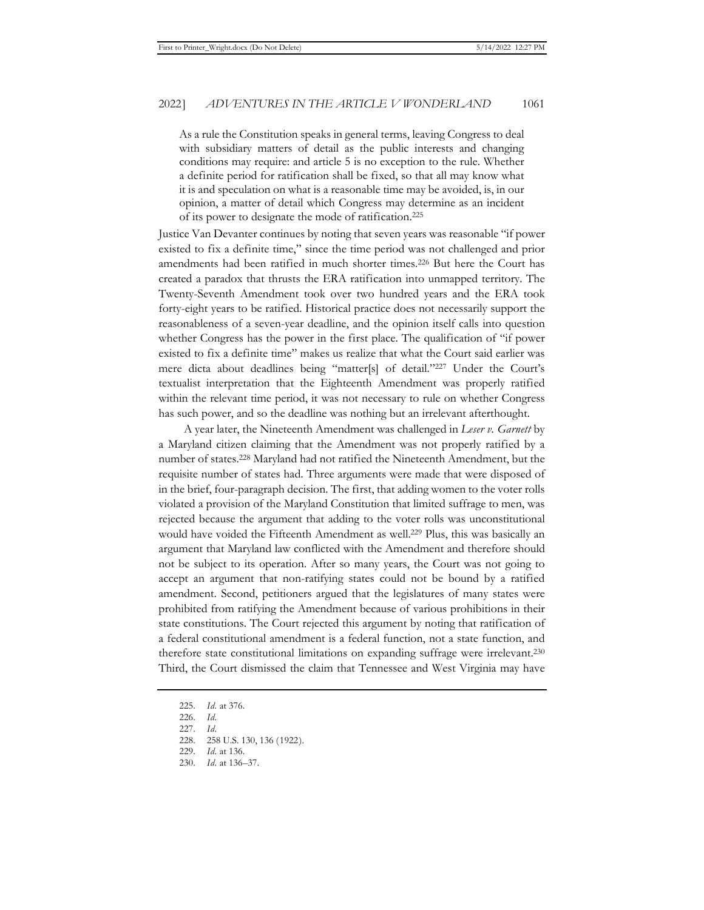As a rule the Constitution speaks in general terms, leaving Congress to deal with subsidiary matters of detail as the public interests and changing conditions may require: and article 5 is no exception to the rule. Whether a definite period for ratification shall be fixed, so that all may know what it is and speculation on what is a reasonable time may be avoided, is, in our opinion, a matter of detail which Congress may determine as an incident of its power to designate the mode of ratification.225

Justice Van Devanter continues by noting that seven years was reasonable "if power existed to fix a definite time," since the time period was not challenged and prior amendments had been ratified in much shorter times.226 But here the Court has created a paradox that thrusts the ERA ratification into unmapped territory. The Twenty-Seventh Amendment took over two hundred years and the ERA took forty-eight years to be ratified. Historical practice does not necessarily support the reasonableness of a seven-year deadline, and the opinion itself calls into question whether Congress has the power in the first place. The qualification of "if power existed to fix a definite time" makes us realize that what the Court said earlier was mere dicta about deadlines being "matter[s] of detail."227 Under the Court's textualist interpretation that the Eighteenth Amendment was properly ratified within the relevant time period, it was not necessary to rule on whether Congress has such power, and so the deadline was nothing but an irrelevant afterthought.

A year later, the Nineteenth Amendment was challenged in *Leser v. Garnett* by a Maryland citizen claiming that the Amendment was not properly ratified by a number of states.228 Maryland had not ratified the Nineteenth Amendment, but the requisite number of states had. Three arguments were made that were disposed of in the brief, four-paragraph decision. The first, that adding women to the voter rolls violated a provision of the Maryland Constitution that limited suffrage to men, was rejected because the argument that adding to the voter rolls was unconstitutional would have voided the Fifteenth Amendment as well.<sup>229</sup> Plus, this was basically an argument that Maryland law conflicted with the Amendment and therefore should not be subject to its operation. After so many years, the Court was not going to accept an argument that non-ratifying states could not be bound by a ratified amendment. Second, petitioners argued that the legislatures of many states were prohibited from ratifying the Amendment because of various prohibitions in their state constitutions. The Court rejected this argument by noting that ratification of a federal constitutional amendment is a federal function, not a state function, and therefore state constitutional limitations on expanding suffrage were irrelevant.<sup>230</sup> Third, the Court dismissed the claim that Tennessee and West Virginia may have

<sup>225.</sup> *Id.* at 376.

<sup>226.</sup> *Id.* 

<sup>227.</sup> *Id.*

<sup>228. 258</sup> U.S. 130, 136 (1922).

<sup>229.</sup> *Id.* at 136.

<sup>230.</sup> *Id.* at 136–37.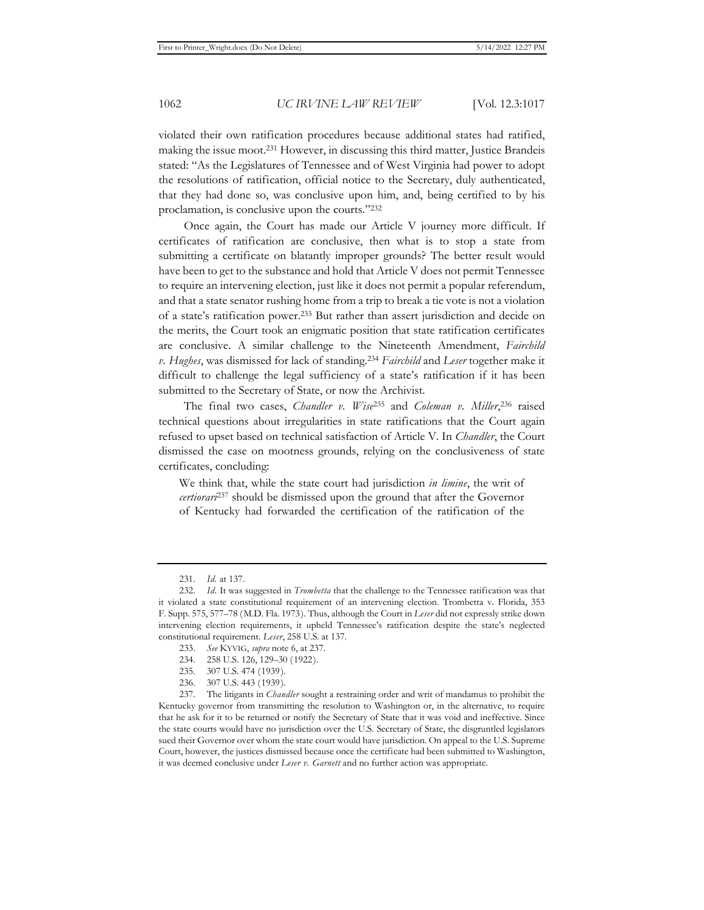violated their own ratification procedures because additional states had ratified, making the issue moot.231 However, in discussing this third matter, Justice Brandeis stated: "As the Legislatures of Tennessee and of West Virginia had power to adopt the resolutions of ratification, official notice to the Secretary, duly authenticated, that they had done so, was conclusive upon him, and, being certified to by his proclamation, is conclusive upon the courts."232

Once again, the Court has made our Article V journey more difficult. If certificates of ratification are conclusive, then what is to stop a state from submitting a certificate on blatantly improper grounds? The better result would have been to get to the substance and hold that Article V does not permit Tennessee to require an intervening election, just like it does not permit a popular referendum, and that a state senator rushing home from a trip to break a tie vote is not a violation of a state's ratification power.233 But rather than assert jurisdiction and decide on the merits, the Court took an enigmatic position that state ratification certificates are conclusive. A similar challenge to the Nineteenth Amendment, *Fairchild v. Hughes*, was dismissed for lack of standing.234 *Fairchild* and *Leser* together make it difficult to challenge the legal sufficiency of a state's ratification if it has been submitted to the Secretary of State, or now the Archivist.

The final two cases, *Chandler v. Wise*235 and *Coleman v. Miller*, 236 raised technical questions about irregularities in state ratifications that the Court again refused to upset based on technical satisfaction of Article V. In *Chandler*, the Court dismissed the case on mootness grounds, relying on the conclusiveness of state certificates, concluding:

We think that, while the state court had jurisdiction *in limine*, the writ of *certiorari*237 should be dismissed upon the ground that after the Governor of Kentucky had forwarded the certification of the ratification of the

- 234. 258 U.S. 126, 129–30 (1922).
- 235. 307 U.S. 474 (1939).
- 236. 307 U.S. 443 (1939).

<sup>231.</sup> *Id.* at 137.

<sup>232.</sup> *Id.* It was suggested in *Trombetta* that the challenge to the Tennessee ratification was that it violated a state constitutional requirement of an intervening election. Trombetta v. Florida, 353 F. Supp. 575, 577–78 (M.D. Fla. 1973). Thus, although the Court in *Leser* did not expressly strike down intervening election requirements, it upheld Tennessee's ratification despite the state's neglected constitutional requirement. *Leser*, 258 U.S. at 137.

<sup>233.</sup> *See* KYVIG, *supra* note 6, at 237.

<sup>237.</sup> The litigants in *Chandler* sought a restraining order and writ of mandamus to prohibit the Kentucky governor from transmitting the resolution to Washington or, in the alternative, to require that he ask for it to be returned or notify the Secretary of State that it was void and ineffective. Since the state courts would have no jurisdiction over the U.S. Secretary of State, the disgruntled legislators sued their Governor over whom the state court would have jurisdiction. On appeal to the U.S. Supreme Court, however, the justices dismissed because once the certificate had been submitted to Washington, it was deemed conclusive under *Leser v. Garnett* and no further action was appropriate.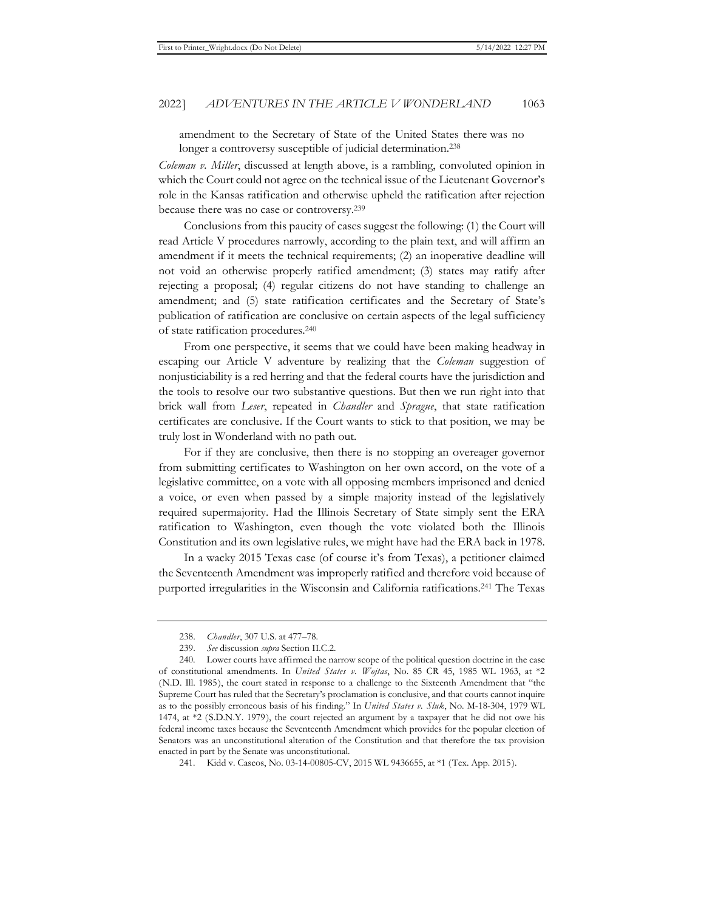amendment to the Secretary of State of the United States there was no longer a controversy susceptible of judicial determination.<sup>238</sup>

*Coleman v. Miller*, discussed at length above, is a rambling, convoluted opinion in which the Court could not agree on the technical issue of the Lieutenant Governor's role in the Kansas ratification and otherwise upheld the ratification after rejection because there was no case or controversy.239

Conclusions from this paucity of cases suggest the following: (1) the Court will read Article V procedures narrowly, according to the plain text, and will affirm an amendment if it meets the technical requirements; (2) an inoperative deadline will not void an otherwise properly ratified amendment; (3) states may ratify after rejecting a proposal; (4) regular citizens do not have standing to challenge an amendment; and (5) state ratification certificates and the Secretary of State's publication of ratification are conclusive on certain aspects of the legal sufficiency of state ratification procedures.240

From one perspective, it seems that we could have been making headway in escaping our Article V adventure by realizing that the *Coleman* suggestion of nonjusticiability is a red herring and that the federal courts have the jurisdiction and the tools to resolve our two substantive questions. But then we run right into that brick wall from *Leser*, repeated in *Chandler* and *Sprague*, that state ratification certificates are conclusive. If the Court wants to stick to that position, we may be truly lost in Wonderland with no path out.

For if they are conclusive, then there is no stopping an overeager governor from submitting certificates to Washington on her own accord, on the vote of a legislative committee, on a vote with all opposing members imprisoned and denied a voice, or even when passed by a simple majority instead of the legislatively required supermajority. Had the Illinois Secretary of State simply sent the ERA ratification to Washington, even though the vote violated both the Illinois Constitution and its own legislative rules, we might have had the ERA back in 1978.

In a wacky 2015 Texas case (of course it's from Texas), a petitioner claimed the Seventeenth Amendment was improperly ratified and therefore void because of purported irregularities in the Wisconsin and California ratifications.241 The Texas

<sup>238.</sup> *Chandler*, 307 U.S. at 477–78.

<sup>239.</sup> *See* discussion *supra* Section II.C.2.

<sup>240.</sup> Lower courts have affirmed the narrow scope of the political question doctrine in the case of constitutional amendments. In *United States v. Wojtas*, No. 85 CR 45, 1985 WL 1963, at \*2 (N.D. Ill. 1985), the court stated in response to a challenge to the Sixteenth Amendment that "the Supreme Court has ruled that the Secretary's proclamation is conclusive, and that courts cannot inquire as to the possibly erroneous basis of his finding." In *United States v. Sluk*, No. M-18-304, 1979 WL 1474, at \*2 (S.D.N.Y. 1979), the court rejected an argument by a taxpayer that he did not owe his federal income taxes because the Seventeenth Amendment which provides for the popular election of Senators was an unconstitutional alteration of the Constitution and that therefore the tax provision enacted in part by the Senate was unconstitutional.

<sup>241.</sup> Kidd v. Cascos, No. 03-14-00805-CV, 2015 WL 9436655, at \*1 (Tex. App. 2015).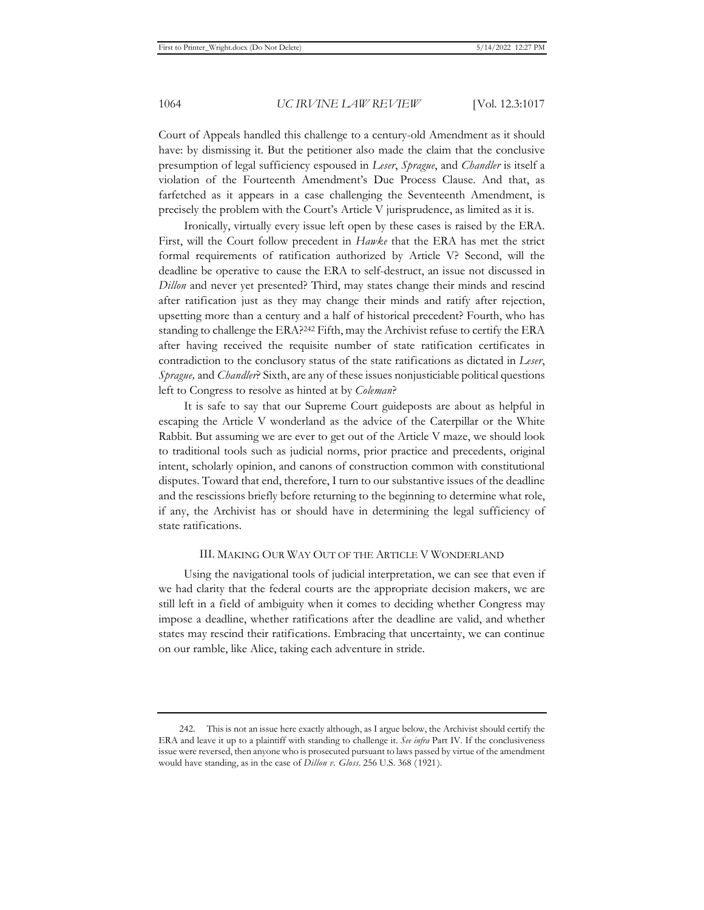Court of Appeals handled this challenge to a century-old Amendment as it should have: by dismissing it. But the petitioner also made the claim that the conclusive presumption of legal sufficiency espoused in *Leser*, *Sprague*, and *Chandler* is itself a violation of the Fourteenth Amendment's Due Process Clause. And that, as farfetched as it appears in a case challenging the Seventeenth Amendment, is precisely the problem with the Court's Article V jurisprudence, as limited as it is.

Ironically, virtually every issue left open by these cases is raised by the ERA. First, will the Court follow precedent in *Hawke* that the ERA has met the strict formal requirements of ratification authorized by Article V? Second, will the deadline be operative to cause the ERA to self-destruct, an issue not discussed in *Dillon* and never yet presented? Third, may states change their minds and rescind after ratification just as they may change their minds and ratify after rejection, upsetting more than a century and a half of historical precedent? Fourth, who has standing to challenge the ERA?242 Fifth, may the Archivist refuse to certify the ERA after having received the requisite number of state ratification certificates in contradiction to the conclusory status of the state ratifications as dictated in *Leser*, *Sprague,* and *Chandler*? Sixth, are any of these issues nonjusticiable political questions left to Congress to resolve as hinted at by *Coleman*?

It is safe to say that our Supreme Court guideposts are about as helpful in escaping the Article V wonderland as the advice of the Caterpillar or the White Rabbit. But assuming we are ever to get out of the Article V maze, we should look to traditional tools such as judicial norms, prior practice and precedents, original intent, scholarly opinion, and canons of construction common with constitutional disputes. Toward that end, therefore, I turn to our substantive issues of the deadline and the rescissions briefly before returning to the beginning to determine what role, if any, the Archivist has or should have in determining the legal sufficiency of state ratifications.

### III. MAKING OUR WAY OUT OF THE ARTICLE V WONDERLAND

Using the navigational tools of judicial interpretation, we can see that even if we had clarity that the federal courts are the appropriate decision makers, we are still left in a field of ambiguity when it comes to deciding whether Congress may impose a deadline, whether ratifications after the deadline are valid, and whether states may rescind their ratifications. Embracing that uncertainty, we can continue on our ramble, like Alice, taking each adventure in stride.

<sup>242.</sup> This is not an issue here exactly although, as I argue below, the Archivist should certify the ERA and leave it up to a plaintiff with standing to challenge it. *See infra* Part IV. If the conclusiveness issue were reversed, then anyone who is prosecuted pursuant to laws passed by virtue of the amendment would have standing, as in the case of *Dillon v. Gloss*. 256 U.S. 368 (1921).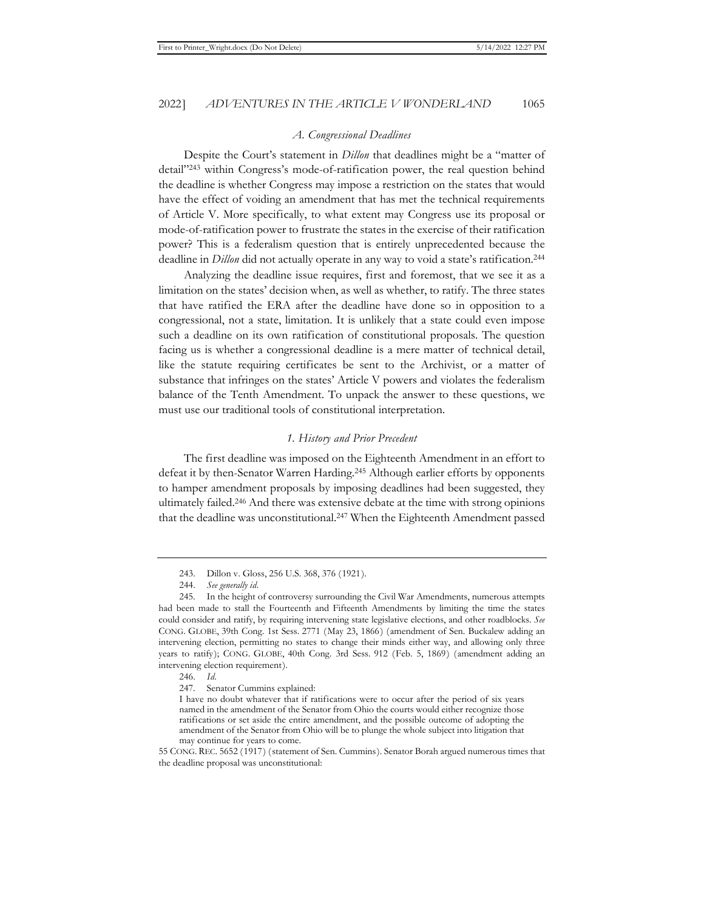#### *A. Congressional Deadlines*

Despite the Court's statement in *Dillon* that deadlines might be a "matter of detail"243 within Congress's mode-of-ratification power, the real question behind the deadline is whether Congress may impose a restriction on the states that would have the effect of voiding an amendment that has met the technical requirements of Article V. More specifically, to what extent may Congress use its proposal or mode-of-ratification power to frustrate the states in the exercise of their ratification power? This is a federalism question that is entirely unprecedented because the deadline in *Dillon* did not actually operate in any way to void a state's ratification.244

Analyzing the deadline issue requires, first and foremost, that we see it as a limitation on the states' decision when, as well as whether, to ratify. The three states that have ratified the ERA after the deadline have done so in opposition to a congressional, not a state, limitation. It is unlikely that a state could even impose such a deadline on its own ratification of constitutional proposals. The question facing us is whether a congressional deadline is a mere matter of technical detail, like the statute requiring certificates be sent to the Archivist, or a matter of substance that infringes on the states' Article V powers and violates the federalism balance of the Tenth Amendment. To unpack the answer to these questions, we must use our traditional tools of constitutional interpretation.

### *1. History and Prior Precedent*

The first deadline was imposed on the Eighteenth Amendment in an effort to defeat it by then-Senator Warren Harding.245 Although earlier efforts by opponents to hamper amendment proposals by imposing deadlines had been suggested, they ultimately failed.246 And there was extensive debate at the time with strong opinions that the deadline was unconstitutional.247 When the Eighteenth Amendment passed

246. *Id.* 

<sup>243.</sup> Dillon v. Gloss, 256 U.S. 368, 376 (1921).

<sup>244.</sup> *See generally id.*

<sup>245.</sup> In the height of controversy surrounding the Civil War Amendments, numerous attempts had been made to stall the Fourteenth and Fifteenth Amendments by limiting the time the states could consider and ratify, by requiring intervening state legislative elections, and other roadblocks. *See* CONG. GLOBE, 39th Cong. 1st Sess. 2771 (May 23, 1866) (amendment of Sen. Buckalew adding an intervening election, permitting no states to change their minds either way, and allowing only three years to ratify); CONG. GLOBE, 40th Cong. 3rd Sess. 912 (Feb. 5, 1869) (amendment adding an intervening election requirement).

<sup>247.</sup> Senator Cummins explained:

I have no doubt whatever that if ratifications were to occur after the period of six years named in the amendment of the Senator from Ohio the courts would either recognize those ratifications or set aside the entire amendment, and the possible outcome of adopting the amendment of the Senator from Ohio will be to plunge the whole subject into litigation that may continue for years to come.

<sup>55</sup> CONG. REC. 5652 (1917) (statement of Sen. Cummins). Senator Borah argued numerous times that the deadline proposal was unconstitutional: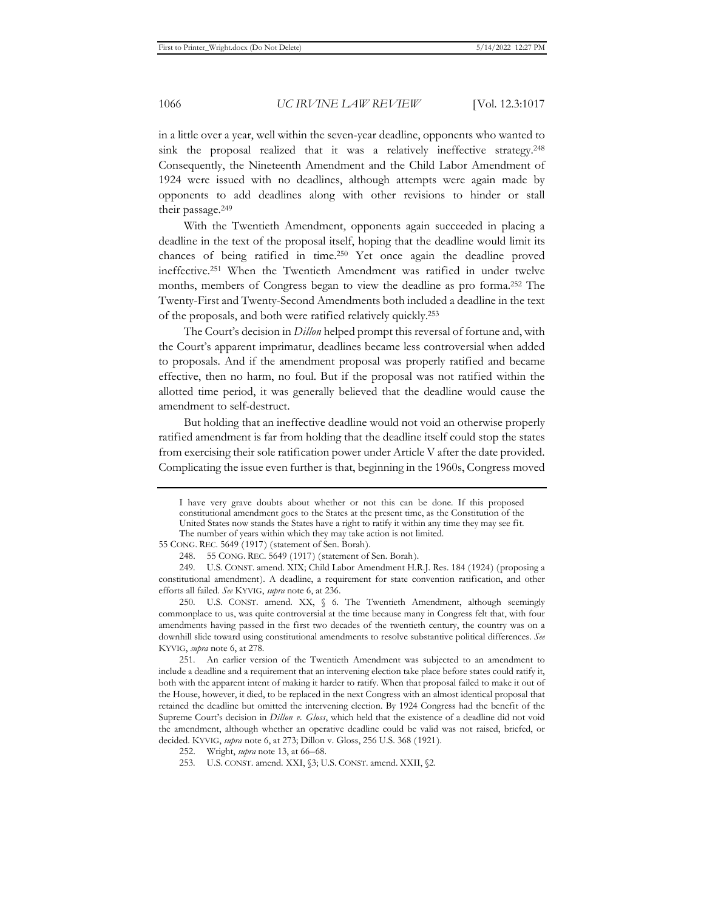in a little over a year, well within the seven-year deadline, opponents who wanted to sink the proposal realized that it was a relatively ineffective strategy.<sup>248</sup> Consequently, the Nineteenth Amendment and the Child Labor Amendment of 1924 were issued with no deadlines, although attempts were again made by opponents to add deadlines along with other revisions to hinder or stall their passage.249

With the Twentieth Amendment, opponents again succeeded in placing a deadline in the text of the proposal itself, hoping that the deadline would limit its chances of being ratified in time.250 Yet once again the deadline proved ineffective.251 When the Twentieth Amendment was ratified in under twelve months, members of Congress began to view the deadline as pro forma.252 The Twenty-First and Twenty-Second Amendments both included a deadline in the text of the proposals, and both were ratified relatively quickly.253

The Court's decision in *Dillon* helped prompt this reversal of fortune and, with the Court's apparent imprimatur, deadlines became less controversial when added to proposals. And if the amendment proposal was properly ratified and became effective, then no harm, no foul. But if the proposal was not ratified within the allotted time period, it was generally believed that the deadline would cause the amendment to self-destruct.

But holding that an ineffective deadline would not void an otherwise properly ratified amendment is far from holding that the deadline itself could stop the states from exercising their sole ratification power under Article V after the date provided. Complicating the issue even further is that, beginning in the 1960s, Congress moved

I have very grave doubts about whether or not this can be done. If this proposed constitutional amendment goes to the States at the present time, as the Constitution of the United States now stands the States have a right to ratify it within any time they may see fit. The number of years within which they may take action is not limited.

<sup>55</sup> CONG. REC. 5649 (1917) (statement of Sen. Borah).

<sup>248. 55</sup> CONG. REC. 5649 (1917) (statement of Sen. Borah).

<sup>249.</sup> U.S. CONST. amend. XIX; Child Labor Amendment H.R.J. Res. 184 (1924) (proposing a constitutional amendment). A deadline, a requirement for state convention ratification, and other efforts all failed. *See* KYVIG, *supra* note 6, at 236.

<sup>250.</sup> U.S. CONST. amend. XX, § 6. The Twentieth Amendment, although seemingly commonplace to us, was quite controversial at the time because many in Congress felt that, with four amendments having passed in the first two decades of the twentieth century, the country was on a downhill slide toward using constitutional amendments to resolve substantive political differences. *See*  KYVIG, *supra* note 6, at 278.

<sup>251.</sup> An earlier version of the Twentieth Amendment was subjected to an amendment to include a deadline and a requirement that an intervening election take place before states could ratify it, both with the apparent intent of making it harder to ratify. When that proposal failed to make it out of the House, however, it died, to be replaced in the next Congress with an almost identical proposal that retained the deadline but omitted the intervening election. By 1924 Congress had the benefit of the Supreme Court's decision in *Dillon v. Gloss*, which held that the existence of a deadline did not void the amendment, although whether an operative deadline could be valid was not raised, briefed, or decided. KYVIG, *supra* note 6, at 273; Dillon v. Gloss, 256 U.S. 368 (1921).

<sup>252.</sup> Wright, *supra* note 13, at 66–68.

<sup>253.</sup> U.S. CONST. amend. XXI, §3; U.S. CONST. amend. XXII, §2.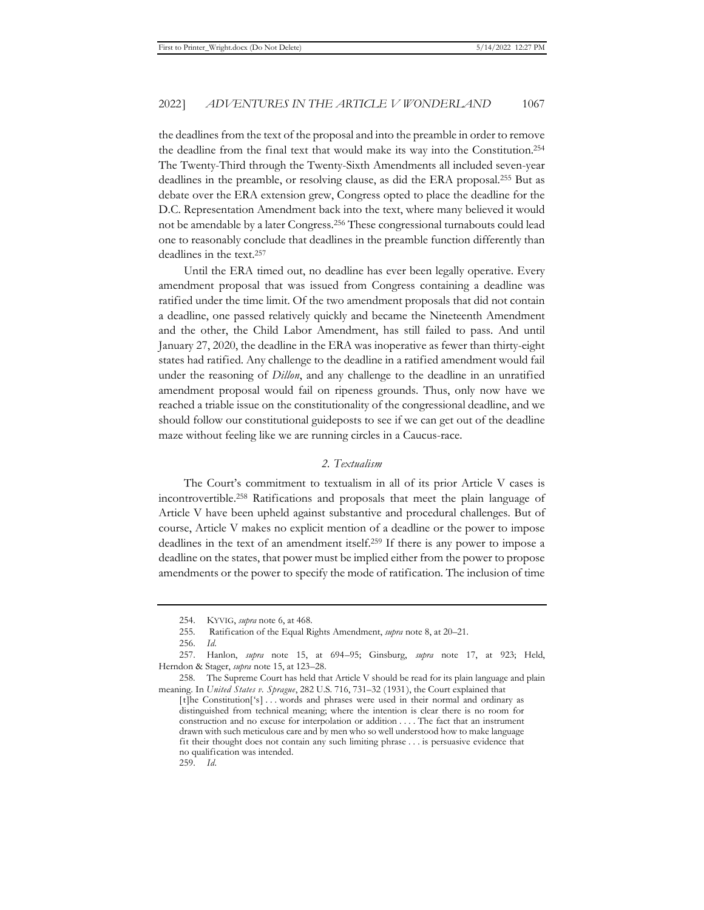the deadlines from the text of the proposal and into the preamble in order to remove the deadline from the final text that would make its way into the Constitution.254 The Twenty-Third through the Twenty-Sixth Amendments all included seven-year deadlines in the preamble, or resolving clause, as did the ERA proposal.255 But as debate over the ERA extension grew, Congress opted to place the deadline for the D.C. Representation Amendment back into the text, where many believed it would not be amendable by a later Congress.256 These congressional turnabouts could lead one to reasonably conclude that deadlines in the preamble function differently than deadlines in the text.257

Until the ERA timed out, no deadline has ever been legally operative. Every amendment proposal that was issued from Congress containing a deadline was ratified under the time limit. Of the two amendment proposals that did not contain a deadline, one passed relatively quickly and became the Nineteenth Amendment and the other, the Child Labor Amendment, has still failed to pass. And until January 27, 2020, the deadline in the ERA was inoperative as fewer than thirty-eight states had ratified. Any challenge to the deadline in a ratified amendment would fail under the reasoning of *Dillon*, and any challenge to the deadline in an unratified amendment proposal would fail on ripeness grounds. Thus, only now have we reached a triable issue on the constitutionality of the congressional deadline, and we should follow our constitutional guideposts to see if we can get out of the deadline maze without feeling like we are running circles in a Caucus-race.

## *2. Textualism*

The Court's commitment to textualism in all of its prior Article V cases is incontrovertible.258 Ratifications and proposals that meet the plain language of Article V have been upheld against substantive and procedural challenges. But of course, Article V makes no explicit mention of a deadline or the power to impose deadlines in the text of an amendment itself.259 If there is any power to impose a deadline on the states, that power must be implied either from the power to propose amendments or the power to specify the mode of ratification. The inclusion of time

<sup>254.</sup> KYVIG, *supra* note 6, at 468.

<sup>255.</sup> Ratification of the Equal Rights Amendment, *supra* note 8, at 20–21.

<sup>256.</sup> *Id.*

<sup>257.</sup> Hanlon, *supra* note 15, at 694–95; Ginsburg, *supra* note 17, at 923; Held, Herndon & Stager, *supra* note 15, at 123–28.

<sup>258.</sup> The Supreme Court has held that Article V should be read for its plain language and plain meaning. In *United States v. Sprague*, 282 U.S. 716, 731–32 (1931), the Court explained that

<sup>[</sup>t]he Constitution['s] . . . words and phrases were used in their normal and ordinary as distinguished from technical meaning; where the intention is clear there is no room for construction and no excuse for interpolation or addition . . . . The fact that an instrument drawn with such meticulous care and by men who so well understood how to make language fit their thought does not contain any such limiting phrase . . . is persuasive evidence that no qualification was intended.

<sup>259.</sup> *Id.*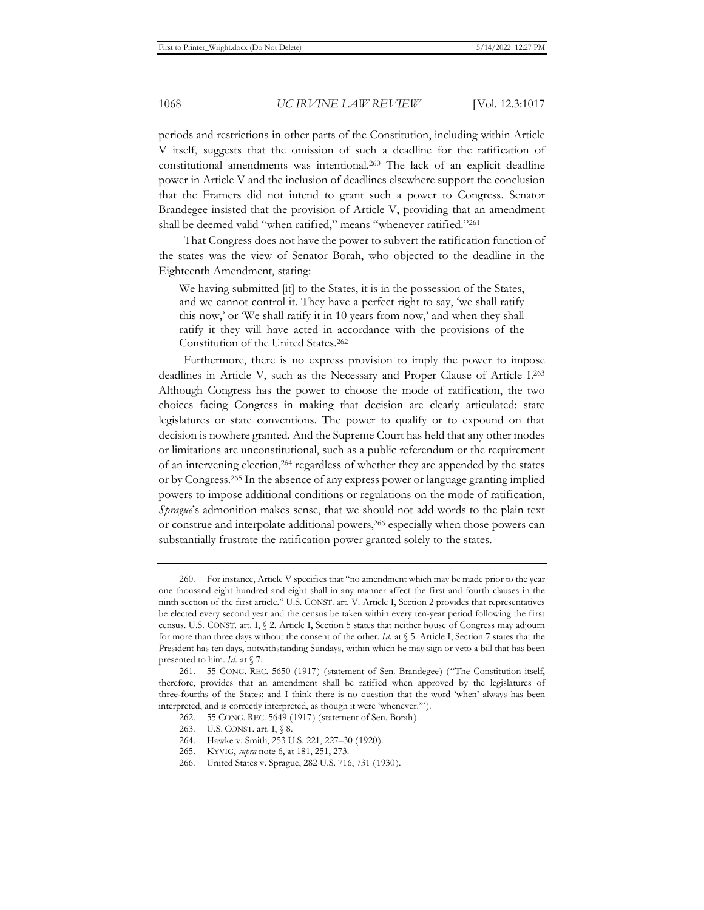periods and restrictions in other parts of the Constitution, including within Article V itself, suggests that the omission of such a deadline for the ratification of constitutional amendments was intentional.260 The lack of an explicit deadline power in Article V and the inclusion of deadlines elsewhere support the conclusion that the Framers did not intend to grant such a power to Congress. Senator Brandegee insisted that the provision of Article V, providing that an amendment shall be deemed valid "when ratified," means "whenever ratified."261

That Congress does not have the power to subvert the ratification function of the states was the view of Senator Borah, who objected to the deadline in the Eighteenth Amendment, stating:

We having submitted [it] to the States, it is in the possession of the States, and we cannot control it. They have a perfect right to say, 'we shall ratify this now,' or 'We shall ratify it in 10 years from now,' and when they shall ratify it they will have acted in accordance with the provisions of the Constitution of the United States.262

Furthermore, there is no express provision to imply the power to impose deadlines in Article V, such as the Necessary and Proper Clause of Article I.263 Although Congress has the power to choose the mode of ratification, the two choices facing Congress in making that decision are clearly articulated: state legislatures or state conventions. The power to qualify or to expound on that decision is nowhere granted. And the Supreme Court has held that any other modes or limitations are unconstitutional, such as a public referendum or the requirement of an intervening election,264 regardless of whether they are appended by the states or by Congress.265 In the absence of any express power or language granting implied powers to impose additional conditions or regulations on the mode of ratification, *Sprague*'s admonition makes sense, that we should not add words to the plain text or construe and interpolate additional powers,266 especially when those powers can substantially frustrate the ratification power granted solely to the states.

<sup>260.</sup> For instance, Article V specifies that "no amendment which may be made prior to the year one thousand eight hundred and eight shall in any manner affect the first and fourth clauses in the ninth section of the first article." U.S. CONST. art. V. Article I, Section 2 provides that representatives be elected every second year and the census be taken within every ten-year period following the first census. U.S. CONST. art. I, § 2. Article I, Section 5 states that neither house of Congress may adjourn for more than three days without the consent of the other. *Id.* at § 5. Article I, Section 7 states that the President has ten days, notwithstanding Sundays, within which he may sign or veto a bill that has been presented to him. *Id.* at § 7.

<sup>261. 55</sup> CONG. REC. 5650 (1917) (statement of Sen. Brandegee) ("The Constitution itself, therefore, provides that an amendment shall be ratified when approved by the legislatures of three-fourths of the States; and I think there is no question that the word 'when' always has been interpreted, and is correctly interpreted, as though it were 'whenever.'").

<sup>262. 55</sup> CONG. REC. 5649 (1917) (statement of Sen. Borah).

<sup>263.</sup> U.S. CONST. art. I, § 8.

<sup>264.</sup> Hawke v. Smith, 253 U.S. 221, 227–30 (1920).

<sup>265.</sup> KYVIG, *supra* note 6, at 181, 251, 273.

<sup>266.</sup> United States v. Sprague, 282 U.S. 716, 731 (1930).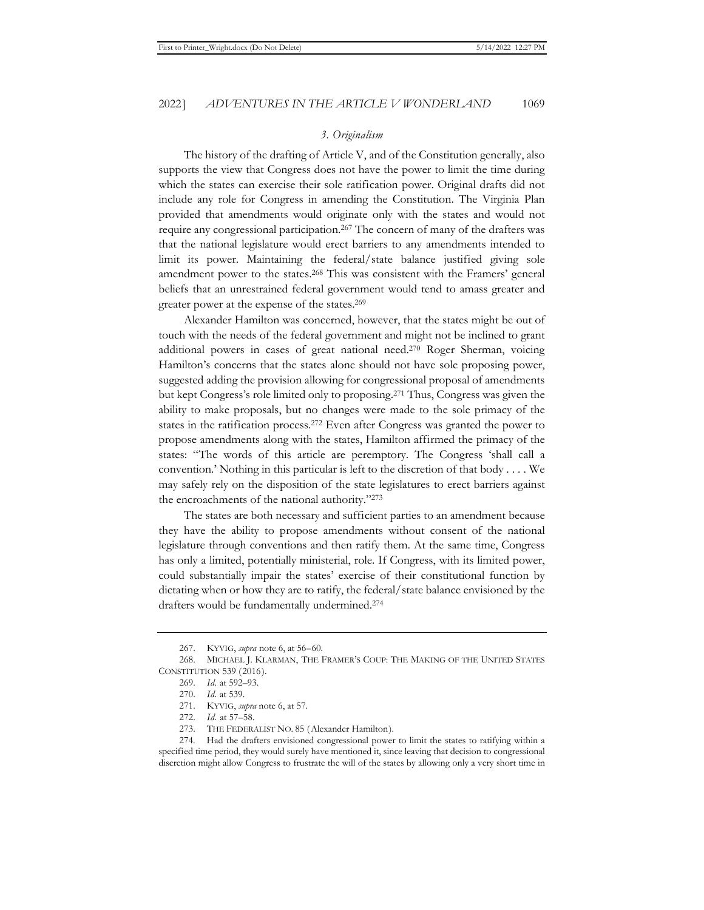### *3. Originalism*

The history of the drafting of Article V, and of the Constitution generally, also supports the view that Congress does not have the power to limit the time during which the states can exercise their sole ratification power. Original drafts did not include any role for Congress in amending the Constitution. The Virginia Plan provided that amendments would originate only with the states and would not require any congressional participation.267 The concern of many of the drafters was that the national legislature would erect barriers to any amendments intended to limit its power. Maintaining the federal/state balance justified giving sole amendment power to the states.<sup>268</sup> This was consistent with the Framers' general beliefs that an unrestrained federal government would tend to amass greater and greater power at the expense of the states.269

Alexander Hamilton was concerned, however, that the states might be out of touch with the needs of the federal government and might not be inclined to grant additional powers in cases of great national need.270 Roger Sherman, voicing Hamilton's concerns that the states alone should not have sole proposing power, suggested adding the provision allowing for congressional proposal of amendments but kept Congress's role limited only to proposing.271 Thus, Congress was given the ability to make proposals, but no changes were made to the sole primacy of the states in the ratification process.272 Even after Congress was granted the power to propose amendments along with the states, Hamilton affirmed the primacy of the states: "The words of this article are peremptory. The Congress 'shall call a convention.' Nothing in this particular is left to the discretion of that body . . . . We may safely rely on the disposition of the state legislatures to erect barriers against the encroachments of the national authority."273

The states are both necessary and sufficient parties to an amendment because they have the ability to propose amendments without consent of the national legislature through conventions and then ratify them. At the same time, Congress has only a limited, potentially ministerial, role. If Congress, with its limited power, could substantially impair the states' exercise of their constitutional function by dictating when or how they are to ratify, the federal/state balance envisioned by the drafters would be fundamentally undermined.274

<sup>267.</sup> KYVIG, *supra* note 6, at 56–60.

<sup>268.</sup> MICHAEL J. KLARMAN, THE FRAMER'S COUP: THE MAKING OF THE UNITED STATES CONSTITUTION 539 (2016).

<sup>269.</sup> *Id.* at 592–93.

<sup>270.</sup> *Id.* at 539.

<sup>271.</sup> KYVIG, *supra* note 6, at 57.

<sup>272.</sup> *Id.* at 57–58.

<sup>273.</sup> THE FEDERALIST NO. 85 (Alexander Hamilton).

<sup>274.</sup> Had the drafters envisioned congressional power to limit the states to ratifying within a specified time period, they would surely have mentioned it, since leaving that decision to congressional discretion might allow Congress to frustrate the will of the states by allowing only a very short time in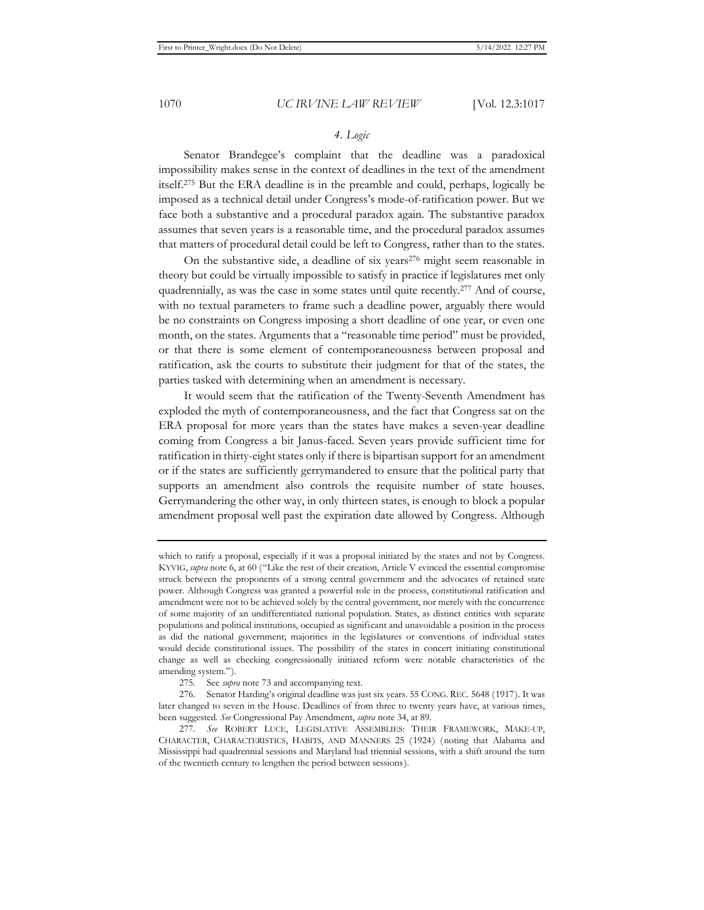# *4. Logic*

Senator Brandegee's complaint that the deadline was a paradoxical impossibility makes sense in the context of deadlines in the text of the amendment itself.275 But the ERA deadline is in the preamble and could, perhaps, logically be imposed as a technical detail under Congress's mode-of-ratification power. But we face both a substantive and a procedural paradox again. The substantive paradox assumes that seven years is a reasonable time, and the procedural paradox assumes that matters of procedural detail could be left to Congress, rather than to the states.

On the substantive side, a deadline of six years<sup>276</sup> might seem reasonable in theory but could be virtually impossible to satisfy in practice if legislatures met only quadrennially, as was the case in some states until quite recently.277 And of course, with no textual parameters to frame such a deadline power, arguably there would be no constraints on Congress imposing a short deadline of one year, or even one month, on the states. Arguments that a "reasonable time period" must be provided, or that there is some element of contemporaneousness between proposal and ratification, ask the courts to substitute their judgment for that of the states, the parties tasked with determining when an amendment is necessary.

It would seem that the ratification of the Twenty-Seventh Amendment has exploded the myth of contemporaneousness, and the fact that Congress sat on the ERA proposal for more years than the states have makes a seven-year deadline coming from Congress a bit Janus-faced. Seven years provide sufficient time for ratification in thirty-eight states only if there is bipartisan support for an amendment or if the states are sufficiently gerrymandered to ensure that the political party that supports an amendment also controls the requisite number of state houses. Gerrymandering the other way, in only thirteen states, is enough to block a popular amendment proposal well past the expiration date allowed by Congress. Although

which to ratify a proposal, especially if it was a proposal initiated by the states and not by Congress. KYVIG, *supra* note 6, at 60 ("Like the rest of their creation, Article V evinced the essential compromise struck between the proponents of a strong central government and the advocates of retained state power. Although Congress was granted a powerful role in the process, constitutional ratification and amendment were not to be achieved solely by the central government, nor merely with the concurrence of some majority of an undifferentiated national population. States, as distinct entities with separate populations and political institutions, occupied as significant and unavoidable a position in the process as did the national government; majorities in the legislatures or conventions of individual states would decide constitutional issues. The possibility of the states in concert initiating constitutional change as well as checking congressionally initiated reform were notable characteristics of the amending system.").

<sup>275.</sup> See *supra* note 73 and accompanying text.

<sup>276.</sup> Senator Harding's original deadline was just six years. 55 CONG. REC. 5648 (1917). It was later changed to seven in the House. Deadlines of from three to twenty years have, at various times, been suggested. *See* Congressional Pay Amendment, *supra* note 34, at 89.

<sup>277.</sup> *See* ROBERT LUCE, LEGISLATIVE ASSEMBLIES: THEIR FRAMEWORK, MAKE-UP, CHARACTER, CHARACTERISTICS, HABITS, AND MANNERS 25 (1924) (noting that Alabama and Mississippi had quadrennial sessions and Maryland had triennial sessions, with a shift around the turn of the twentieth century to lengthen the period between sessions).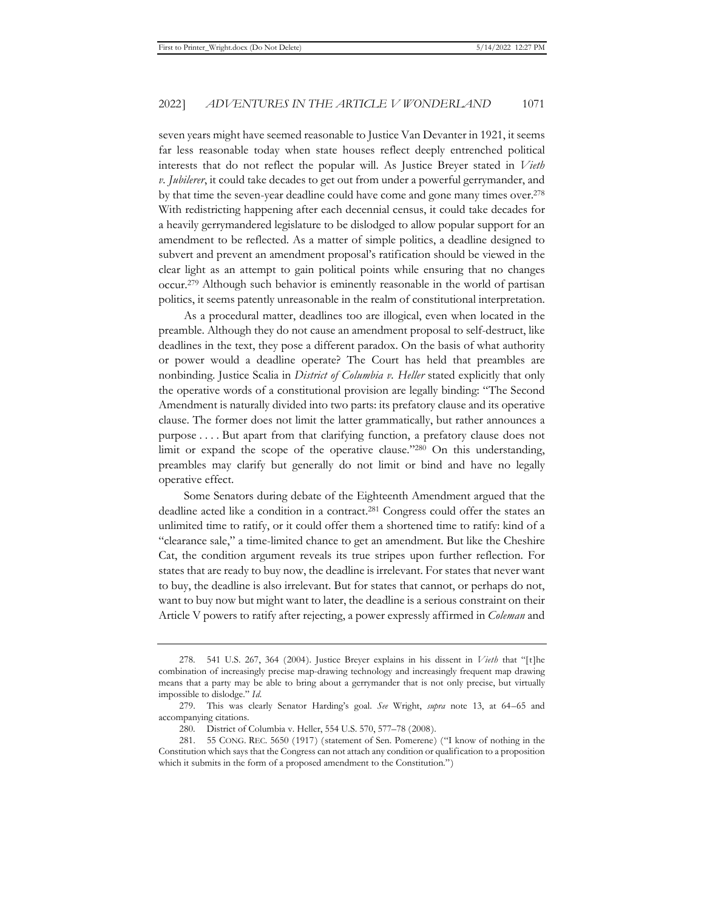seven years might have seemed reasonable to Justice Van Devanter in 1921, it seems far less reasonable today when state houses reflect deeply entrenched political interests that do not reflect the popular will. As Justice Breyer stated in *Vieth v. Jubilerer*, it could take decades to get out from under a powerful gerrymander, and by that time the seven-year deadline could have come and gone many times over.278 With redistricting happening after each decennial census, it could take decades for a heavily gerrymandered legislature to be dislodged to allow popular support for an amendment to be reflected. As a matter of simple politics, a deadline designed to subvert and prevent an amendment proposal's ratification should be viewed in the clear light as an attempt to gain political points while ensuring that no changes occur.279 Although such behavior is eminently reasonable in the world of partisan politics, it seems patently unreasonable in the realm of constitutional interpretation.

As a procedural matter, deadlines too are illogical, even when located in the preamble. Although they do not cause an amendment proposal to self-destruct, like deadlines in the text, they pose a different paradox. On the basis of what authority or power would a deadline operate? The Court has held that preambles are nonbinding. Justice Scalia in *District of Columbia v. Heller* stated explicitly that only the operative words of a constitutional provision are legally binding: "The Second Amendment is naturally divided into two parts: its prefatory clause and its operative clause. The former does not limit the latter grammatically, but rather announces a purpose . . . . But apart from that clarifying function, a prefatory clause does not limit or expand the scope of the operative clause."280 On this understanding, preambles may clarify but generally do not limit or bind and have no legally operative effect.

Some Senators during debate of the Eighteenth Amendment argued that the deadline acted like a condition in a contract.281 Congress could offer the states an unlimited time to ratify, or it could offer them a shortened time to ratify: kind of a "clearance sale," a time-limited chance to get an amendment. But like the Cheshire Cat, the condition argument reveals its true stripes upon further reflection. For states that are ready to buy now, the deadline is irrelevant. For states that never want to buy, the deadline is also irrelevant. But for states that cannot, or perhaps do not, want to buy now but might want to later, the deadline is a serious constraint on their Article V powers to ratify after rejecting, a power expressly affirmed in *Coleman* and

<sup>278. 541</sup> U.S. 267, 364 (2004). Justice Breyer explains in his dissent in *Vieth* that "[t]he combination of increasingly precise map-drawing technology and increasingly frequent map drawing means that a party may be able to bring about a gerrymander that is not only precise, but virtually impossible to dislodge." *Id.*

<sup>279.</sup> This was clearly Senator Harding's goal. *See* Wright, *supra* note 13, at 64–65 and accompanying citations.

<sup>280.</sup> District of Columbia v. Heller, 554 U.S. 570, 577–78 (2008).

<sup>281. 55</sup> CONG. REC. 5650 (1917) (statement of Sen. Pomerene) ("I know of nothing in the Constitution which says that the Congress can not attach any condition or qualification to a proposition which it submits in the form of a proposed amendment to the Constitution.")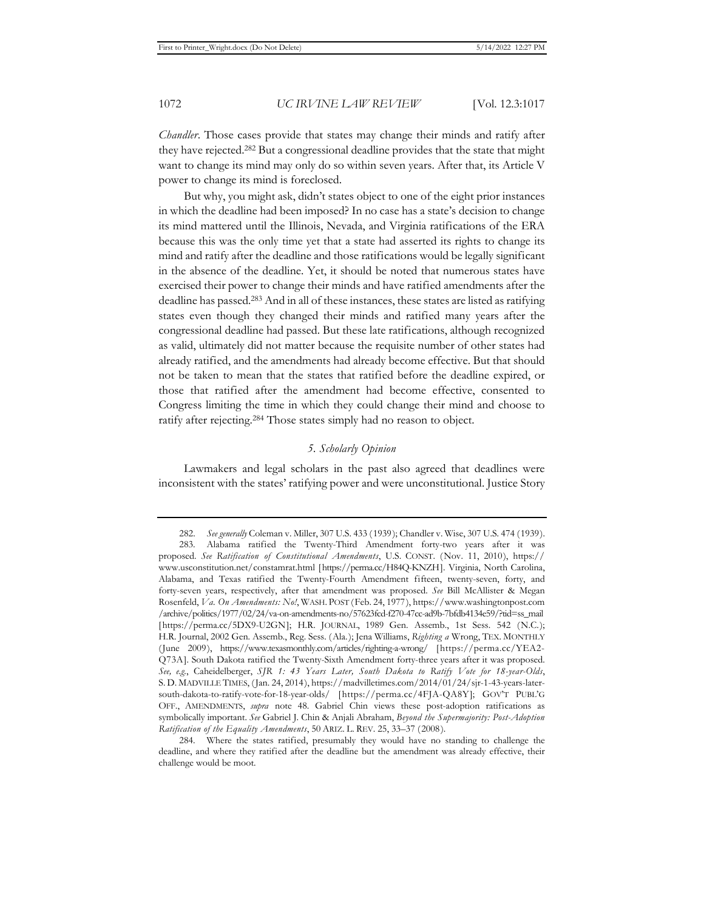*Chandler*. Those cases provide that states may change their minds and ratify after they have rejected.282 But a congressional deadline provides that the state that might want to change its mind may only do so within seven years. After that, its Article V power to change its mind is foreclosed.

But why, you might ask, didn't states object to one of the eight prior instances in which the deadline had been imposed? In no case has a state's decision to change its mind mattered until the Illinois, Nevada, and Virginia ratifications of the ERA because this was the only time yet that a state had asserted its rights to change its mind and ratify after the deadline and those ratifications would be legally significant in the absence of the deadline. Yet, it should be noted that numerous states have exercised their power to change their minds and have ratified amendments after the deadline has passed.283 And in all of these instances, these states are listed as ratifying states even though they changed their minds and ratified many years after the congressional deadline had passed. But these late ratifications, although recognized as valid, ultimately did not matter because the requisite number of other states had already ratified, and the amendments had already become effective. But that should not be taken to mean that the states that ratified before the deadline expired, or those that ratified after the amendment had become effective, consented to Congress limiting the time in which they could change their mind and choose to ratify after rejecting.284 Those states simply had no reason to object.

# *5. Scholarly Opinion*

Lawmakers and legal scholars in the past also agreed that deadlines were inconsistent with the states' ratifying power and were unconstitutional. Justice Story

<sup>282.</sup> *See generally* Coleman v. Miller, 307 U.S. 433 (1939); Chandler v. Wise, 307 U.S. 474 (1939). 283. Alabama ratified the Twenty-Third Amendment forty-two years after it was proposed. *See Ratification of Constitutional Amendments*, U.S. CONST. (Nov. 11, 2010), https:// www.usconstitution.net/constamrat.html [https://perma.cc/H84Q-KNZH]. Virginia, North Carolina, Alabama, and Texas ratified the Twenty-Fourth Amendment fifteen, twenty-seven, forty, and forty-seven years, respectively, after that amendment was proposed. *See* Bill McAllister & Megan Rosenfeld, *Va. On Amendments: No!*, WASH. POST (Feb. 24, 1977), https://www.washingtonpost.com /archive/politics/1977/02/24/va-on-amendments-no/57623fcd-f270-47cc-ad9b-7bfdb4134e59/?tid=ss\_mail [https://perma.cc/5DX9-U2GN]; H.R. JOURNAL, 1989 Gen. Assemb., 1st Sess. 542 (N.C.); H.R. Journal, 2002 Gen. Assemb., Reg. Sess. (Ala.); Jena Williams, *Righting a* Wrong, TEX. MONTHLY (June 2009), https://www.texasmonthly.com/articles/righting-a-wrong/ [https://perma.cc/YEA2- Q73A]. South Dakota ratified the Twenty-Sixth Amendment forty-three years after it was proposed. *See, e.g.*, Caheidelberger, *SJR 1: 43 Years Later, South Dakota to Ratify Vote for 18-year-Olds*, S. D. MADVILLE TIMES, (Jan. 24, 2014), https://madvilletimes.com/2014/01/24/sjr-1-43-years-latersouth-dakota-to-ratify-vote-for-18-year-olds/ [https://perma.cc/4FJA-QA8Y]; GOV'T PUBL'G OFF., AMENDMENTS, *supra* note 48. Gabriel Chin views these post-adoption ratifications as symbolically important. *See* Gabriel J. Chin & Anjali Abraham, *Beyond the Supermajority: Post-Adoption Ratification of the Equality Amendments*, 50 ARIZ. L. REV. 25, 33–37 (2008).

<sup>284.</sup> Where the states ratified, presumably they would have no standing to challenge the deadline, and where they ratified after the deadline but the amendment was already effective, their challenge would be moot.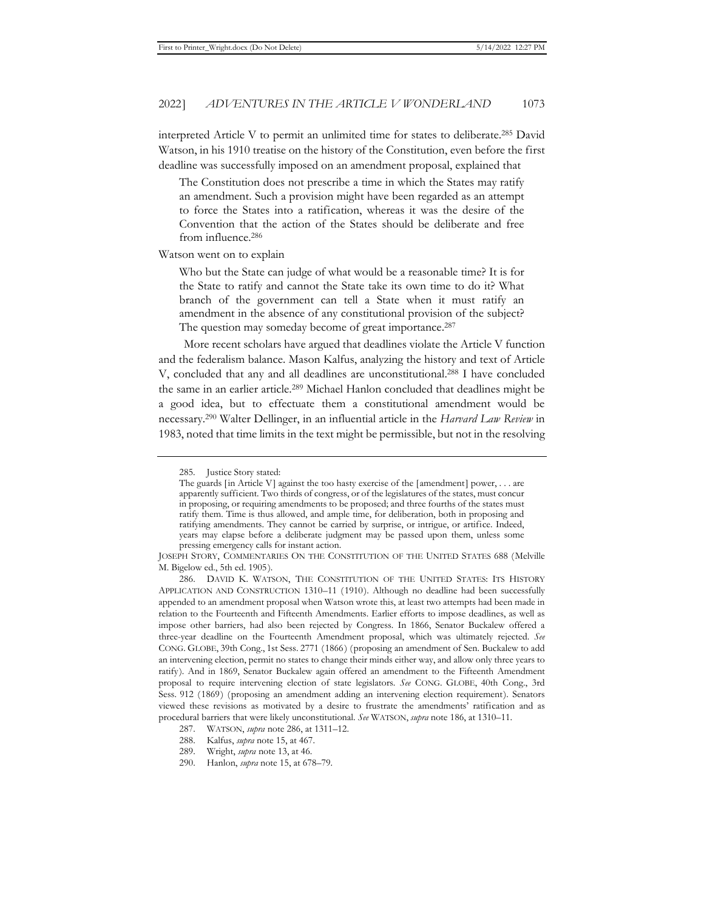interpreted Article V to permit an unlimited time for states to deliberate.285 David Watson, in his 1910 treatise on the history of the Constitution, even before the first deadline was successfully imposed on an amendment proposal, explained that

The Constitution does not prescribe a time in which the States may ratify an amendment. Such a provision might have been regarded as an attempt to force the States into a ratification, whereas it was the desire of the Convention that the action of the States should be deliberate and free from influence.286

Watson went on to explain

Who but the State can judge of what would be a reasonable time? It is for the State to ratify and cannot the State take its own time to do it? What branch of the government can tell a State when it must ratify an amendment in the absence of any constitutional provision of the subject? The question may someday become of great importance.<sup>287</sup>

More recent scholars have argued that deadlines violate the Article V function and the federalism balance. Mason Kalfus, analyzing the history and text of Article V, concluded that any and all deadlines are unconstitutional.288 I have concluded the same in an earlier article.289 Michael Hanlon concluded that deadlines might be a good idea, but to effectuate them a constitutional amendment would be necessary.290 Walter Dellinger, in an influential article in the *Harvard Law Review* in 1983, noted that time limits in the text might be permissible, but not in the resolving

<sup>285.</sup> Justice Story stated:

The guards [in Article V] against the too hasty exercise of the [amendment] power, . . . are apparently sufficient. Two thirds of congress, or of the legislatures of the states, must concur in proposing, or requiring amendments to be proposed; and three fourths of the states must ratify them. Time is thus allowed, and ample time, for deliberation, both in proposing and ratifying amendments. They cannot be carried by surprise, or intrigue, or artifice. Indeed, years may elapse before a deliberate judgment may be passed upon them, unless some pressing emergency calls for instant action.

JOSEPH STORY, COMMENTARIES ON THE CONSTITUTION OF THE UNITED STATES 688 (Melville M. Bigelow ed., 5th ed. 1905).

<sup>286.</sup> DAVID K. WATSON, THE CONSTITUTION OF THE UNITED STATES: ITS HISTORY APPLICATION AND CONSTRUCTION 1310–11 (1910). Although no deadline had been successfully appended to an amendment proposal when Watson wrote this, at least two attempts had been made in relation to the Fourteenth and Fifteenth Amendments. Earlier efforts to impose deadlines, as well as impose other barriers, had also been rejected by Congress. In 1866, Senator Buckalew offered a three-year deadline on the Fourteenth Amendment proposal, which was ultimately rejected. *See*  CONG. GLOBE, 39th Cong., 1st Sess. 2771 (1866) (proposing an amendment of Sen. Buckalew to add an intervening election, permit no states to change their minds either way, and allow only three years to ratify). And in 1869, Senator Buckalew again offered an amendment to the Fifteenth Amendment proposal to require intervening election of state legislators. *See* CONG. GLOBE, 40th Cong., 3rd Sess. 912 (1869) (proposing an amendment adding an intervening election requirement). Senators viewed these revisions as motivated by a desire to frustrate the amendments' ratification and as procedural barriers that were likely unconstitutional. *See* WATSON, *supra* note 186, at 1310–11.

<sup>287.</sup> WATSON, *supra* note 286, at 1311–12.

<sup>288.</sup> Kalfus, *supra* note 15, at 467.

<sup>289.</sup> Wright, *supra* note 13, at 46.

<sup>290.</sup> Hanlon, *supra* note 15, at 678–79.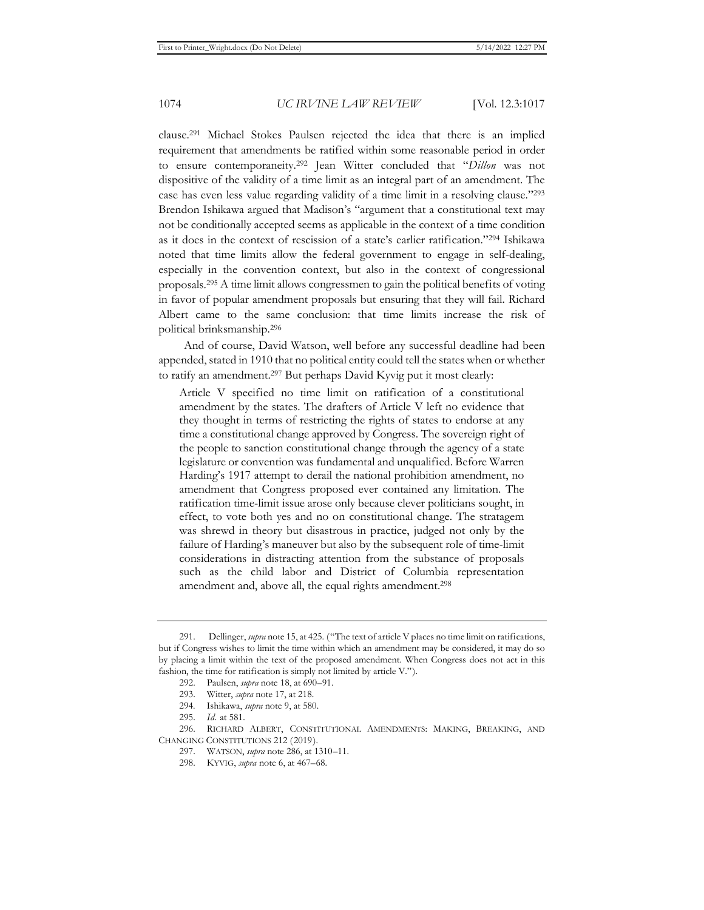clause.291 Michael Stokes Paulsen rejected the idea that there is an implied requirement that amendments be ratified within some reasonable period in order to ensure contemporaneity.292 Jean Witter concluded that "*Dillon* was not dispositive of the validity of a time limit as an integral part of an amendment. The case has even less value regarding validity of a time limit in a resolving clause."293 Brendon Ishikawa argued that Madison's "argument that a constitutional text may not be conditionally accepted seems as applicable in the context of a time condition as it does in the context of rescission of a state's earlier ratification."294 Ishikawa noted that time limits allow the federal government to engage in self-dealing, especially in the convention context, but also in the context of congressional proposals.295 A time limit allows congressmen to gain the political benefits of voting in favor of popular amendment proposals but ensuring that they will fail. Richard Albert came to the same conclusion: that time limits increase the risk of political brinksmanship.296

And of course, David Watson, well before any successful deadline had been appended, stated in 1910 that no political entity could tell the states when or whether to ratify an amendment.297 But perhaps David Kyvig put it most clearly:

Article V specified no time limit on ratification of a constitutional amendment by the states. The drafters of Article V left no evidence that they thought in terms of restricting the rights of states to endorse at any time a constitutional change approved by Congress. The sovereign right of the people to sanction constitutional change through the agency of a state legislature or convention was fundamental and unqualified. Before Warren Harding's 1917 attempt to derail the national prohibition amendment, no amendment that Congress proposed ever contained any limitation. The ratification time-limit issue arose only because clever politicians sought, in effect, to vote both yes and no on constitutional change. The stratagem was shrewd in theory but disastrous in practice, judged not only by the failure of Harding's maneuver but also by the subsequent role of time-limit considerations in distracting attention from the substance of proposals such as the child labor and District of Columbia representation amendment and, above all, the equal rights amendment.298

292. Paulsen, *supra* note 18, at 690–91.

<sup>291.</sup> Dellinger, *supra* note 15, at 425. ("The text of article V places no time limit on ratifications, but if Congress wishes to limit the time within which an amendment may be considered, it may do so by placing a limit within the text of the proposed amendment. When Congress does not act in this fashion, the time for ratification is simply not limited by article V.").

<sup>293.</sup> Witter, *supra* note 17, at 218.

<sup>294.</sup> Ishikawa, *supra* note 9, at 580.

<sup>295.</sup> *Id.* at 581.

<sup>296.</sup> RICHARD ALBERT, CONSTITUTIONAL AMENDMENTS: MAKING, BREAKING, AND CHANGING CONSTITUTIONS 212 (2019).

<sup>297.</sup> WATSON, *supra* note 286, at 1310–11.

<sup>298.</sup> KYVIG, *supra* note 6, at 467–68.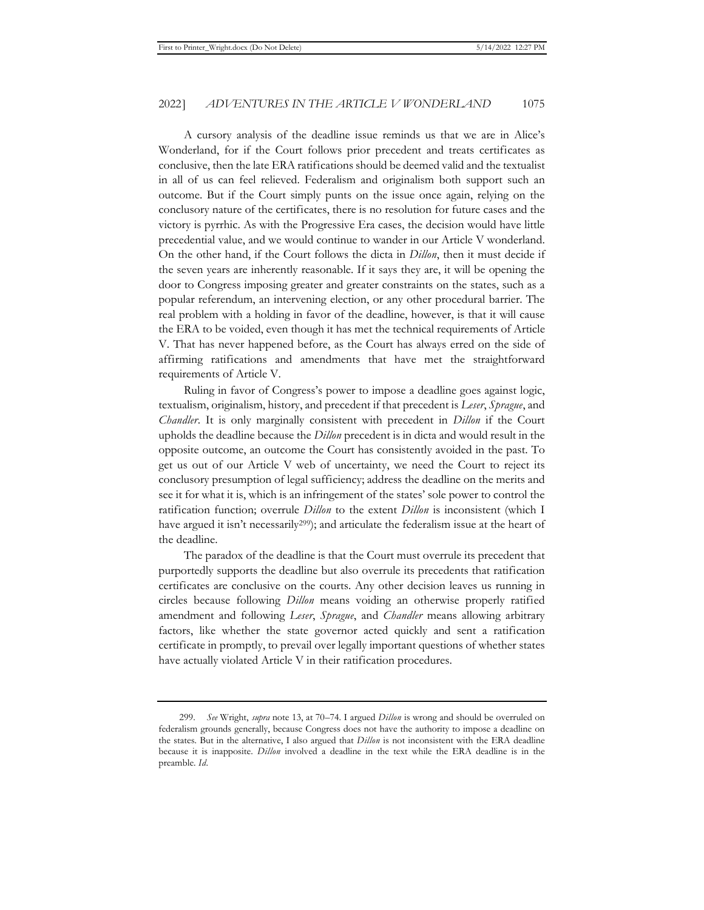A cursory analysis of the deadline issue reminds us that we are in Alice's Wonderland, for if the Court follows prior precedent and treats certificates as conclusive, then the late ERA ratifications should be deemed valid and the textualist in all of us can feel relieved. Federalism and originalism both support such an outcome. But if the Court simply punts on the issue once again, relying on the conclusory nature of the certificates, there is no resolution for future cases and the victory is pyrrhic. As with the Progressive Era cases, the decision would have little precedential value, and we would continue to wander in our Article V wonderland. On the other hand, if the Court follows the dicta in *Dillon*, then it must decide if the seven years are inherently reasonable. If it says they are, it will be opening the door to Congress imposing greater and greater constraints on the states, such as a popular referendum, an intervening election, or any other procedural barrier. The real problem with a holding in favor of the deadline, however, is that it will cause the ERA to be voided, even though it has met the technical requirements of Article V. That has never happened before, as the Court has always erred on the side of affirming ratifications and amendments that have met the straightforward requirements of Article V.

Ruling in favor of Congress's power to impose a deadline goes against logic, textualism, originalism, history, and precedent if that precedent is *Leser*, *Sprague*, and *Chandler*. It is only marginally consistent with precedent in *Dillon* if the Court upholds the deadline because the *Dillon* precedent is in dicta and would result in the opposite outcome, an outcome the Court has consistently avoided in the past. To get us out of our Article V web of uncertainty, we need the Court to reject its conclusory presumption of legal sufficiency; address the deadline on the merits and see it for what it is, which is an infringement of the states' sole power to control the ratification function; overrule *Dillon* to the extent *Dillon* is inconsistent (which I have argued it isn't necessarily<sup>299</sup>); and articulate the federalism issue at the heart of the deadline.

The paradox of the deadline is that the Court must overrule its precedent that purportedly supports the deadline but also overrule its precedents that ratification certificates are conclusive on the courts. Any other decision leaves us running in circles because following *Dillon* means voiding an otherwise properly ratified amendment and following *Leser*, *Sprague*, and *Chandler* means allowing arbitrary factors, like whether the state governor acted quickly and sent a ratification certificate in promptly, to prevail over legally important questions of whether states have actually violated Article V in their ratification procedures.

<sup>299.</sup> *See* Wright, *supra* note 13, at 70–74. I argued *Dillon* is wrong and should be overruled on federalism grounds generally, because Congress does not have the authority to impose a deadline on the states. But in the alternative, I also argued that *Dillon* is not inconsistent with the ERA deadline because it is inapposite. *Dillon* involved a deadline in the text while the ERA deadline is in the preamble. *Id.*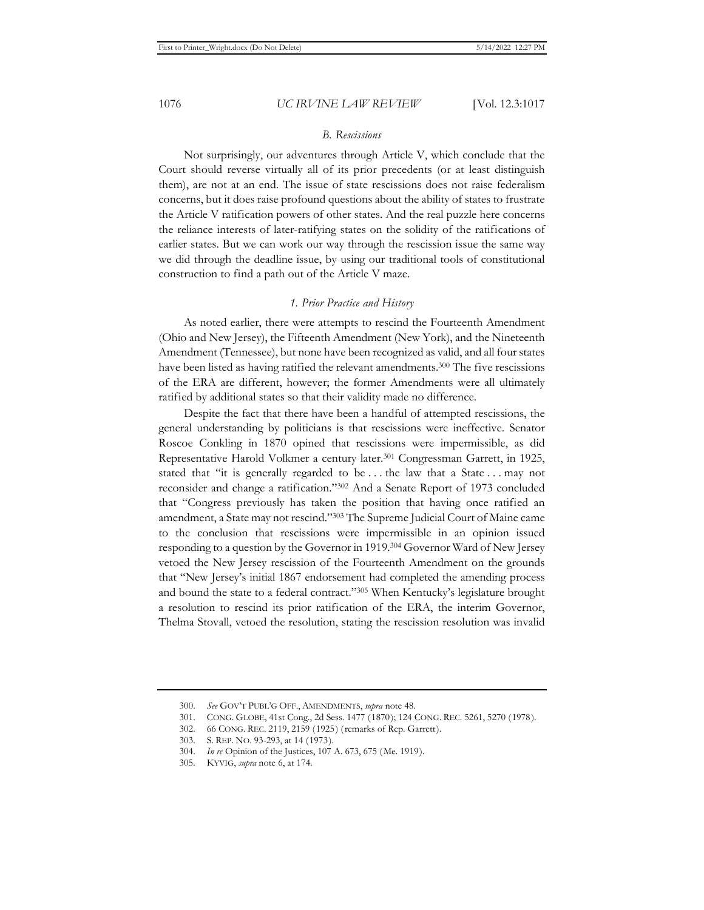## *B. Rescissions*

Not surprisingly, our adventures through Article V, which conclude that the Court should reverse virtually all of its prior precedents (or at least distinguish them), are not at an end. The issue of state rescissions does not raise federalism concerns, but it does raise profound questions about the ability of states to frustrate the Article V ratification powers of other states. And the real puzzle here concerns the reliance interests of later-ratifying states on the solidity of the ratifications of earlier states. But we can work our way through the rescission issue the same way we did through the deadline issue, by using our traditional tools of constitutional construction to find a path out of the Article V maze.

### *1. Prior Practice and History*

As noted earlier, there were attempts to rescind the Fourteenth Amendment (Ohio and New Jersey), the Fifteenth Amendment (New York), and the Nineteenth Amendment (Tennessee), but none have been recognized as valid, and all four states have been listed as having ratified the relevant amendments.300 The five rescissions of the ERA are different, however; the former Amendments were all ultimately ratified by additional states so that their validity made no difference.

Despite the fact that there have been a handful of attempted rescissions, the general understanding by politicians is that rescissions were ineffective. Senator Roscoe Conkling in 1870 opined that rescissions were impermissible, as did Representative Harold Volkmer a century later.301 Congressman Garrett, in 1925, stated that "it is generally regarded to be . . . the law that a State . . . may not reconsider and change a ratification."302 And a Senate Report of 1973 concluded that "Congress previously has taken the position that having once ratified an amendment, a State may not rescind."303 The Supreme Judicial Court of Maine came to the conclusion that rescissions were impermissible in an opinion issued responding to a question by the Governor in 1919.304 Governor Ward of New Jersey vetoed the New Jersey rescission of the Fourteenth Amendment on the grounds that "New Jersey's initial 1867 endorsement had completed the amending process and bound the state to a federal contract."305 When Kentucky's legislature brought a resolution to rescind its prior ratification of the ERA, the interim Governor, Thelma Stovall, vetoed the resolution, stating the rescission resolution was invalid

<sup>300.</sup> *See* GOV'T PUBL'G OFF., AMENDMENTS, *supra* note 48.

<sup>301.</sup> CONG. GLOBE, 41st Cong., 2d Sess. 1477 (1870); 124 CONG. REC. 5261, 5270 (1978).

<sup>302. 66</sup> CONG. REC. 2119, 2159 (1925) (remarks of Rep. Garrett).

<sup>303.</sup> S. REP. NO. 93-293, at 14 (1973).

<sup>304.</sup> *In re* Opinion of the Justices, 107 A. 673, 675 (Me. 1919).

<sup>305.</sup> KYVIG, *supra* note 6, at 174.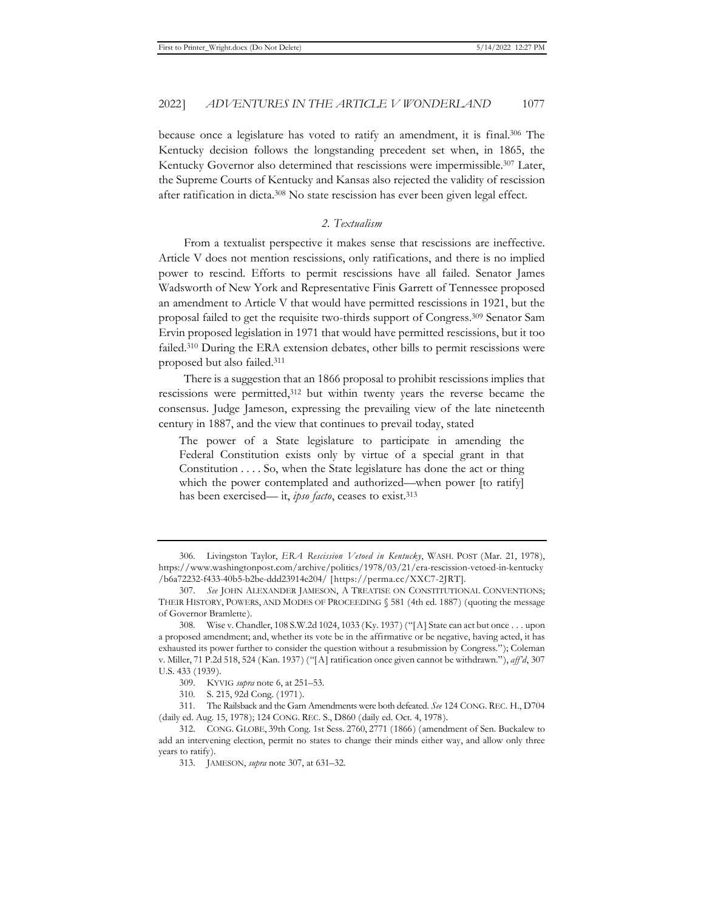because once a legislature has voted to ratify an amendment, it is final.306 The Kentucky decision follows the longstanding precedent set when, in 1865, the Kentucky Governor also determined that rescissions were impermissible.307 Later, the Supreme Courts of Kentucky and Kansas also rejected the validity of rescission after ratification in dicta.308 No state rescission has ever been given legal effect.

## *2. Textualism*

From a textualist perspective it makes sense that rescissions are ineffective. Article V does not mention rescissions, only ratifications, and there is no implied power to rescind. Efforts to permit rescissions have all failed. Senator James Wadsworth of New York and Representative Finis Garrett of Tennessee proposed an amendment to Article V that would have permitted rescissions in 1921, but the proposal failed to get the requisite two-thirds support of Congress.309 Senator Sam Ervin proposed legislation in 1971 that would have permitted rescissions, but it too failed.310 During the ERA extension debates, other bills to permit rescissions were proposed but also failed.311

There is a suggestion that an 1866 proposal to prohibit rescissions implies that rescissions were permitted,312 but within twenty years the reverse became the consensus. Judge Jameson, expressing the prevailing view of the late nineteenth century in 1887, and the view that continues to prevail today, stated

The power of a State legislature to participate in amending the Federal Constitution exists only by virtue of a special grant in that Constitution . . . . So, when the State legislature has done the act or thing which the power contemplated and authorized—when power [to ratify] has been exercised— it, *ipso facto*, ceases to exist.313

310. S. 215, 92d Cong. (1971).

311. The Railsback and the Garn Amendments were both defeated. *See* 124 CONG. REC. H., D704 (daily ed. Aug. 15, 1978); 124 CONG. REC. S., D860 (daily ed. Oct. 4, 1978).

<sup>306.</sup> Livingston Taylor, *ERA Rescission Vetoed in Kentucky*, WASH. POST (Mar. 21, 1978), https://www.washingtonpost.com/archive/politics/1978/03/21/era-rescission-vetoed-in-kentucky /b6a72232-f433-40b5-b2be-ddd23914e204/ [https://perma.cc/XXC7-2JRT].

<sup>307.</sup> *See* JOHN ALEXANDER JAMESON, A TREATISE ON CONSTITUTIONAL CONVENTIONS; THEIR HISTORY, POWERS, AND MODES OF PROCEEDING § 581 (4th ed. 1887) (quoting the message of Governor Bramlette).

<sup>308.</sup> Wise v. Chandler, 108 S.W.2d 1024, 1033 (Ky. 1937) ("[A] State can act but once . . . upon a proposed amendment; and, whether its vote be in the affirmative or be negative, having acted, it has exhausted its power further to consider the question without a resubmission by Congress."); Coleman v. Miller, 71 P.2d 518, 524 (Kan. 1937) ("[A] ratification once given cannot be withdrawn."), *aff'd*, 307 U.S. 433 (1939).

<sup>309.</sup> KYVIG *supra* note 6, at 251–53.

<sup>312.</sup> CONG. GLOBE, 39th Cong. 1st Sess. 2760, 2771 (1866) (amendment of Sen. Buckalew to add an intervening election, permit no states to change their minds either way, and allow only three years to ratify).

<sup>313.</sup> JAMESON, *supra* note 307, at 631–32.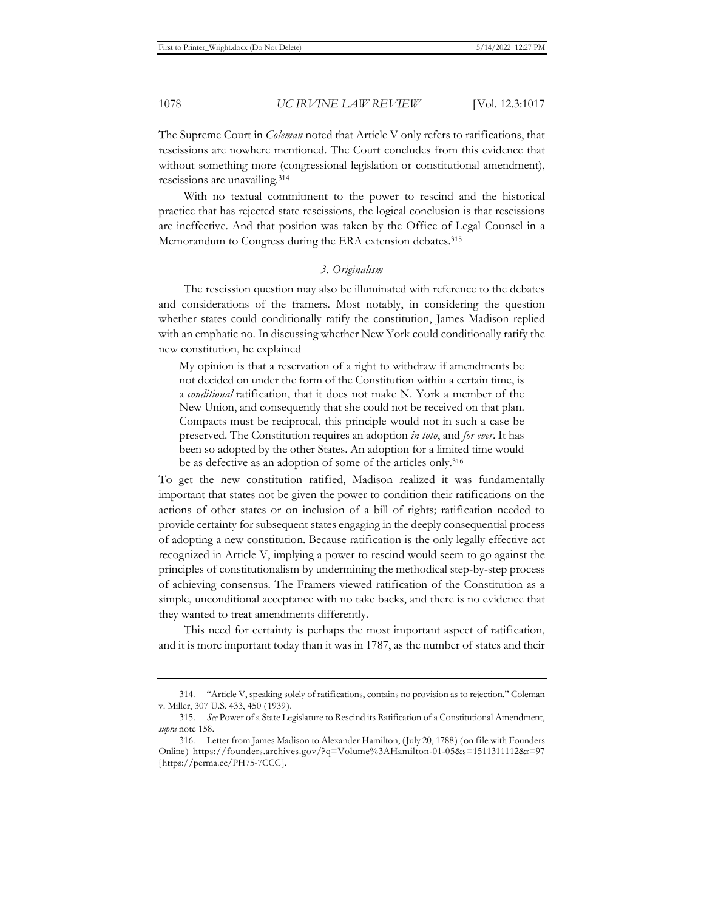The Supreme Court in *Coleman* noted that Article V only refers to ratifications, that rescissions are nowhere mentioned. The Court concludes from this evidence that without something more (congressional legislation or constitutional amendment), rescissions are unavailing.314

With no textual commitment to the power to rescind and the historical practice that has rejected state rescissions, the logical conclusion is that rescissions are ineffective. And that position was taken by the Office of Legal Counsel in a Memorandum to Congress during the ERA extension debates.315

## *3. Originalism*

The rescission question may also be illuminated with reference to the debates and considerations of the framers. Most notably, in considering the question whether states could conditionally ratify the constitution, James Madison replied with an emphatic no. In discussing whether New York could conditionally ratify the new constitution, he explained

My opinion is that a reservation of a right to withdraw if amendments be not decided on under the form of the Constitution within a certain time, is a *conditional* ratification, that it does not make N. York a member of the New Union, and consequently that she could not be received on that plan. Compacts must be reciprocal, this principle would not in such a case be preserved. The Constitution requires an adoption *in toto*, and *for ever*. It has been so adopted by the other States. An adoption for a limited time would be as defective as an adoption of some of the articles only.316

To get the new constitution ratified, Madison realized it was fundamentally important that states not be given the power to condition their ratifications on the actions of other states or on inclusion of a bill of rights; ratification needed to provide certainty for subsequent states engaging in the deeply consequential process of adopting a new constitution. Because ratification is the only legally effective act recognized in Article V, implying a power to rescind would seem to go against the principles of constitutionalism by undermining the methodical step-by-step process of achieving consensus. The Framers viewed ratification of the Constitution as a simple, unconditional acceptance with no take backs, and there is no evidence that they wanted to treat amendments differently.

This need for certainty is perhaps the most important aspect of ratification, and it is more important today than it was in 1787, as the number of states and their

<sup>314. &</sup>quot;Article V, speaking solely of ratifications, contains no provision as to rejection." Coleman v. Miller, 307 U.S. 433, 450 (1939).

<sup>315.</sup> *See* Power of a State Legislature to Rescind its Ratification of a Constitutional Amendment, *supra* note 158.

<sup>316.</sup> Letter from James Madison to Alexander Hamilton, (July 20, 1788) (on file with Founders Online) https://founders.archives.gov/?q=Volume%3AHamilton-01-05&s=1511311112&r=97 [https://perma.cc/PH75-7CCC].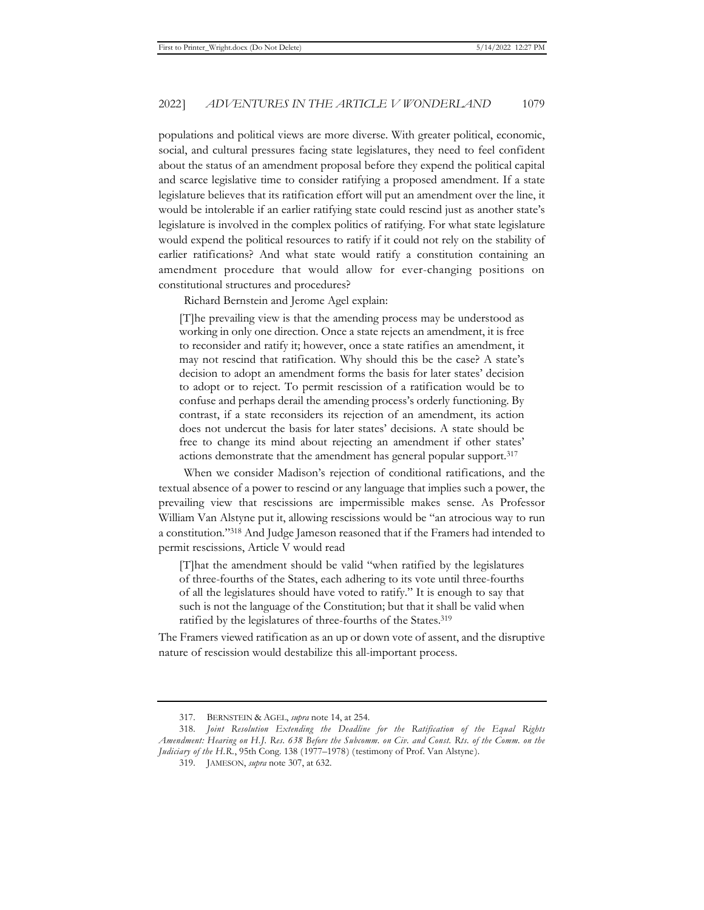populations and political views are more diverse. With greater political, economic, social, and cultural pressures facing state legislatures, they need to feel confident about the status of an amendment proposal before they expend the political capital and scarce legislative time to consider ratifying a proposed amendment. If a state legislature believes that its ratification effort will put an amendment over the line, it would be intolerable if an earlier ratifying state could rescind just as another state's legislature is involved in the complex politics of ratifying. For what state legislature would expend the political resources to ratify if it could not rely on the stability of earlier ratifications? And what state would ratify a constitution containing an amendment procedure that would allow for ever-changing positions on constitutional structures and procedures?

Richard Bernstein and Jerome Agel explain:

[T]he prevailing view is that the amending process may be understood as working in only one direction. Once a state rejects an amendment, it is free to reconsider and ratify it; however, once a state ratifies an amendment, it may not rescind that ratification. Why should this be the case? A state's decision to adopt an amendment forms the basis for later states' decision to adopt or to reject. To permit rescission of a ratification would be to confuse and perhaps derail the amending process's orderly functioning. By contrast, if a state reconsiders its rejection of an amendment, its action does not undercut the basis for later states' decisions. A state should be free to change its mind about rejecting an amendment if other states' actions demonstrate that the amendment has general popular support.317

When we consider Madison's rejection of conditional ratifications, and the textual absence of a power to rescind or any language that implies such a power, the prevailing view that rescissions are impermissible makes sense. As Professor William Van Alstyne put it, allowing rescissions would be "an atrocious way to run a constitution."318 And Judge Jameson reasoned that if the Framers had intended to permit rescissions, Article V would read

[T]hat the amendment should be valid "when ratified by the legislatures of three-fourths of the States, each adhering to its vote until three-fourths of all the legislatures should have voted to ratify." It is enough to say that such is not the language of the Constitution; but that it shall be valid when ratified by the legislatures of three-fourths of the States.<sup>319</sup>

The Framers viewed ratification as an up or down vote of assent, and the disruptive nature of rescission would destabilize this all-important process.

<sup>317.</sup> BERNSTEIN & AGEL, *supra* note 14, at 254.

<sup>318.</sup> *Joint Resolution Extending the Deadline for the Ratification of the Equal Rights Amendment: Hearing on H.J. Res. 638 Before the Subcomm. on Civ. and Const. Rts. of the Comm. on the Judiciary of the H.R.*, 95th Cong. 138 (1977–1978) (testimony of Prof. Van Alstyne).

<sup>319.</sup> JAMESON, *supra* note 307, at 632.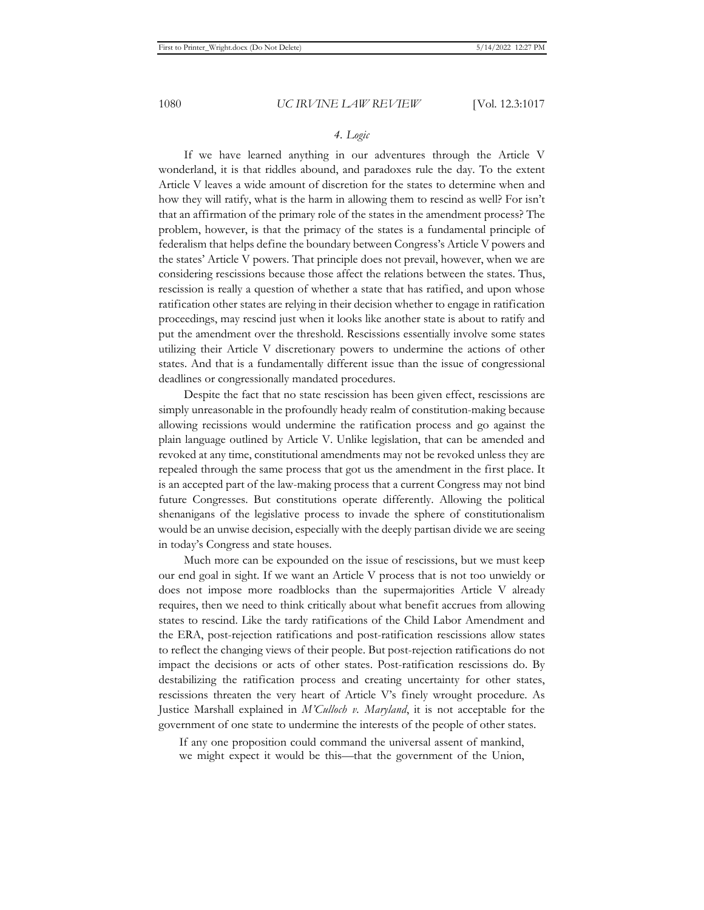# *4. Logic*

If we have learned anything in our adventures through the Article V wonderland, it is that riddles abound, and paradoxes rule the day. To the extent Article V leaves a wide amount of discretion for the states to determine when and how they will ratify, what is the harm in allowing them to rescind as well? For isn't that an affirmation of the primary role of the states in the amendment process? The problem, however, is that the primacy of the states is a fundamental principle of federalism that helps define the boundary between Congress's Article V powers and the states' Article V powers. That principle does not prevail, however, when we are considering rescissions because those affect the relations between the states. Thus, rescission is really a question of whether a state that has ratified, and upon whose ratification other states are relying in their decision whether to engage in ratification proceedings, may rescind just when it looks like another state is about to ratify and put the amendment over the threshold. Rescissions essentially involve some states utilizing their Article V discretionary powers to undermine the actions of other states. And that is a fundamentally different issue than the issue of congressional deadlines or congressionally mandated procedures.

Despite the fact that no state rescission has been given effect, rescissions are simply unreasonable in the profoundly heady realm of constitution-making because allowing recissions would undermine the ratification process and go against the plain language outlined by Article V. Unlike legislation, that can be amended and revoked at any time, constitutional amendments may not be revoked unless they are repealed through the same process that got us the amendment in the first place. It is an accepted part of the law-making process that a current Congress may not bind future Congresses. But constitutions operate differently. Allowing the political shenanigans of the legislative process to invade the sphere of constitutionalism would be an unwise decision, especially with the deeply partisan divide we are seeing in today's Congress and state houses.

Much more can be expounded on the issue of rescissions, but we must keep our end goal in sight. If we want an Article V process that is not too unwieldy or does not impose more roadblocks than the supermajorities Article V already requires, then we need to think critically about what benefit accrues from allowing states to rescind. Like the tardy ratifications of the Child Labor Amendment and the ERA, post-rejection ratifications and post-ratification rescissions allow states to reflect the changing views of their people. But post-rejection ratifications do not impact the decisions or acts of other states. Post-ratification rescissions do. By destabilizing the ratification process and creating uncertainty for other states, rescissions threaten the very heart of Article V's finely wrought procedure. As Justice Marshall explained in *M'Culloch v. Maryland*, it is not acceptable for the government of one state to undermine the interests of the people of other states.

If any one proposition could command the universal assent of mankind, we might expect it would be this—that the government of the Union,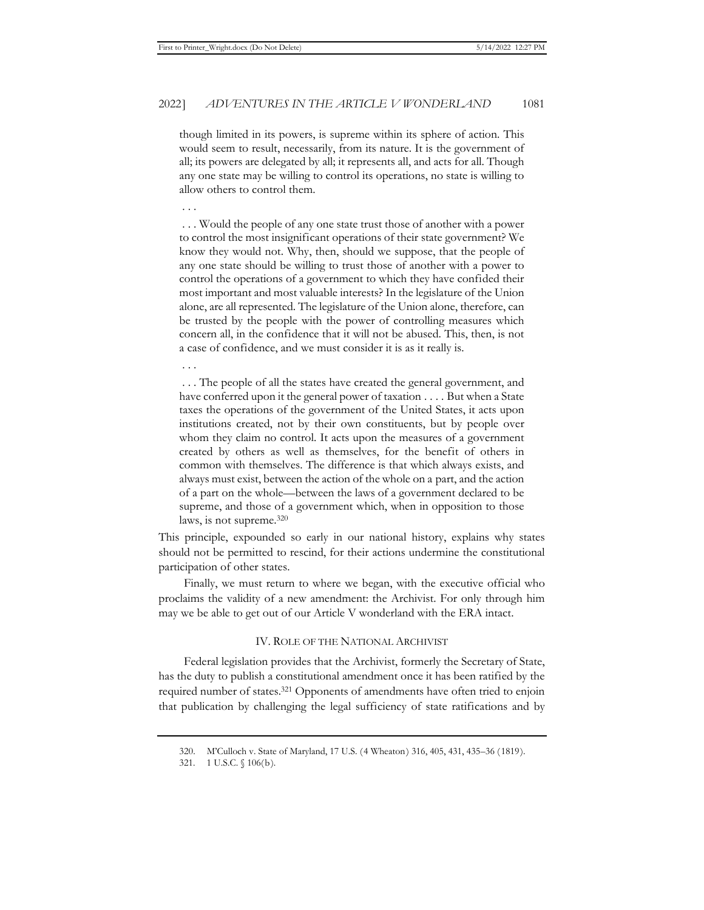though limited in its powers, is supreme within its sphere of action. This would seem to result, necessarily, from its nature. It is the government of all; its powers are delegated by all; it represents all, and acts for all. Though any one state may be willing to control its operations, no state is willing to allow others to control them.

. . .

 . . . Would the people of any one state trust those of another with a power to control the most insignificant operations of their state government? We know they would not. Why, then, should we suppose, that the people of any one state should be willing to trust those of another with a power to control the operations of a government to which they have confided their most important and most valuable interests? In the legislature of the Union alone, are all represented. The legislature of the Union alone, therefore, can be trusted by the people with the power of controlling measures which concern all, in the confidence that it will not be abused. This, then, is not a case of confidence, and we must consider it is as it really is.

. . .

 . . . The people of all the states have created the general government, and have conferred upon it the general power of taxation . . . . But when a State taxes the operations of the government of the United States, it acts upon institutions created, not by their own constituents, but by people over whom they claim no control. It acts upon the measures of a government created by others as well as themselves, for the benefit of others in common with themselves. The difference is that which always exists, and always must exist, between the action of the whole on a part, and the action of a part on the whole—between the laws of a government declared to be supreme, and those of a government which, when in opposition to those laws, is not supreme.320

This principle, expounded so early in our national history, explains why states should not be permitted to rescind, for their actions undermine the constitutional participation of other states.

Finally, we must return to where we began, with the executive official who proclaims the validity of a new amendment: the Archivist. For only through him may we be able to get out of our Article V wonderland with the ERA intact.

### IV. ROLE OF THE NATIONAL ARCHIVIST

Federal legislation provides that the Archivist, formerly the Secretary of State, has the duty to publish a constitutional amendment once it has been ratified by the required number of states.321 Opponents of amendments have often tried to enjoin that publication by challenging the legal sufficiency of state ratifications and by

<sup>320.</sup> M'Culloch v. State of Maryland, 17 U.S. (4 Wheaton) 316, 405, 431, 435–36 (1819).

<sup>321. 1</sup> U.S.C. § 106(b).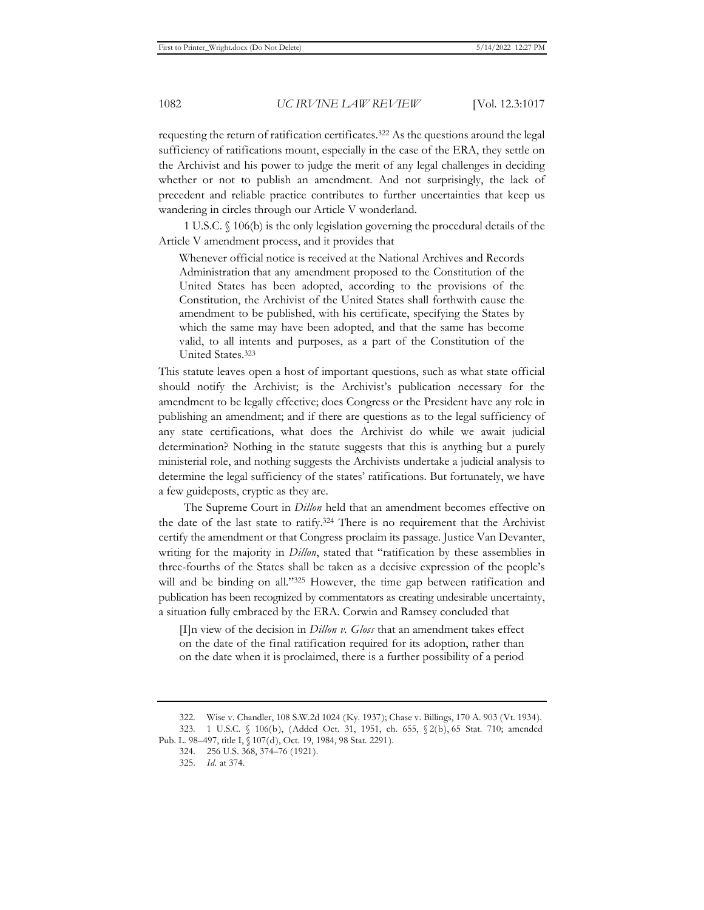requesting the return of ratification certificates.322 As the questions around the legal sufficiency of ratifications mount, especially in the case of the ERA, they settle on the Archivist and his power to judge the merit of any legal challenges in deciding whether or not to publish an amendment. And not surprisingly, the lack of precedent and reliable practice contributes to further uncertainties that keep us wandering in circles through our Article V wonderland.

1 U.S.C. § 106(b) is the only legislation governing the procedural details of the Article V amendment process, and it provides that

Whenever official notice is received at the National Archives and Records Administration that any amendment proposed to the Constitution of the United States has been adopted, according to the provisions of the Constitution, the Archivist of the United States shall forthwith cause the amendment to be published, with his certificate, specifying the States by which the same may have been adopted, and that the same has become valid, to all intents and purposes, as a part of the Constitution of the United States.323

This statute leaves open a host of important questions, such as what state official should notify the Archivist; is the Archivist's publication necessary for the amendment to be legally effective; does Congress or the President have any role in publishing an amendment; and if there are questions as to the legal sufficiency of any state certifications, what does the Archivist do while we await judicial determination? Nothing in the statute suggests that this is anything but a purely ministerial role, and nothing suggests the Archivists undertake a judicial analysis to determine the legal sufficiency of the states' ratifications. But fortunately, we have a few guideposts, cryptic as they are.

The Supreme Court in *Dillon* held that an amendment becomes effective on the date of the last state to ratify.324 There is no requirement that the Archivist certify the amendment or that Congress proclaim its passage. Justice Van Devanter, writing for the majority in *Dillon*, stated that "ratification by these assemblies in three-fourths of the States shall be taken as a decisive expression of the people's will and be binding on all."325 However, the time gap between ratification and publication has been recognized by commentators as creating undesirable uncertainty, a situation fully embraced by the ERA. Corwin and Ramsey concluded that

[I]n view of the decision in *Dillon v. Gloss* that an amendment takes effect on the date of the final ratification required for its adoption, rather than on the date when it is proclaimed, there is a further possibility of a period

<sup>322.</sup> Wise v. Chandler, 108 S.W.2d 1024 (Ky. 1937); Chase v. Billings, 170 A. 903 (Vt. 1934). 323. 1 U.S.C. § 106(b), (Added Oct. 31, 1951, ch. 655, § 2(b), 65 Stat. 710; amended

Pub. L. 98–497, title I, § 107(d), Oct. 19, 1984, 98 Stat. 2291).

<sup>324. 256</sup> U.S. 368, 374–76 (1921).

<sup>325.</sup> *Id.* at 374.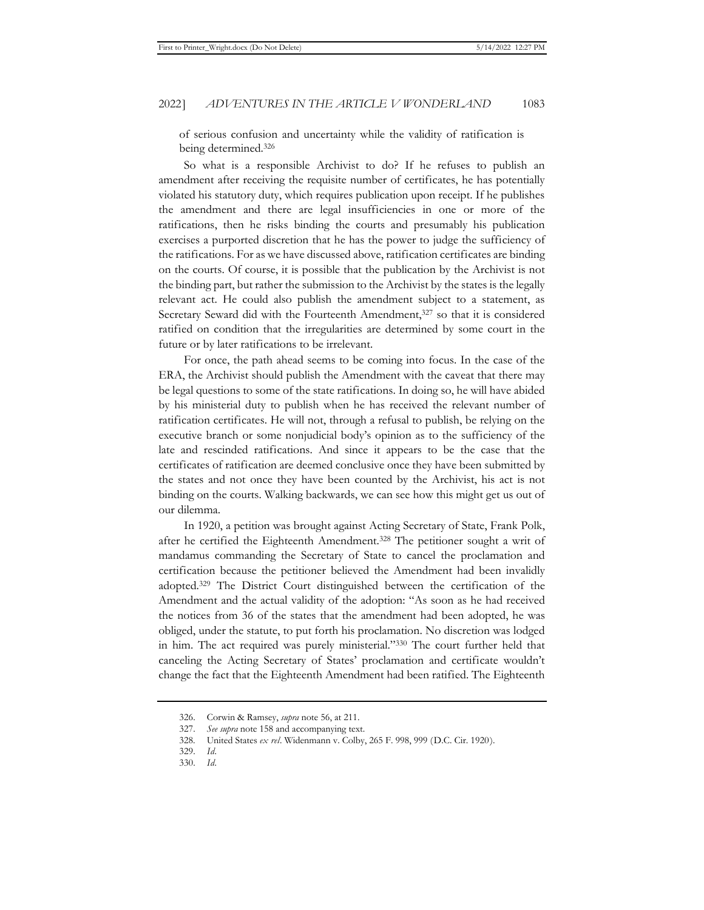of serious confusion and uncertainty while the validity of ratification is being determined.326

So what is a responsible Archivist to do? If he refuses to publish an amendment after receiving the requisite number of certificates, he has potentially violated his statutory duty, which requires publication upon receipt. If he publishes the amendment and there are legal insufficiencies in one or more of the ratifications, then he risks binding the courts and presumably his publication exercises a purported discretion that he has the power to judge the sufficiency of the ratifications. For as we have discussed above, ratification certificates are binding on the courts. Of course, it is possible that the publication by the Archivist is not the binding part, but rather the submission to the Archivist by the states is the legally relevant act. He could also publish the amendment subject to a statement, as Secretary Seward did with the Fourteenth Amendment,<sup>327</sup> so that it is considered ratified on condition that the irregularities are determined by some court in the future or by later ratifications to be irrelevant.

For once, the path ahead seems to be coming into focus. In the case of the ERA, the Archivist should publish the Amendment with the caveat that there may be legal questions to some of the state ratifications. In doing so, he will have abided by his ministerial duty to publish when he has received the relevant number of ratification certificates. He will not, through a refusal to publish, be relying on the executive branch or some nonjudicial body's opinion as to the sufficiency of the late and rescinded ratifications. And since it appears to be the case that the certificates of ratification are deemed conclusive once they have been submitted by the states and not once they have been counted by the Archivist, his act is not binding on the courts. Walking backwards, we can see how this might get us out of our dilemma.

In 1920, a petition was brought against Acting Secretary of State, Frank Polk, after he certified the Eighteenth Amendment.328 The petitioner sought a writ of mandamus commanding the Secretary of State to cancel the proclamation and certification because the petitioner believed the Amendment had been invalidly adopted.329 The District Court distinguished between the certification of the Amendment and the actual validity of the adoption: "As soon as he had received the notices from 36 of the states that the amendment had been adopted, he was obliged, under the statute, to put forth his proclamation. No discretion was lodged in him. The act required was purely ministerial."330 The court further held that canceling the Acting Secretary of States' proclamation and certificate wouldn't change the fact that the Eighteenth Amendment had been ratified. The Eighteenth

<sup>326.</sup> Corwin & Ramsey, *supra* note 56, at 211.

<sup>327.</sup> *See supra* note 158 and accompanying text.

<sup>328.</sup> United States *ex rel*. Widenmann v. Colby, 265 F. 998, 999 (D.C. Cir. 1920).

<sup>329.</sup> *Id.* 

<sup>330.</sup> *Id.*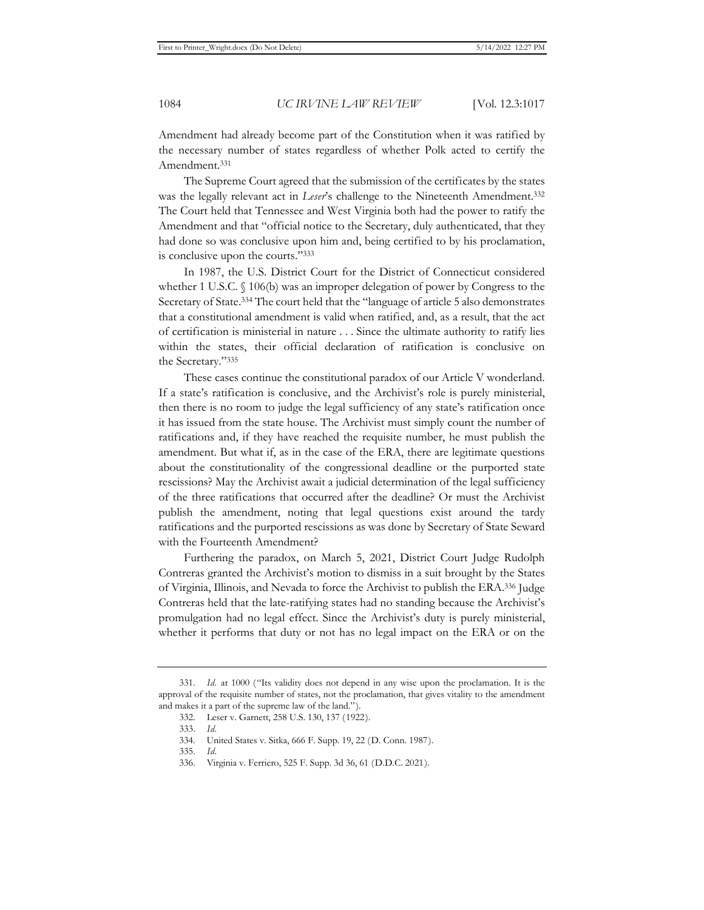Amendment had already become part of the Constitution when it was ratified by the necessary number of states regardless of whether Polk acted to certify the Amendment.331

The Supreme Court agreed that the submission of the certificates by the states was the legally relevant act in *Leser's* challenge to the Nineteenth Amendment.<sup>332</sup> The Court held that Tennessee and West Virginia both had the power to ratify the Amendment and that "official notice to the Secretary, duly authenticated, that they had done so was conclusive upon him and, being certified to by his proclamation, is conclusive upon the courts."333

In 1987, the U.S. District Court for the District of Connecticut considered whether 1 U.S.C. § 106(b) was an improper delegation of power by Congress to the Secretary of State.334 The court held that the "language of article 5 also demonstrates that a constitutional amendment is valid when ratified, and, as a result, that the act of certification is ministerial in nature . . . Since the ultimate authority to ratify lies within the states, their official declaration of ratification is conclusive on the Secretary."335

These cases continue the constitutional paradox of our Article V wonderland. If a state's ratification is conclusive, and the Archivist's role is purely ministerial, then there is no room to judge the legal sufficiency of any state's ratification once it has issued from the state house. The Archivist must simply count the number of ratifications and, if they have reached the requisite number, he must publish the amendment. But what if, as in the case of the ERA, there are legitimate questions about the constitutionality of the congressional deadline or the purported state rescissions? May the Archivist await a judicial determination of the legal sufficiency of the three ratifications that occurred after the deadline? Or must the Archivist publish the amendment, noting that legal questions exist around the tardy ratifications and the purported rescissions as was done by Secretary of State Seward with the Fourteenth Amendment?

Furthering the paradox, on March 5, 2021, District Court Judge Rudolph Contreras granted the Archivist's motion to dismiss in a suit brought by the States of Virginia, Illinois, and Nevada to force the Archivist to publish the ERA.336 Judge Contreras held that the late-ratifying states had no standing because the Archivist's promulgation had no legal effect. Since the Archivist's duty is purely ministerial, whether it performs that duty or not has no legal impact on the ERA or on the

<sup>331.</sup> *Id.* at 1000 ("Its validity does not depend in any wise upon the proclamation. It is the approval of the requisite number of states, not the proclamation, that gives vitality to the amendment and makes it a part of the supreme law of the land.").

<sup>332.</sup> Leser v. Garnett, 258 U.S. 130, 137 (1922).

<sup>333.</sup> *Id.*

<sup>334.</sup> United States v. Sitka, 666 F. Supp. 19, 22 (D. Conn. 1987).

<sup>335.</sup> *Id.*

<sup>336.</sup> Virginia v. Ferriero, 525 F. Supp. 3d 36, 61 (D.D.C. 2021).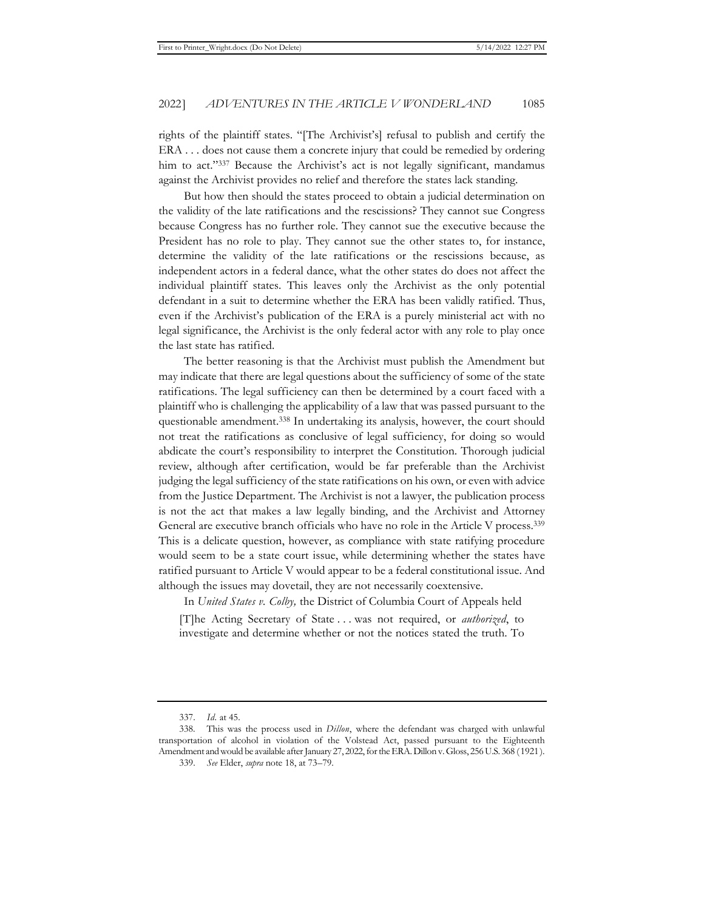rights of the plaintiff states. "[The Archivist's] refusal to publish and certify the ERA . . . does not cause them a concrete injury that could be remedied by ordering him to act."337 Because the Archivist's act is not legally significant, mandamus against the Archivist provides no relief and therefore the states lack standing.

But how then should the states proceed to obtain a judicial determination on the validity of the late ratifications and the rescissions? They cannot sue Congress because Congress has no further role. They cannot sue the executive because the President has no role to play. They cannot sue the other states to, for instance, determine the validity of the late ratifications or the rescissions because, as independent actors in a federal dance, what the other states do does not affect the individual plaintiff states. This leaves only the Archivist as the only potential defendant in a suit to determine whether the ERA has been validly ratified. Thus, even if the Archivist's publication of the ERA is a purely ministerial act with no legal significance, the Archivist is the only federal actor with any role to play once the last state has ratified.

The better reasoning is that the Archivist must publish the Amendment but may indicate that there are legal questions about the sufficiency of some of the state ratifications. The legal sufficiency can then be determined by a court faced with a plaintiff who is challenging the applicability of a law that was passed pursuant to the questionable amendment.<sup>338</sup> In undertaking its analysis, however, the court should not treat the ratifications as conclusive of legal sufficiency, for doing so would abdicate the court's responsibility to interpret the Constitution. Thorough judicial review, although after certification, would be far preferable than the Archivist judging the legal sufficiency of the state ratifications on his own, or even with advice from the Justice Department. The Archivist is not a lawyer, the publication process is not the act that makes a law legally binding, and the Archivist and Attorney General are executive branch officials who have no role in the Article V process.339 This is a delicate question, however, as compliance with state ratifying procedure would seem to be a state court issue, while determining whether the states have ratified pursuant to Article V would appear to be a federal constitutional issue. And although the issues may dovetail, they are not necessarily coextensive.

In *United States v. Colby,* the District of Columbia Court of Appeals held

[T]he Acting Secretary of State . . . was not required, or *authorized*, to investigate and determine whether or not the notices stated the truth. To

<sup>337.</sup> *Id.* at 45.

<sup>338.</sup> This was the process used in *Dillon*, where the defendant was charged with unlawful transportation of alcohol in violation of the Volstead Act, passed pursuant to the Eighteenth Amendment and would be available after January 27, 2022, for the ERA. Dillon v. Gloss, 256 U.S. 368 (1921).

<sup>339.</sup> *See* Elder, *supra* note 18, at 73–79.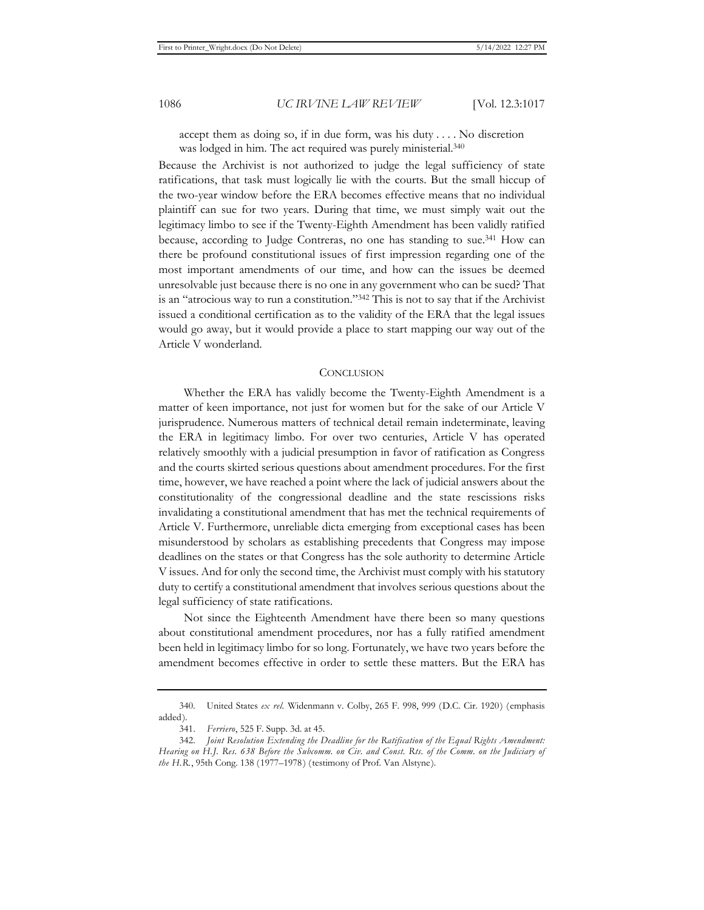accept them as doing so, if in due form, was his duty . . . . No discretion was lodged in him. The act required was purely ministerial.<sup>340</sup>

Because the Archivist is not authorized to judge the legal sufficiency of state ratifications, that task must logically lie with the courts. But the small hiccup of the two-year window before the ERA becomes effective means that no individual plaintiff can sue for two years. During that time, we must simply wait out the legitimacy limbo to see if the Twenty-Eighth Amendment has been validly ratified because, according to Judge Contreras, no one has standing to sue.341 How can there be profound constitutional issues of first impression regarding one of the most important amendments of our time, and how can the issues be deemed unresolvable just because there is no one in any government who can be sued? That is an "atrocious way to run a constitution."342 This is not to say that if the Archivist issued a conditional certification as to the validity of the ERA that the legal issues would go away, but it would provide a place to start mapping our way out of the Article V wonderland.

#### **CONCLUSION**

Whether the ERA has validly become the Twenty-Eighth Amendment is a matter of keen importance, not just for women but for the sake of our Article V jurisprudence. Numerous matters of technical detail remain indeterminate, leaving the ERA in legitimacy limbo. For over two centuries, Article V has operated relatively smoothly with a judicial presumption in favor of ratification as Congress and the courts skirted serious questions about amendment procedures. For the first time, however, we have reached a point where the lack of judicial answers about the constitutionality of the congressional deadline and the state rescissions risks invalidating a constitutional amendment that has met the technical requirements of Article V. Furthermore, unreliable dicta emerging from exceptional cases has been misunderstood by scholars as establishing precedents that Congress may impose deadlines on the states or that Congress has the sole authority to determine Article V issues. And for only the second time, the Archivist must comply with his statutory duty to certify a constitutional amendment that involves serious questions about the legal sufficiency of state ratifications.

Not since the Eighteenth Amendment have there been so many questions about constitutional amendment procedures, nor has a fully ratified amendment been held in legitimacy limbo for so long. Fortunately, we have two years before the amendment becomes effective in order to settle these matters. But the ERA has

<sup>340.</sup> United States *ex rel.* Widenmann v. Colby, 265 F. 998, 999 (D.C. Cir. 1920) (emphasis added).

<sup>341.</sup> *Ferriero*, 525 F. Supp. 3d. at 45.

<sup>342.</sup> *Joint Resolution Extending the Deadline for the Ratification of the Equal Rights Amendment: Hearing on H.J. Res. 638 Before the Subcomm. on Civ. and Const. Rts. of the Comm. on the Judiciary of the H.R.*, 95th Cong. 138 (1977–1978) (testimony of Prof. Van Alstyne).